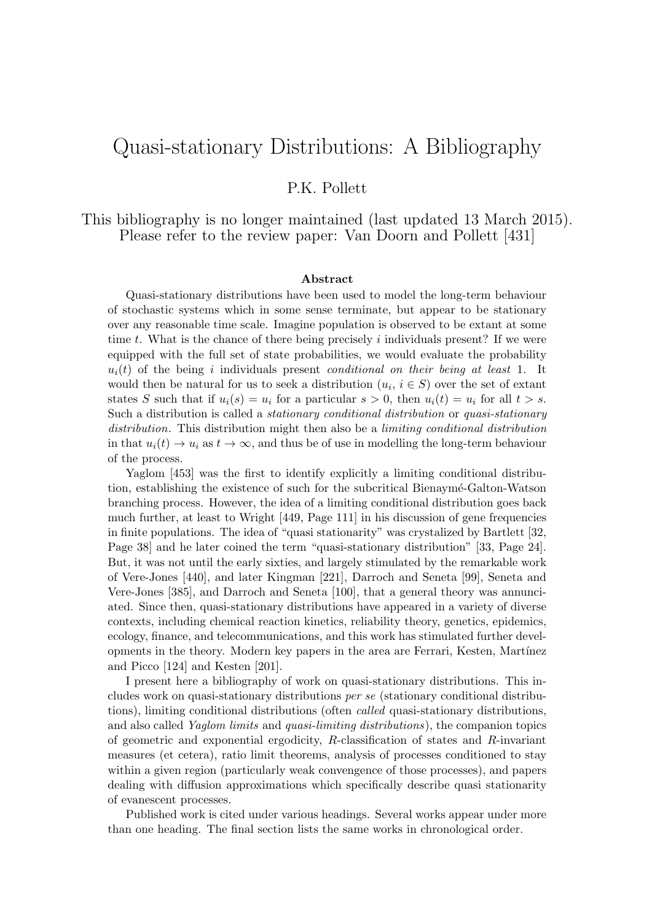# Quasi-stationary Distributions: A Bibliography

# P.K. Pollett

This bibliography is no longer maintained (last updated 13 March 2015). Please refer to the review paper: Van Doorn and Pollett [431]

#### Abstract

Quasi-stationary distributions have been used to model the long-term behaviour of stochastic systems which in some sense terminate, but appear to be stationary over any reasonable time scale. Imagine population is observed to be extant at some time  $t$ . What is the chance of there being precisely  $i$  individuals present? If we were equipped with the full set of state probabilities, we would evaluate the probability  $u_i(t)$  of the being i individuals present *conditional on their being at least* 1. It would then be natural for us to seek a distribution  $(u_i, i \in S)$  over the set of extant states S such that if  $u_i(s) = u_i$  for a particular  $s > 0$ , then  $u_i(t) = u_i$  for all  $t > s$ . Such a distribution is called a stationary conditional distribution or quasi-stationary distribution. This distribution might then also be a *limiting conditional distribution* in that  $u_i(t) \to u_i$  as  $t \to \infty$ , and thus be of use in modelling the long-term behaviour of the process.

Yaglom [453] was the first to identify explicitly a limiting conditional distribution, establishing the existence of such for the subcritical Bienaym´e-Galton-Watson branching process. However, the idea of a limiting conditional distribution goes back much further, at least to Wright [449, Page 111] in his discussion of gene frequencies in finite populations. The idea of "quasi stationarity" was crystalized by Bartlett [32, Page 38] and he later coined the term "quasi-stationary distribution" [33, Page 24]. But, it was not until the early sixties, and largely stimulated by the remarkable work of Vere-Jones [440], and later Kingman [221], Darroch and Seneta [99], Seneta and Vere-Jones [385], and Darroch and Seneta [100], that a general theory was annunciated. Since then, quasi-stationary distributions have appeared in a variety of diverse contexts, including chemical reaction kinetics, reliability theory, genetics, epidemics, ecology, finance, and telecommunications, and this work has stimulated further developments in the theory. Modern key papers in the area are Ferrari, Kesten, Martínez and Picco [124] and Kesten [201].

I present here a bibliography of work on quasi-stationary distributions. This includes work on quasi-stationary distributions per se (stationary conditional distributions), limiting conditional distributions (often called quasi-stationary distributions, and also called Yaglom limits and quasi-limiting distributions), the companion topics of geometric and exponential ergodicity, R-classification of states and R-invariant measures (et cetera), ratio limit theorems, analysis of processes conditioned to stay within a given region (particularly weak convengence of those processes), and papers dealing with diffusion approximations which specifically describe quasi stationarity of evanescent processes.

Published work is cited under various headings. Several works appear under more than one heading. The final section lists the same works in chronological order.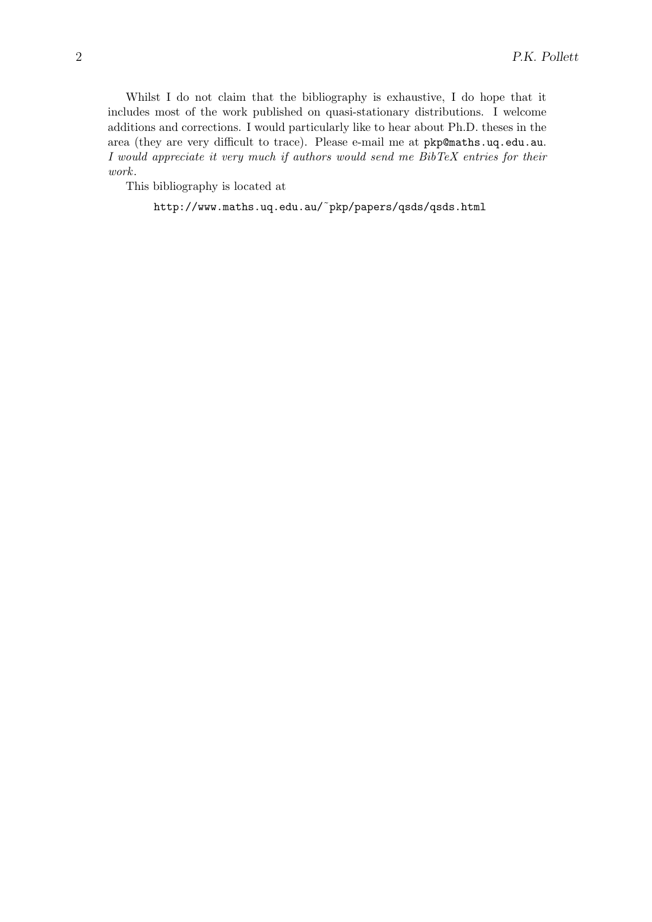Whilst I do not claim that the bibliography is exhaustive, I do hope that it includes most of the work published on quasi-stationary distributions. I welcome additions and corrections. I would particularly like to hear about Ph.D. theses in the area (they are very difficult to trace). Please e-mail me at pkp@maths.uq.edu.au. I would appreciate it very much if authors would send me BibTeX entries for their work.

This bibliography is located at

http://www.maths.uq.edu.au/˜pkp/papers/qsds/qsds.html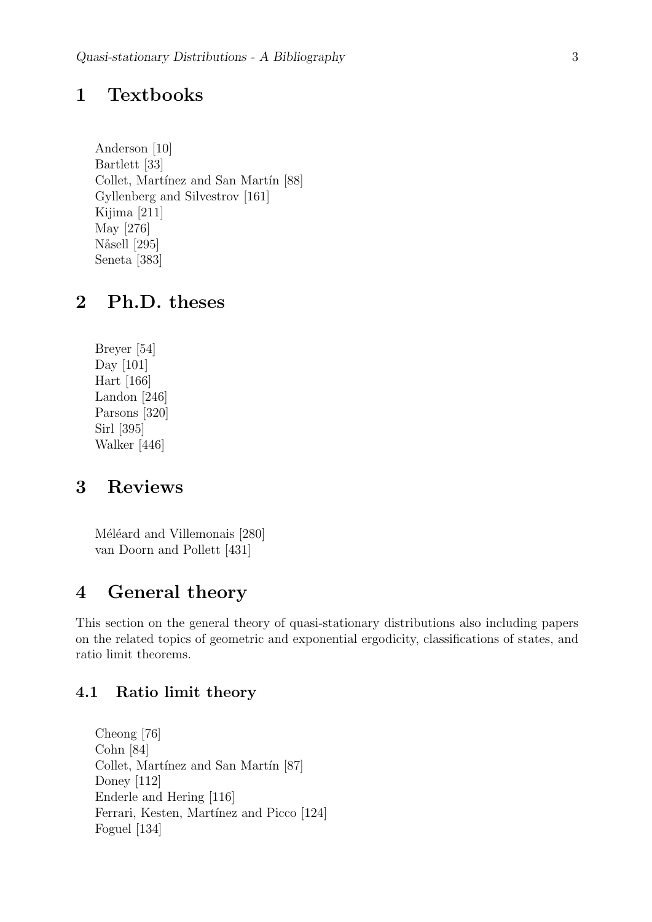# 1 Textbooks

Anderson [10] Bartlett [33] Collet, Martínez and San Martín [88] Gyllenberg and Silvestrov [161] Kijima [211] May [276] Nåsell [295] Seneta [383]

# 2 Ph.D. theses

Breyer [54] Day [101] Hart [166] Landon [246] Parsons [320] Sirl [395] Walker [446]

# 3 Reviews

Méléard and Villemonais [280] van Doorn and Pollett [431]

# 4 General theory

This section on the general theory of quasi-stationary distributions also including papers on the related topics of geometric and exponential ergodicity, classifications of states, and ratio limit theorems.

# 4.1 Ratio limit theory

Cheong [76] Cohn [84] Collet, Martínez and San Martín [87] Doney [112] Enderle and Hering [116] Ferrari, Kesten, Martínez and Picco [124] Foguel [134]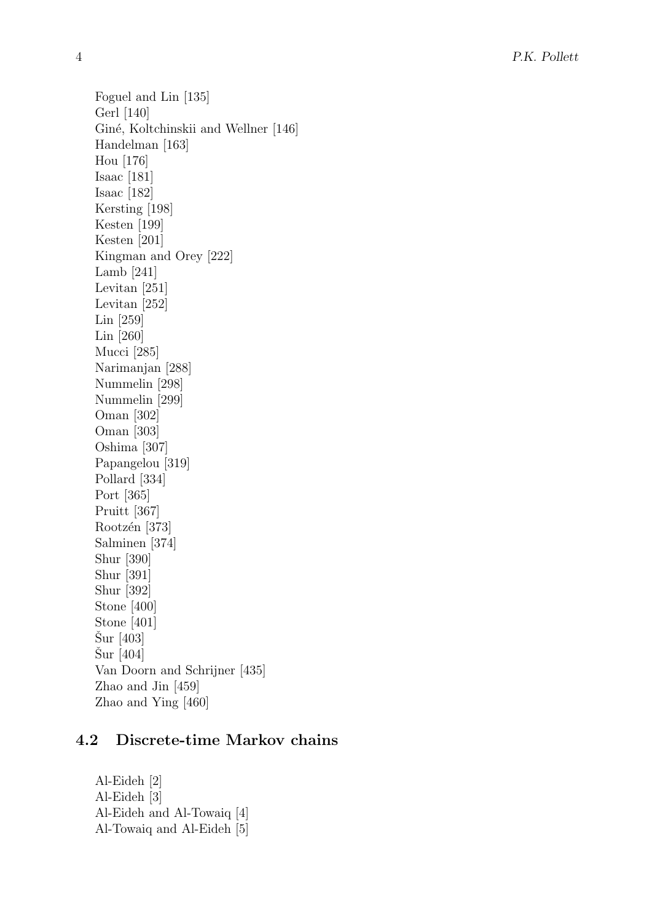Foguel and Lin [135] Gerl [140] Giné, Koltchinskii and Wellner [146] Handelman [163] Hou [176] Isaac [181] Isaac [182] Kersting [198] Kesten [199] Kesten [201] Kingman and Orey [222] Lamb [241] Levitan [251] Levitan [252] Lin [259] Lin [260] Mucci [285] Narimanjan [288] Nummelin [298] Nummelin [299] Oman [302] Oman [303] Oshima [307] Papangelou [319] Pollard [334] Port [365] Pruitt [367] Rootzén $\left[ 373\right]$ Salminen [374] Shur [390] Shur [391] Shur [392] Stone [400] Stone [401]  $\text{Sur}$  [403]  $\text{Sur}$  [404] Van Doorn and Schrijner [435] Zhao and Jin [459] Zhao and Ying [460]

# 4.2 Discrete-time Markov chains

Al-Eideh [2] Al-Eideh [3] Al-Eideh and Al-Towaiq [4] Al-Towaiq and Al-Eideh [5]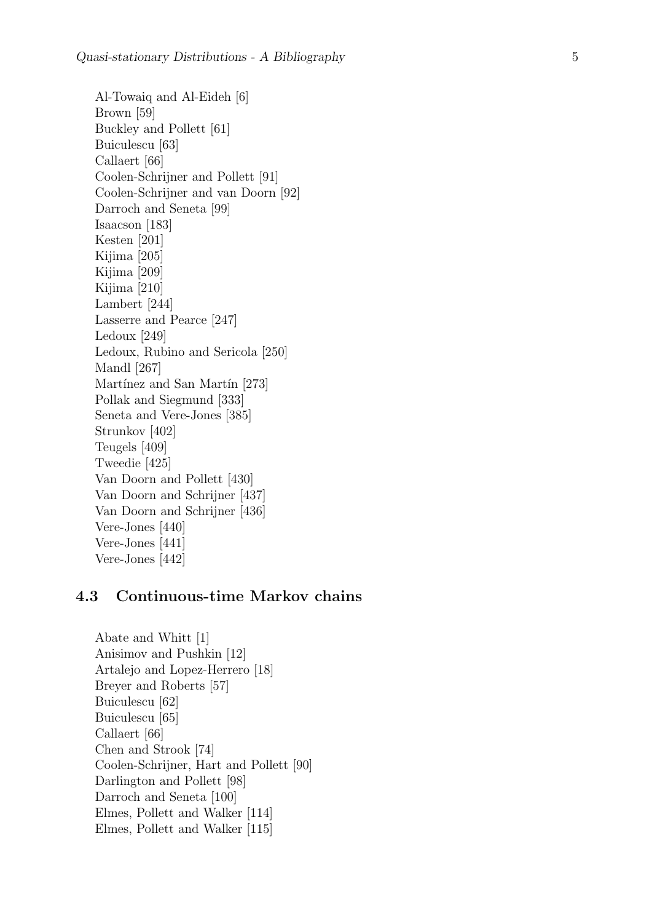Al-Towaiq and Al-Eideh [6] Brown [59] Buckley and Pollett [61] Buiculescu [63] Callaert [66] Coolen-Schrijner and Pollett [91] Coolen-Schrijner and van Doorn [92] Darroch and Seneta [99] Isaacson [183] Kesten [201] Kijima [205] Kijima [209] Kijima [210] Lambert [244] Lasserre and Pearce [247] Ledoux [249] Ledoux, Rubino and Sericola [250] Mandl [267] Martínez and San Martín [273] Pollak and Siegmund [333] Seneta and Vere-Jones [385] Strunkov [402] Teugels [409] Tweedie [425] Van Doorn and Pollett [430] Van Doorn and Schrijner [437] Van Doorn and Schrijner [436] Vere-Jones [440] Vere-Jones [441] Vere-Jones [442]

### 4.3 Continuous-time Markov chains

Abate and Whitt [1] Anisimov and Pushkin [12] Artalejo and Lopez-Herrero [18] Breyer and Roberts [57] Buiculescu [62] Buiculescu [65] Callaert [66] Chen and Strook [74] Coolen-Schrijner, Hart and Pollett [90] Darlington and Pollett [98] Darroch and Seneta [100] Elmes, Pollett and Walker [114] Elmes, Pollett and Walker [115]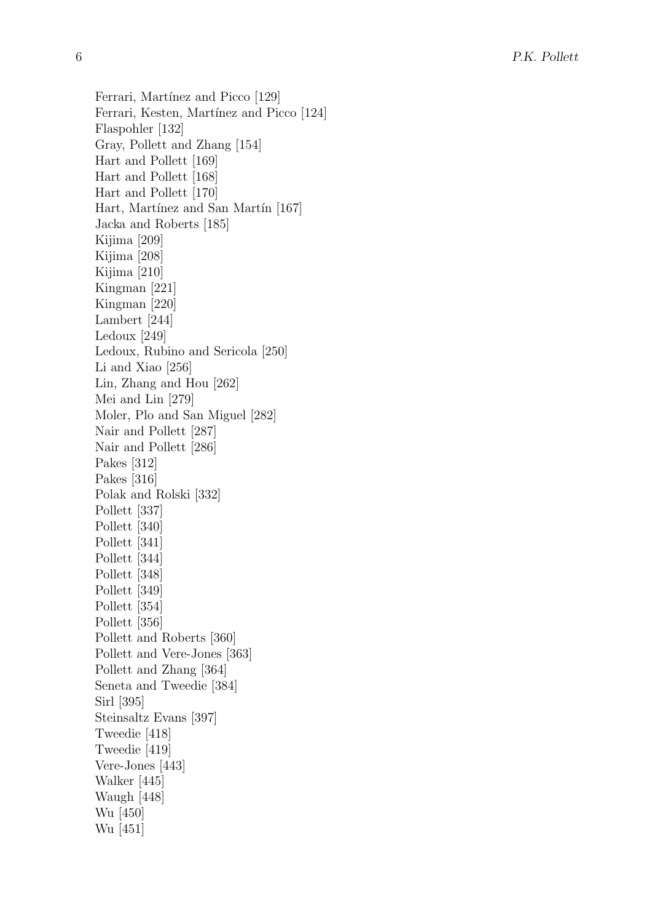Ferrari, Martínez and Picco [129] Ferrari, Kesten, Martínez and Picco [124] Flaspohler [132] Gray, Pollett and Zhang [154] Hart and Pollett [169] Hart and Pollett [168] Hart and Pollett [170] Hart, Martínez and San Martín [167] Jacka and Roberts [185] Kijima [209] Kijima [208] Kijima [210] Kingman [221] Kingman [220] Lambert [244] Ledoux [249] Ledoux, Rubino and Sericola [250] Li and Xiao [256] Lin, Zhang and Hou [262] Mei and Lin [279] Moler, Plo and San Miguel [282] Nair and Pollett [287] Nair and Pollett [286] Pakes [312] Pakes [316] Polak and Rolski [332] Pollett [337] Pollett [340] Pollett [341] Pollett [344] Pollett [348] Pollett [349] Pollett [354] Pollett [356] Pollett and Roberts [360] Pollett and Vere-Jones [363] Pollett and Zhang [364] Seneta and Tweedie [384] Sirl [395] Steinsaltz Evans [397] Tweedie [418] Tweedie [419] Vere-Jones [443] Walker [445] Waugh [448] Wu [450] Wu [451]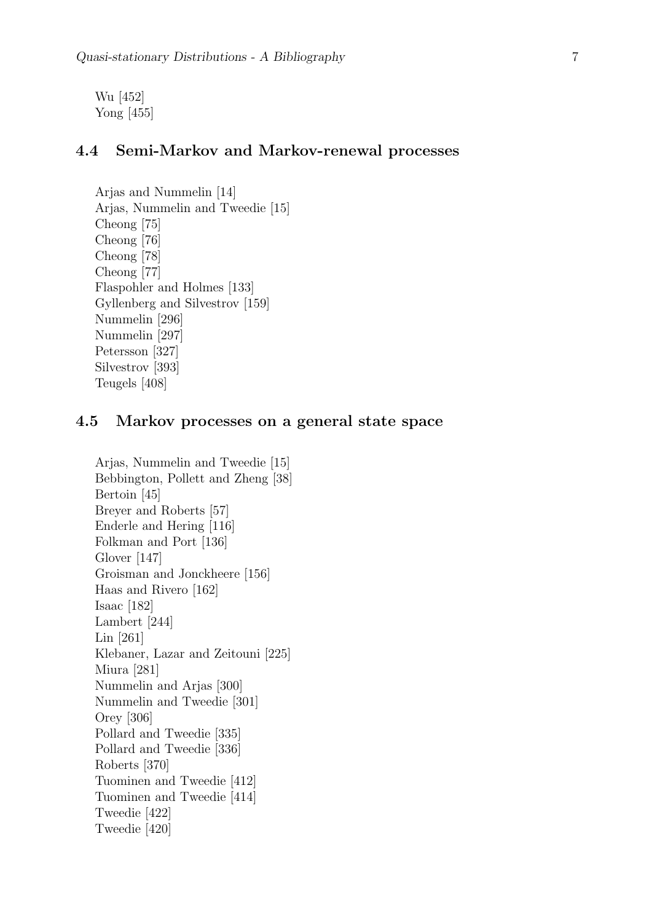Wu [452] Yong [455]

# 4.4 Semi-Markov and Markov-renewal processes

Arjas and Nummelin [14] Arjas, Nummelin and Tweedie [15] Cheong [75] Cheong [76] Cheong [78] Cheong [77] Flaspohler and Holmes [133] Gyllenberg and Silvestrov [159] Nummelin [296] Nummelin [297] Petersson [327] Silvestrov [393] Teugels [408]

### 4.5 Markov processes on a general state space

```
Arjas, Nummelin and Tweedie [15]
Bebbington, Pollett and Zheng [38]
Bertoin [45]
Breyer and Roberts [57]
Enderle and Hering [116]
Folkman and Port [136]
Glover [147]
Groisman and Jonckheere [156]
Haas and Rivero [162]
Isaac [182]
Lambert [244]
Lin [261]
Klebaner, Lazar and Zeitouni [225]
Miura [281]
Nummelin and Arjas [300]
Nummelin and Tweedie [301]
Orey [306]
Pollard and Tweedie [335]
Pollard and Tweedie [336]
Roberts [370]
Tuominen and Tweedie [412]
Tuominen and Tweedie [414]
Tweedie [422]
Tweedie [420]
```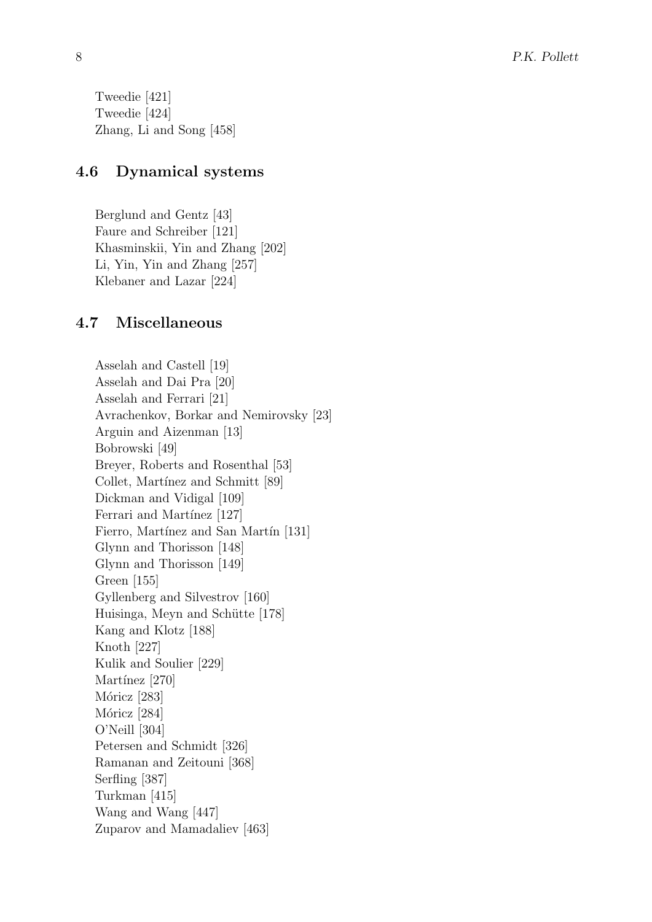Tweedie [421] Tweedie [424] Zhang, Li and Song [458]

# 4.6 Dynamical systems

Berglund and Gentz [43] Faure and Schreiber [121] Khasminskii, Yin and Zhang [202] Li, Yin, Yin and Zhang [257] Klebaner and Lazar [224]

# 4.7 Miscellaneous

Asselah and Castell [19] Asselah and Dai Pra [20] Asselah and Ferrari [21] Avrachenkov, Borkar and Nemirovsky [23] Arguin and Aizenman [13] Bobrowski [49] Breyer, Roberts and Rosenthal [53] Collet, Martínez and Schmitt [89] Dickman and Vidigal [109] Ferrari and Martínez [127] Fierro, Martínez and San Martín [131] Glynn and Thorisson [148] Glynn and Thorisson [149] Green [155] Gyllenberg and Silvestrov [160] Huisinga, Meyn and Schütte [178] Kang and Klotz [188] Knoth [227] Kulik and Soulier [229] Martínez [270] Móricz [283] Móricz [284] O'Neill [304] Petersen and Schmidt [326] Ramanan and Zeitouni [368] Serfling [387] Turkman [415] Wang and Wang [447] Zuparov and Mamadaliev [463]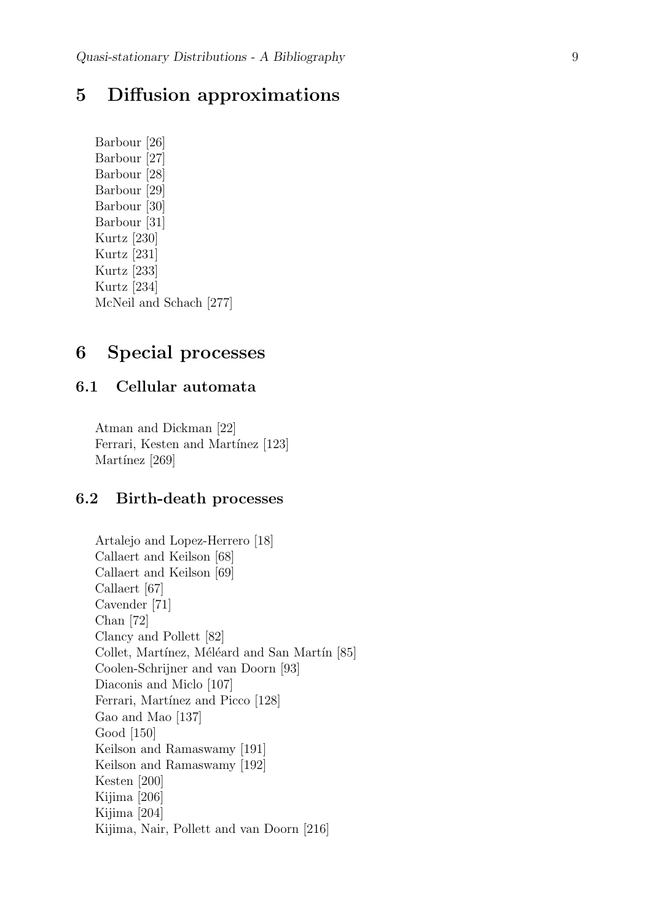# 5 Diffusion approximations

Barbour [26] Barbour [27] Barbour [28] Barbour [29] Barbour [30] Barbour [31] Kurtz [230] Kurtz [231] Kurtz [233] Kurtz [234] McNeil and Schach [277]

# 6 Special processes

# 6.1 Cellular automata

Atman and Dickman [22] Ferrari, Kesten and Martínez [123] Martínez [269]

# 6.2 Birth-death processes

Artalejo and Lopez-Herrero [18] Callaert and Keilson [68] Callaert and Keilson [69] Callaert [67] Cavender [71] Chan [72] Clancy and Pollett [82] Collet, Martínez, Méléard and San Martín [85] Coolen-Schrijner and van Doorn [93] Diaconis and Miclo [107] Ferrari, Martínez and Picco [128] Gao and Mao [137] Good [150] Keilson and Ramaswamy [191] Keilson and Ramaswamy [192] Kesten [200] Kijima [206] Kijima [204] Kijima, Nair, Pollett and van Doorn [216]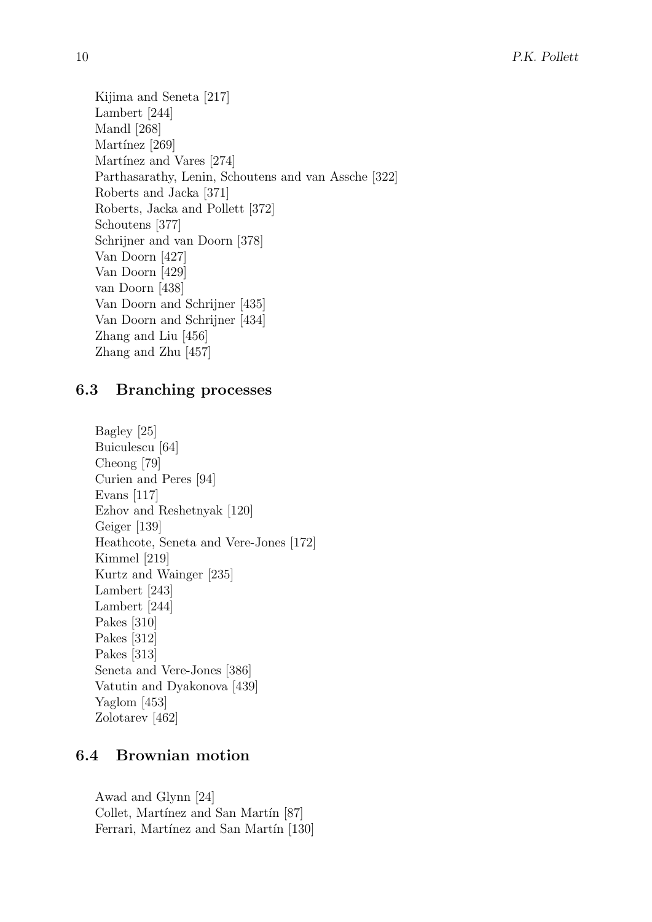Kijima and Seneta [217] Lambert [244] Mandl [268] Martínez [269] Martínez and Vares [274] Parthasarathy, Lenin, Schoutens and van Assche [322] Roberts and Jacka [371] Roberts, Jacka and Pollett [372] Schoutens [377] Schrijner and van Doorn [378] Van Doorn [427] Van Doorn [429] van Doorn [438] Van Doorn and Schrijner [435] Van Doorn and Schrijner [434] Zhang and Liu [456] Zhang and Zhu [457]

# 6.3 Branching processes

```
Bagley [25]
Buiculescu [64]
Cheong [79]
Curien and Peres [94]
Evans [117]
Ezhov and Reshetnyak [120]
Geiger [139]
Heathcote, Seneta and Vere-Jones [172]
Kimmel [219]
Kurtz and Wainger [235]
Lambert [243]
Lambert [244]
Pakes [310]
Pakes [312]
Pakes [313]
Seneta and Vere-Jones [386]
Vatutin and Dyakonova [439]
Yaglom [453]
Zolotarev [462]
```
# 6.4 Brownian motion

Awad and Glynn [24] Collet, Martínez and San Martín [87] Ferrari, Martínez and San Martín [130]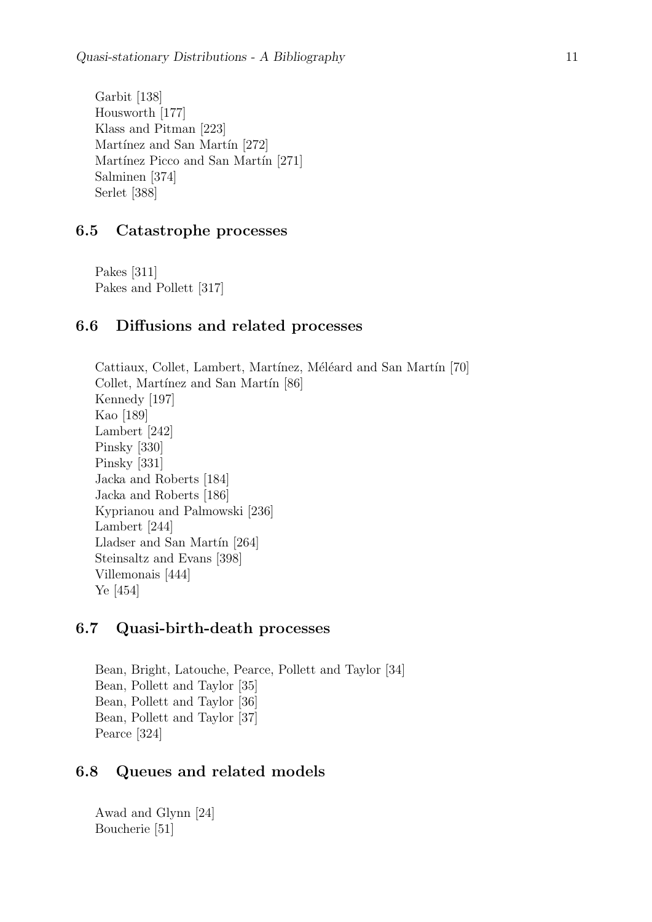Garbit [138] Housworth [177] Klass and Pitman [223] Martínez and San Martín [272] Martínez Picco and San Martín [271] Salminen [374] Serlet [388]

# 6.5 Catastrophe processes

Pakes [311] Pakes and Pollett [317]

# 6.6 Diffusions and related processes

Cattiaux, Collet, Lambert, Martínez, Méléard and San Martín [70] Collet, Martínez and San Martín [86] Kennedy [197] Kao [189] Lambert [242] Pinsky [330] Pinsky [331] Jacka and Roberts [184] Jacka and Roberts [186] Kyprianou and Palmowski [236] Lambert [244] Lladser and San Martín [264] Steinsaltz and Evans [398] Villemonais [444] Ye [454]

# 6.7 Quasi-birth-death processes

Bean, Bright, Latouche, Pearce, Pollett and Taylor [34] Bean, Pollett and Taylor [35] Bean, Pollett and Taylor [36] Bean, Pollett and Taylor [37] Pearce [324]

# 6.8 Queues and related models

Awad and Glynn [24] Boucherie [51]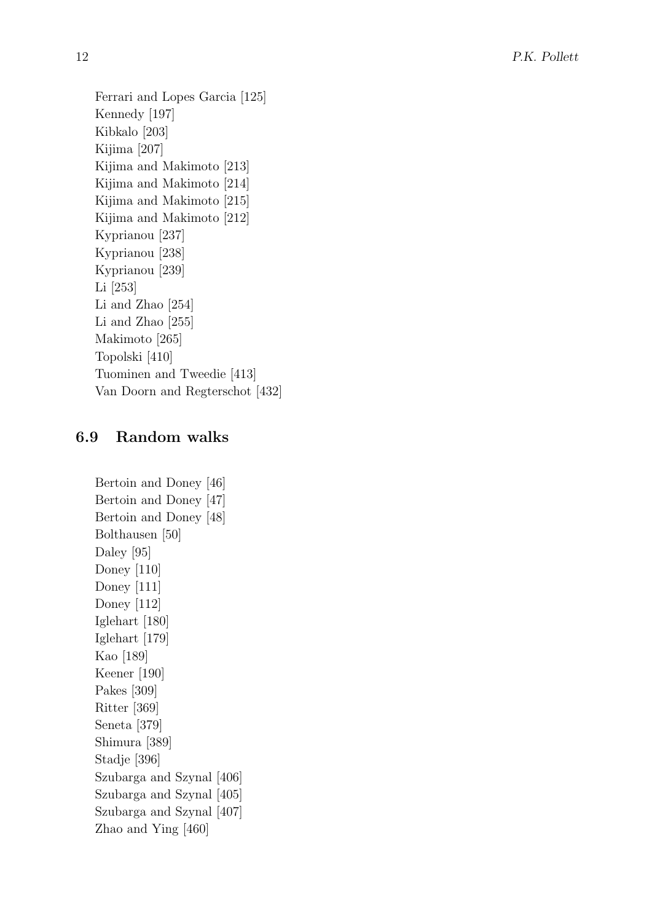Ferrari and Lopes Garcia [125] Kennedy [197] Kibkalo [203] Kijima [207] Kijima and Makimoto [213] Kijima and Makimoto [214] Kijima and Makimoto [215] Kijima and Makimoto [212] Kyprianou [237] Kyprianou [238] Kyprianou [239] Li [253] Li and Zhao [254] Li and Zhao [255] Makimoto [265] Topolski [410] Tuominen and Tweedie [413] Van Doorn and Regterschot [432]

# 6.9 Random walks

Bertoin and Doney [46] Bertoin and Doney [47] Bertoin and Doney [48] Bolthausen [50] Daley [95] Doney [110] Doney [111] Doney [112] Iglehart [180] Iglehart [179] Kao [189] Keener [190] Pakes [309] Ritter [369] Seneta [379] Shimura [389] Stadje [396] Szubarga and Szynal [406] Szubarga and Szynal [405] Szubarga and Szynal [407] Zhao and Ying [460]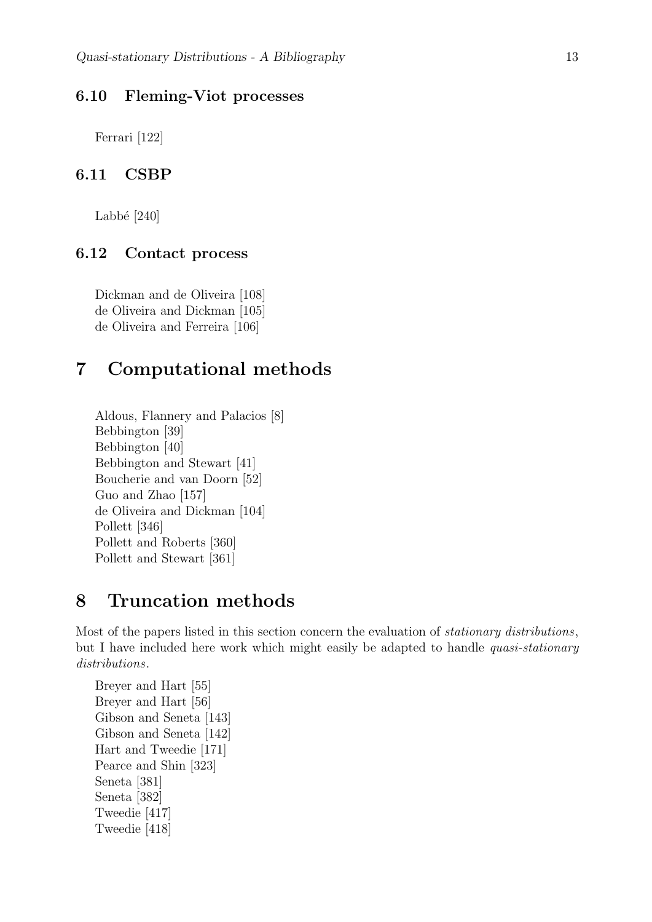### 6.10 Fleming-Viot processes

Ferrari [122]

### 6.11 CSBP

Labbé  $[240]$ 

# 6.12 Contact process

Dickman and de Oliveira [108] de Oliveira and Dickman [105] de Oliveira and Ferreira [106]

# 7 Computational methods

Aldous, Flannery and Palacios [8] Bebbington [39] Bebbington [40] Bebbington and Stewart [41] Boucherie and van Doorn [52] Guo and Zhao [157] de Oliveira and Dickman [104] Pollett [346] Pollett and Roberts [360] Pollett and Stewart [361]

# 8 Truncation methods

Most of the papers listed in this section concern the evaluation of *stationary distributions*, but I have included here work which might easily be adapted to handle *quasi-stationary* distributions.

```
Breyer and Hart [55]
Breyer and Hart [56]
Gibson and Seneta [143]
Gibson and Seneta [142]
Hart and Tweedie [171]
Pearce and Shin [323]
Seneta [381]
Seneta [382]
Tweedie [417]
Tweedie [418]
```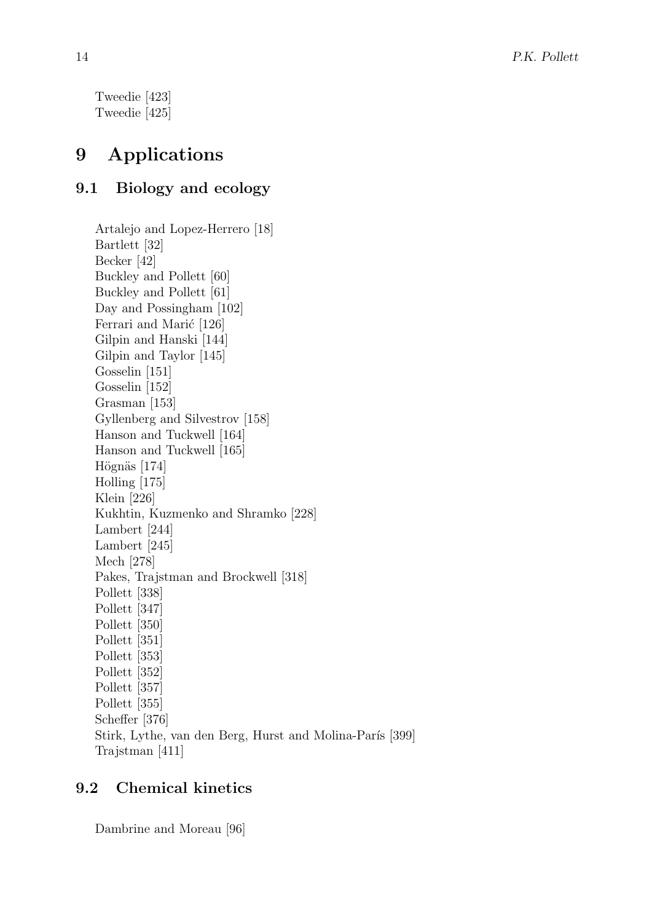Tweedie [423] Tweedie [425]

# 9 Applications

# 9.1 Biology and ecology

Artalejo and Lopez-Herrero [18] Bartlett [32] Becker [42] Buckley and Pollett [60] Buckley and Pollett [61] Day and Possingham [102] Ferrari and Marić [126] Gilpin and Hanski [144] Gilpin and Taylor [145] Gosselin [151] Gosselin [152] Grasman [153] Gyllenberg and Silvestrov [158] Hanson and Tuckwell [164] Hanson and Tuckwell [165] Högnäs [174] Holling [175] Klein [226] Kukhtin, Kuzmenko and Shramko [228] Lambert [244] Lambert [245] Mech [278] Pakes, Trajstman and Brockwell [318] Pollett [338] Pollett [347] Pollett [350] Pollett [351] Pollett [353] Pollett [352] Pollett [357] Pollett [355] Scheffer [376] Stirk, Lythe, van den Berg, Hurst and Molina-París [399] Trajstman [411]

# 9.2 Chemical kinetics

Dambrine and Moreau [96]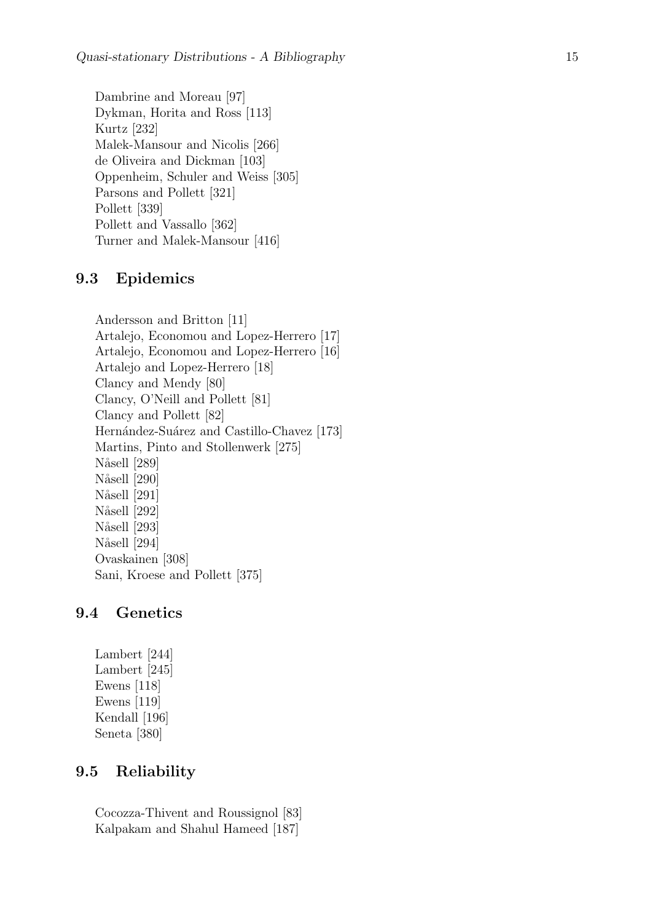Dambrine and Moreau [97] Dykman, Horita and Ross [113] Kurtz [232] Malek-Mansour and Nicolis [266] de Oliveira and Dickman [103] Oppenheim, Schuler and Weiss [305] Parsons and Pollett [321] Pollett [339] Pollett and Vassallo [362] Turner and Malek-Mansour [416]

# 9.3 Epidemics

Andersson and Britton [11] Artalejo, Economou and Lopez-Herrero [17] Artalejo, Economou and Lopez-Herrero [16] Artalejo and Lopez-Herrero [18] Clancy and Mendy [80] Clancy, O'Neill and Pollett [81] Clancy and Pollett [82] Hernández-Suárez and Castillo-Chavez [173] Martins, Pinto and Stollenwerk [275] Nåsell [289] Nåsell [290] Nåsell [291] Nåsell [292] Nåsell [293] Nåsell [294] Ovaskainen [308] Sani, Kroese and Pollett [375]

### 9.4 Genetics

Lambert [244] Lambert [245] Ewens [118] Ewens [119] Kendall [196] Seneta [380]

### 9.5 Reliability

Cocozza-Thivent and Roussignol [83] Kalpakam and Shahul Hameed [187]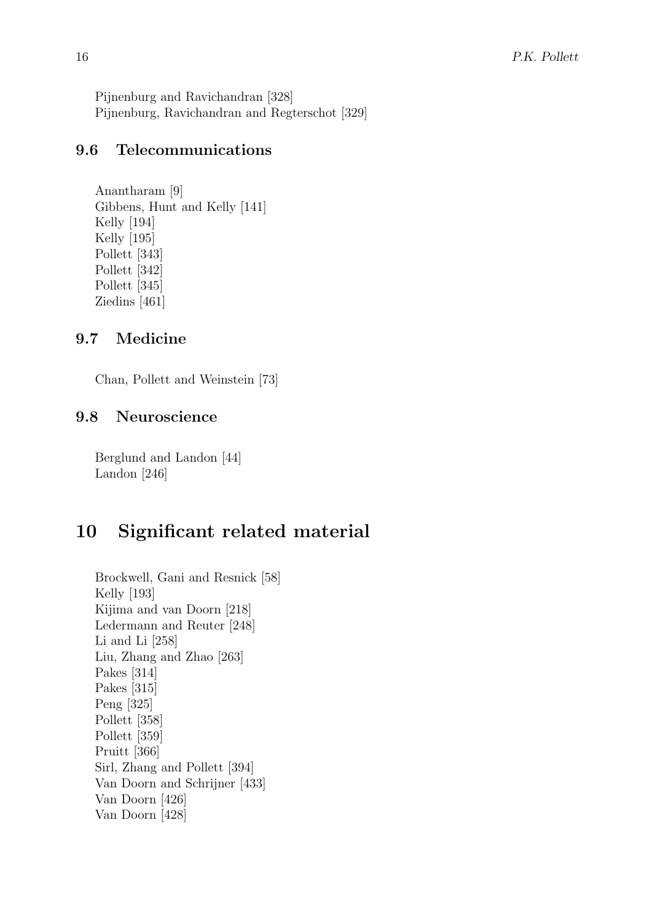Pijnenburg and Ravichandran [328] Pijnenburg, Ravichandran and Regterschot [329]

# 9.6 Telecommunications

Anantharam [9] Gibbens, Hunt and Kelly [141] Kelly [194] Kelly [195] Pollett [343] Pollett [342] Pollett [345] Ziedins [461]

# 9.7 Medicine

Chan, Pollett and Weinstein [73]

# 9.8 Neuroscience

Berglund and Landon [44] Landon [246]

# 10 Significant related material

Brockwell, Gani and Resnick [58] Kelly [193] Kijima and van Doorn [218] Ledermann and Reuter [248] Li and Li [258] Liu, Zhang and Zhao [263] Pakes [314] Pakes [315] Peng [325] Pollett [358] Pollett [359] Pruitt [366] Sirl, Zhang and Pollett [394] Van Doorn and Schrijner [433] Van Doorn [426] Van Doorn [428]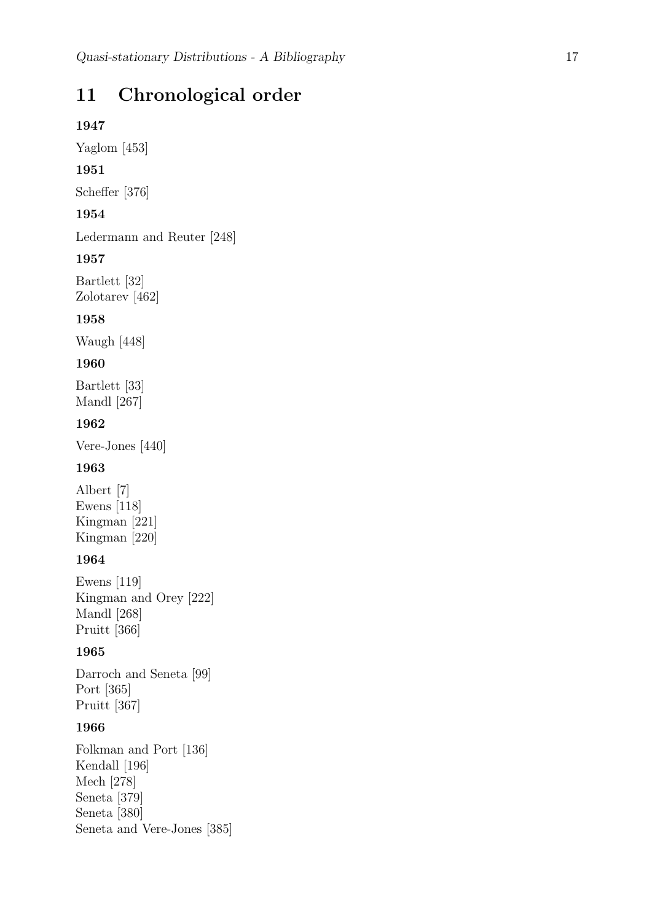# 11 Chronological order

### 1947

Yaglom [453]

### 1951

Scheffer [376]

# 1954

Ledermann and Reuter [248]

### 1957

Bartlett [32] Zolotarev [462]

### 1958

Waugh [448]

### 1960

Bartlett [33] Mandl [267]

### 1962

Vere-Jones [440]

### 1963

Albert [7] Ewens [118] Kingman [221] Kingman [220]

### 1964

Ewens [119] Kingman and Orey [222] Mandl [268] Pruitt [366]

### 1965

Darroch and Seneta [99] Port [365] Pruitt [367]

### 1966

Folkman and Port [136] Kendall [196] Mech [278] Seneta [379] Seneta [380] Seneta and Vere-Jones [385]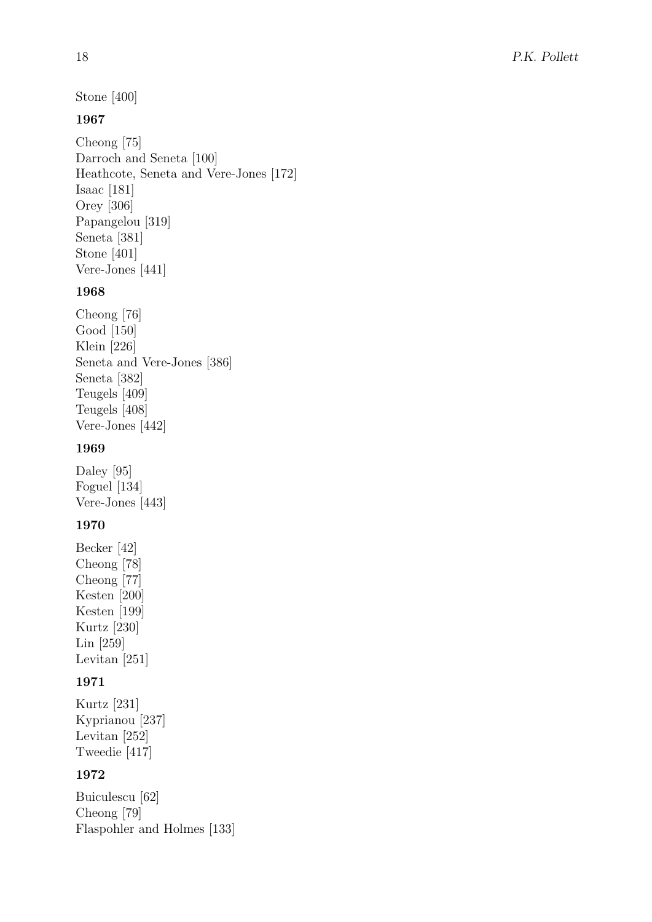Stone [400]

# 1967

Cheong [75] Darroch and Seneta [100] Heathcote, Seneta and Vere-Jones [172] Isaac [181] Orey [306] Papangelou [319] Seneta [381] Stone [401] Vere-Jones [441]

# 1968

Cheong [76] Good [150] Klein [226] Seneta and Vere-Jones [386] Seneta [382] Teugels [409] Teugels [408] Vere-Jones [442]

# 1969

Daley [95] Foguel [134] Vere-Jones [443]

# 1970

Becker [42] Cheong [78] Cheong [77] Kesten [200] Kesten [199] Kurtz [230] Lin [259] Levitan [251]

# 1971

Kurtz [231] Kyprianou [237] Levitan [252] Tweedie [417]

# 1972

Buiculescu [62] Cheong [79] Flaspohler and Holmes [133]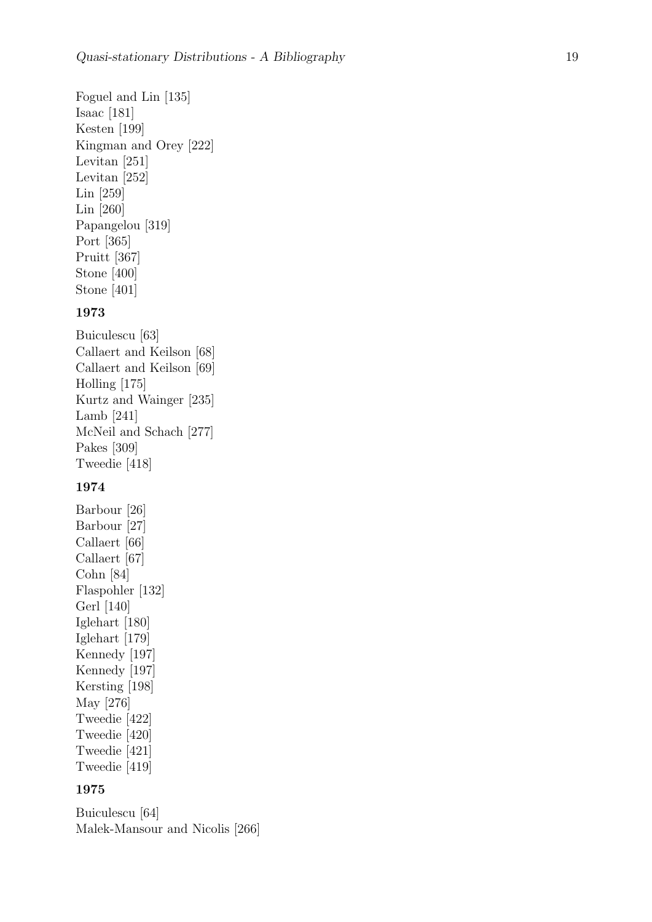Foguel and Lin [135] Isaac [181] Kesten [199] Kingman and Orey [222] Levitan [251] Levitan [252] Lin [259] Lin [260] Papangelou [319] Port [365] Pruitt [367] Stone [400] Stone [401]

### 1973

Buiculescu [63] Callaert and Keilson [68] Callaert and Keilson [69] Holling [175] Kurtz and Wainger [235] Lamb [241] McNeil and Schach [277] Pakes [309] Tweedie [418]

### 1974

Barbour [26] Barbour [27] Callaert [66] Callaert [67] Cohn [84] Flaspohler [132] Gerl [140] Iglehart [180] Iglehart [179] Kennedy [197] Kennedy [197] Kersting [198] May [276] Tweedie [422] Tweedie [420] Tweedie [421] Tweedie [419]

### 1975

Buiculescu [64] Malek-Mansour and Nicolis [266]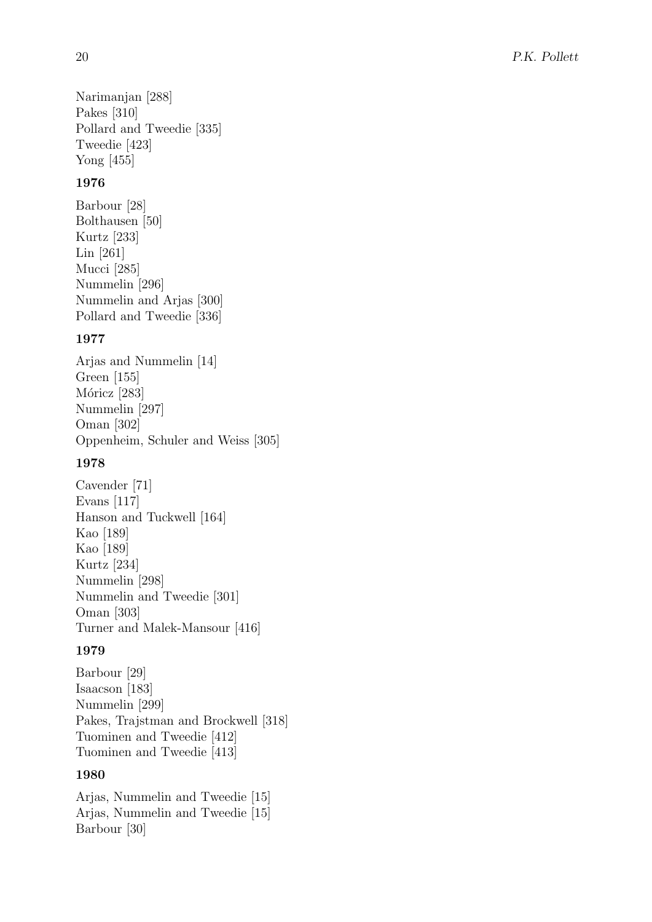Narimanjan [288] Pakes [310] Pollard and Tweedie [335] Tweedie [423] Yong [455]

### 1976

Barbour [28] Bolthausen [50] Kurtz [233] Lin [261] Mucci [285] Nummelin [296] Nummelin and Arjas [300] Pollard and Tweedie [336]

### 1977

Arjas and Nummelin [14] Green [155] Móricz [283] Nummelin [297] Oman [302] Oppenheim, Schuler and Weiss [305]

### 1978

Cavender [71] Evans [117] Hanson and Tuckwell [164] Kao [189] Kao [189] Kurtz [234] Nummelin [298] Nummelin and Tweedie [301] Oman [303] Turner and Malek-Mansour [416]

#### 1979

Barbour [29] Isaacson [183] Nummelin [299] Pakes, Trajstman and Brockwell [318] Tuominen and Tweedie [412] Tuominen and Tweedie [413]

# 1980

Arjas, Nummelin and Tweedie [15] Arjas, Nummelin and Tweedie [15] Barbour [30]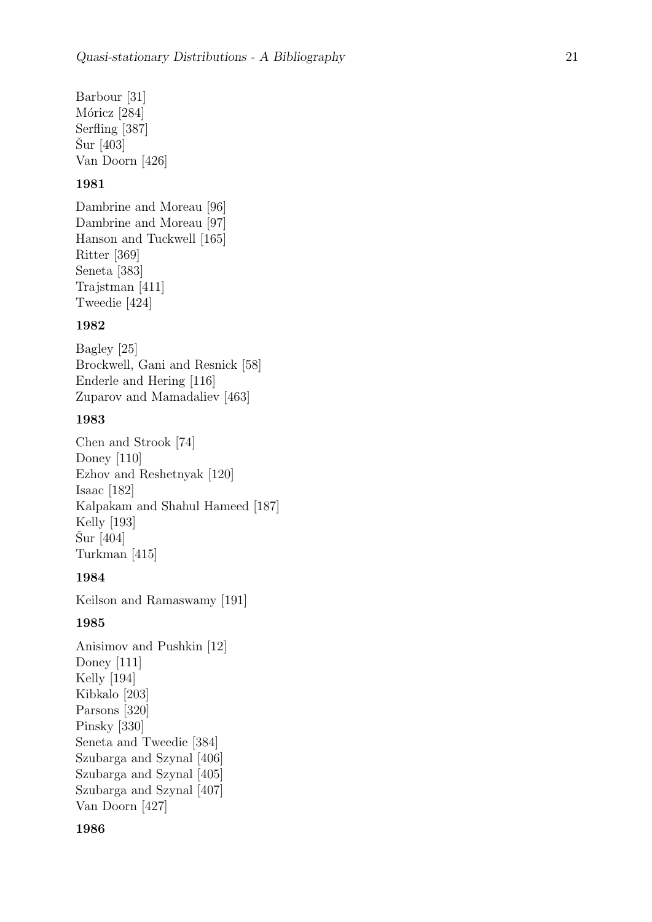Barbour [31] Móricz [284] Serfling [387]  $\text{Sur}$  [403] Van Doorn [426]

#### 1981

Dambrine and Moreau [96] Dambrine and Moreau [97] Hanson and Tuckwell [165] Ritter [369] Seneta [383] Trajstman [411] Tweedie [424]

#### 1982

Bagley [25] Brockwell, Gani and Resnick [58] Enderle and Hering [116] Zuparov and Mamadaliev [463]

### 1983

Chen and Strook [74] Doney [110] Ezhov and Reshetnyak [120] Isaac [182] Kalpakam and Shahul Hameed [187] Kelly [193] Sur  $[404]$ Turkman [415]

#### 1984

Keilson and Ramaswamy [191]

#### 1985

Anisimov and Pushkin [12] Doney [111] Kelly [194] Kibkalo [203] Parsons [320] Pinsky [330] Seneta and Tweedie [384] Szubarga and Szynal [406] Szubarga and Szynal [405] Szubarga and Szynal [407] Van Doorn [427]

#### 1986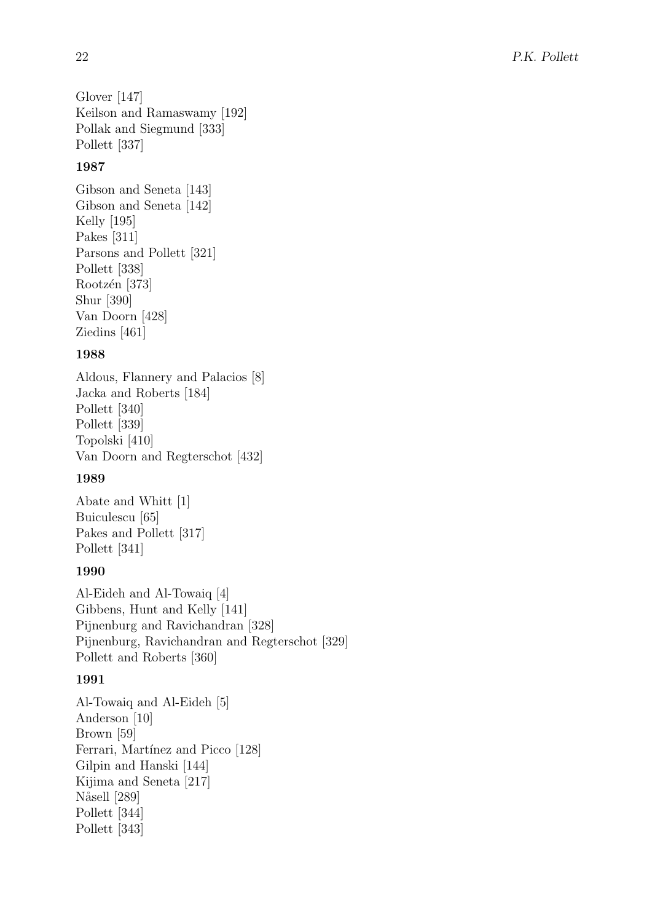Glover [147] Keilson and Ramaswamy [192] Pollak and Siegmund [333] Pollett [337]

# 1987

Gibson and Seneta [143] Gibson and Seneta [142] Kelly [195] Pakes [311] Parsons and Pollett [321] Pollett [338] Rootzén [373] Shur [390] Van Doorn [428] Ziedins [461]

# 1988

Aldous, Flannery and Palacios [8] Jacka and Roberts [184] Pollett [340] Pollett [339] Topolski [410] Van Doorn and Regterschot [432]

# 1989

Abate and Whitt [1] Buiculescu [65] Pakes and Pollett [317] Pollett [341]

# 1990

Al-Eideh and Al-Towaiq [4] Gibbens, Hunt and Kelly [141] Pijnenburg and Ravichandran [328] Pijnenburg, Ravichandran and Regterschot [329] Pollett and Roberts [360]

# 1991

Al-Towaiq and Al-Eideh [5] Anderson [10] Brown [59] Ferrari, Martínez and Picco [128] Gilpin and Hanski [144] Kijima and Seneta [217] Nåsell [289] Pollett [344] Pollett [343]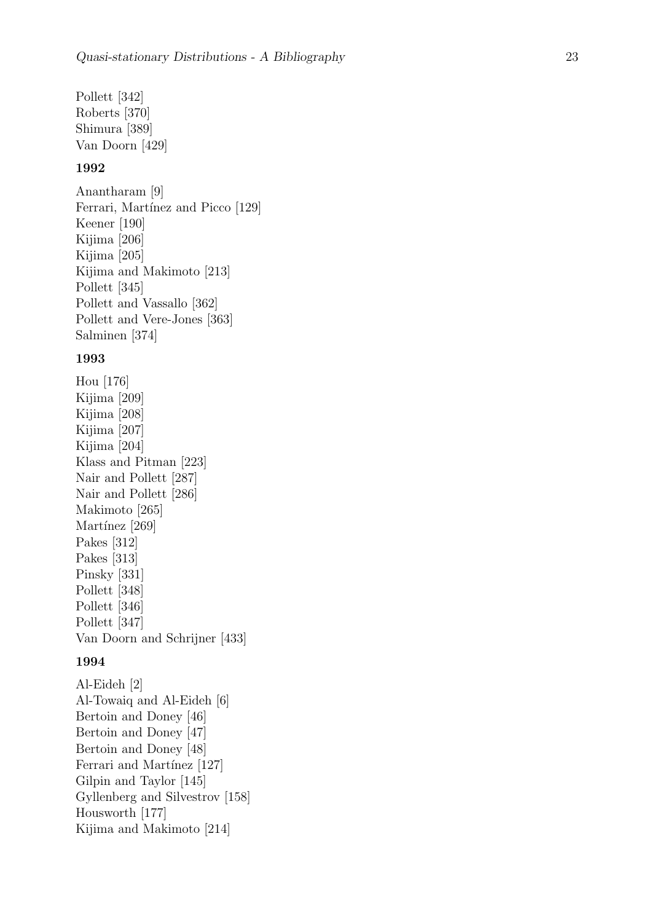Pollett [342] Roberts [370] Shimura [389] Van Doorn [429]

#### 1992

Anantharam [9] Ferrari, Martínez and Picco [129] Keener [190] Kijima [206] Kijima [205] Kijima and Makimoto [213] Pollett [345] Pollett and Vassallo [362] Pollett and Vere-Jones [363] Salminen [374]

#### 1993

Hou [176] Kijima [209] Kijima [208] Kijima [207] Kijima [204] Klass and Pitman [223] Nair and Pollett [287] Nair and Pollett [286] Makimoto [265] Martínez [269] Pakes [312] Pakes [313] Pinsky [331] Pollett [348] Pollett [346] Pollett [347] Van Doorn and Schrijner [433]

#### 1994

Al-Eideh [2] Al-Towaiq and Al-Eideh [6] Bertoin and Doney [46] Bertoin and Doney [47] Bertoin and Doney [48] Ferrari and Martínez [127] Gilpin and Taylor [145] Gyllenberg and Silvestrov [158] Housworth [177] Kijima and Makimoto [214]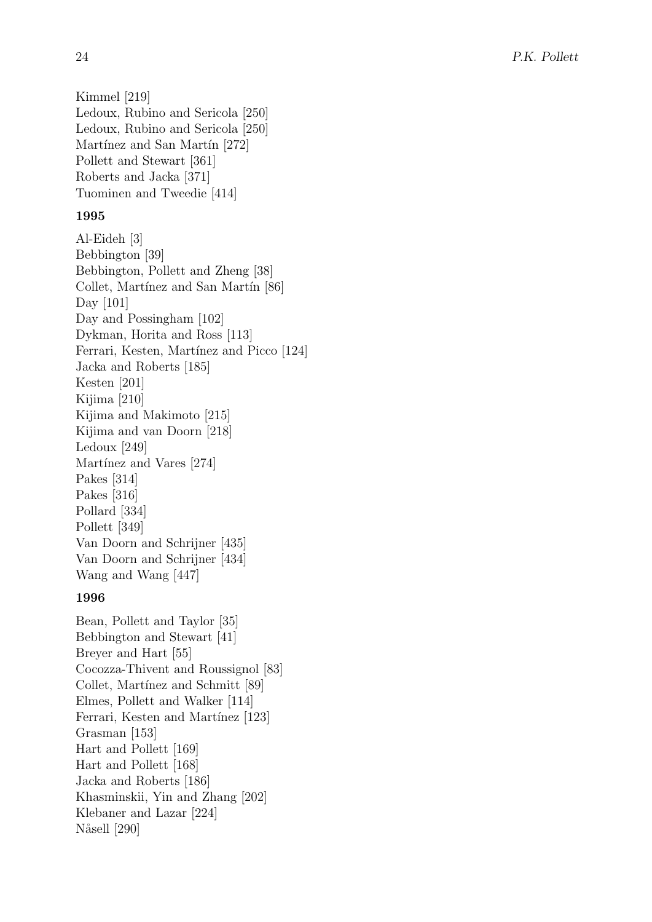Kimmel [219] Ledoux, Rubino and Sericola [250] Ledoux, Rubino and Sericola [250] Martínez and San Martín [272] Pollett and Stewart [361] Roberts and Jacka [371] Tuominen and Tweedie [414]

### 1995

```
Al-Eideh [3]
Bebbington [39]
Bebbington, Pollett and Zheng [38]
Collet, Martínez and San Martín [86]
Day [101]
Day and Possingham [102]
Dykman, Horita and Ross [113]
Ferrari, Kesten, Martínez and Picco [124]
Jacka and Roberts [185]
Kesten [201]
Kijima [210]
Kijima and Makimoto [215]
Kijima and van Doorn [218]
Ledoux [249]
Martínez and Vares [274]
Pakes [314]
Pakes [316]
Pollard [334]
Pollett [349]
Van Doorn and Schrijner [435]
Van Doorn and Schrijner [434]
Wang and Wang [447]
```
# 1996

Bean, Pollett and Taylor [35] Bebbington and Stewart [41] Breyer and Hart [55] Cocozza-Thivent and Roussignol [83] Collet, Martínez and Schmitt [89] Elmes, Pollett and Walker [114] Ferrari, Kesten and Martínez [123] Grasman [153] Hart and Pollett [169] Hart and Pollett [168] Jacka and Roberts [186] Khasminskii, Yin and Zhang [202] Klebaner and Lazar [224] Nåsell [290]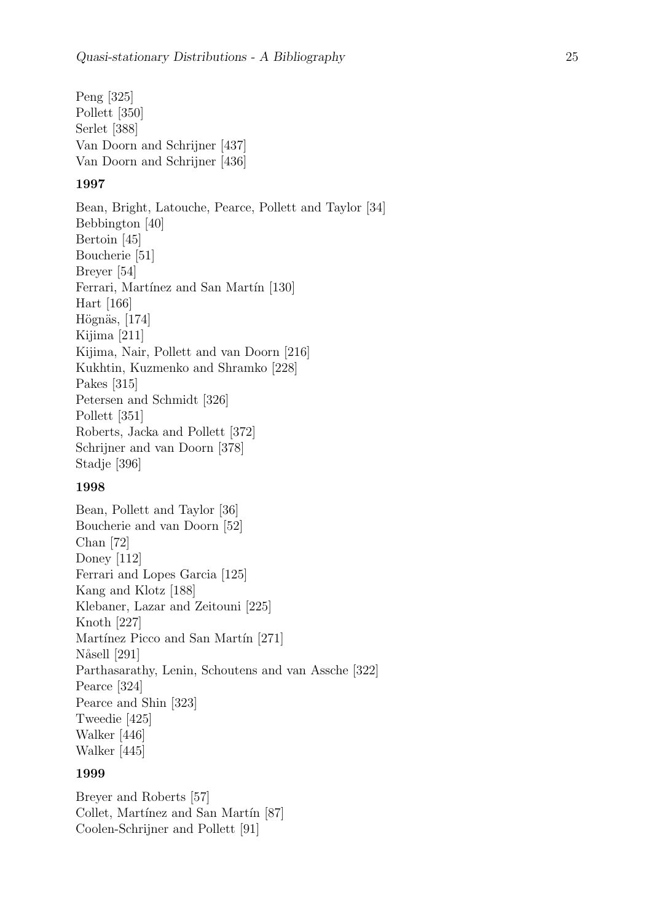Peng [325] Pollett [350] Serlet [388] Van Doorn and Schrijner [437] Van Doorn and Schrijner [436]

#### 1997

Bean, Bright, Latouche, Pearce, Pollett and Taylor [34] Bebbington [40] Bertoin [45] Boucherie [51] Breyer [54] Ferrari, Martínez and San Martín [130] Hart [166] Högnäs, [174] Kijima [211] Kijima, Nair, Pollett and van Doorn [216] Kukhtin, Kuzmenko and Shramko [228] Pakes [315] Petersen and Schmidt [326] Pollett [351] Roberts, Jacka and Pollett [372] Schrijner and van Doorn [378] Stadje [396]

### 1998

Bean, Pollett and Taylor [36] Boucherie and van Doorn [52] Chan [72] Doney [112] Ferrari and Lopes Garcia [125] Kang and Klotz [188] Klebaner, Lazar and Zeitouni [225] Knoth [227] Martínez Picco and San Martín [271] Nåsell [291] Parthasarathy, Lenin, Schoutens and van Assche [322] Pearce [324] Pearce and Shin [323] Tweedie [425] Walker [446] Walker [445]

### 1999

Breyer and Roberts [57] Collet, Martínez and San Martín [87] Coolen-Schrijner and Pollett [91]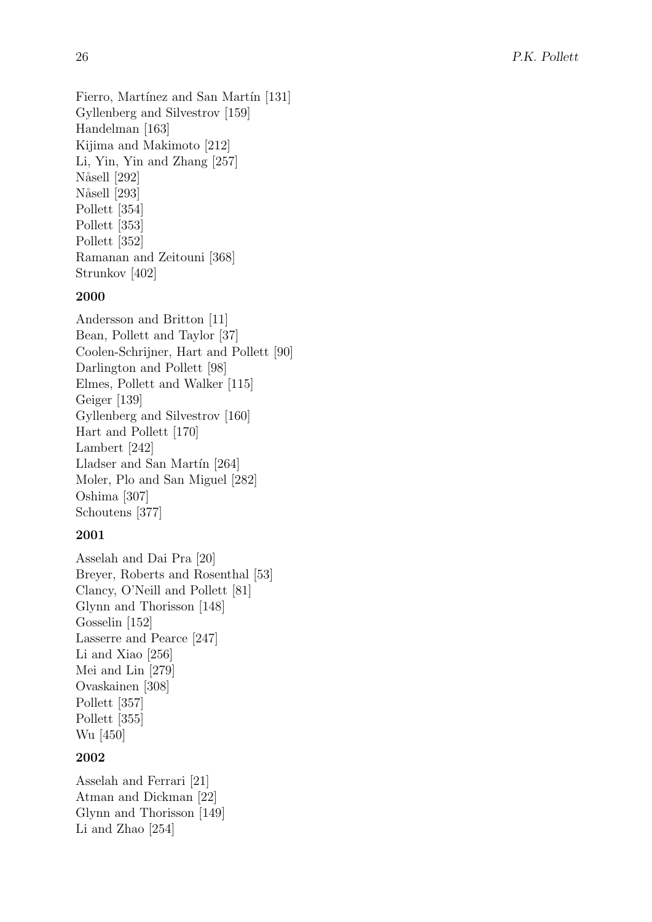Fierro, Martínez and San Martín [131] Gyllenberg and Silvestrov [159] Handelman [163] Kijima and Makimoto [212] Li, Yin, Yin and Zhang [257] Nåsell [292] Nåsell [293] Pollett [354] Pollett [353] Pollett [352] Ramanan and Zeitouni [368] Strunkov [402]

### 2000

Andersson and Britton [11] Bean, Pollett and Taylor [37] Coolen-Schrijner, Hart and Pollett [90] Darlington and Pollett [98] Elmes, Pollett and Walker [115] Geiger [139] Gyllenberg and Silvestrov [160] Hart and Pollett [170] Lambert [242] Lladser and San Martín  $[264]$ Moler, Plo and San Miguel [282] Oshima [307] Schoutens [377]

### 2001

Asselah and Dai Pra [20] Breyer, Roberts and Rosenthal [53] Clancy, O'Neill and Pollett [81] Glynn and Thorisson [148] Gosselin [152] Lasserre and Pearce [247] Li and Xiao [256] Mei and Lin [279] Ovaskainen [308] Pollett [357] Pollett [355] Wu [450]

#### 2002

Asselah and Ferrari [21] Atman and Dickman [22] Glynn and Thorisson [149] Li and Zhao [254]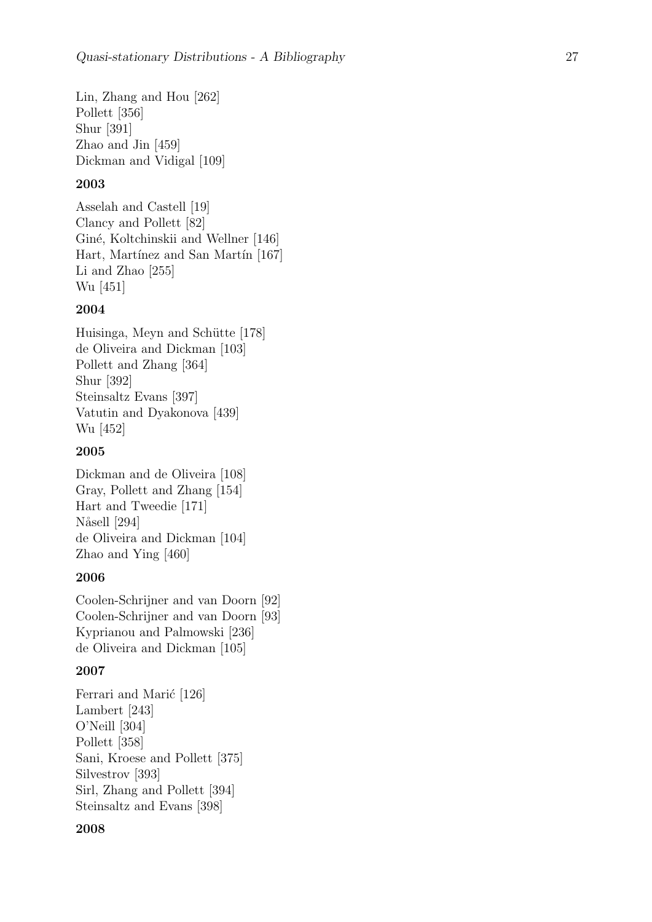Lin, Zhang and Hou [262] Pollett [356] Shur [391] Zhao and Jin [459] Dickman and Vidigal [109]

### 2003

Asselah and Castell [19] Clancy and Pollett [82] Giné, Koltchinskii and Wellner [146] Hart, Martínez and San Martín [167] Li and Zhao [255] Wu [451]

### 2004

Huisinga, Meyn and Schütte [178] de Oliveira and Dickman [103] Pollett and Zhang [364] Shur [392] Steinsaltz Evans [397] Vatutin and Dyakonova [439] Wu [452]

### 2005

Dickman and de Oliveira [108] Gray, Pollett and Zhang [154] Hart and Tweedie [171] Nåsell [294] de Oliveira and Dickman [104] Zhao and Ying [460]

### 2006

Coolen-Schrijner and van Doorn [92] Coolen-Schrijner and van Doorn [93] Kyprianou and Palmowski [236] de Oliveira and Dickman [105]

### 2007

```
Ferrari and Marić [126]
Lambert [243]
O'Neill [304]
Pollett [358]
Sani, Kroese and Pollett [375]
Silvestrov [393]
Sirl, Zhang and Pollett [394]
Steinsaltz and Evans [398]
```
#### 2008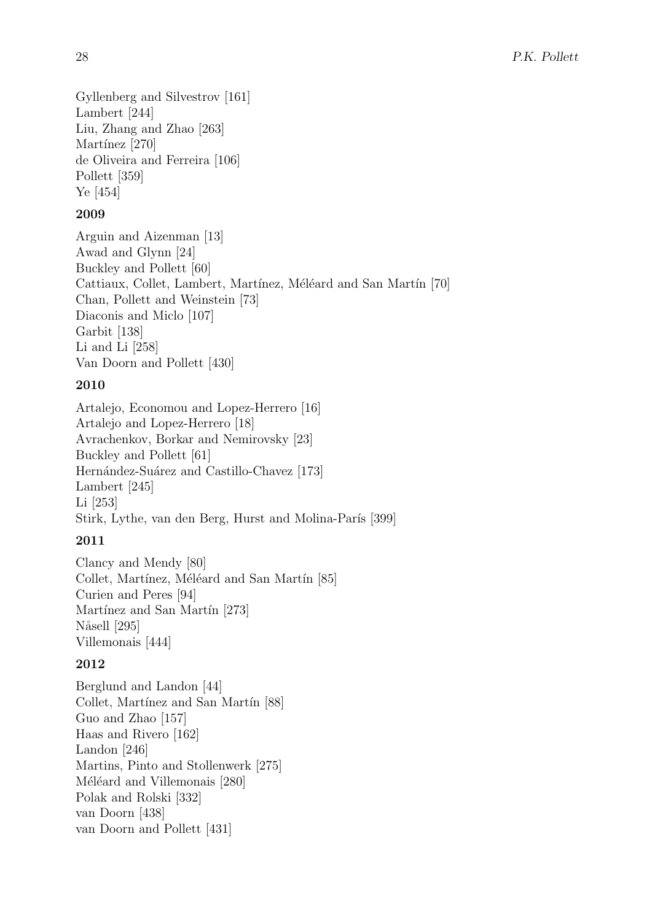Gyllenberg and Silvestrov [161] Lambert [244] Liu, Zhang and Zhao [263] Martínez [270] de Oliveira and Ferreira [106] Pollett [359] Ye [454]

# 2009

Arguin and Aizenman [13] Awad and Glynn [24] Buckley and Pollett [60] Cattiaux, Collet, Lambert, Martínez, Méléard and San Martín [70] Chan, Pollett and Weinstein [73] Diaconis and Miclo [107] Garbit [138] Li and Li [258] Van Doorn and Pollett [430]

# 2010

Artalejo, Economou and Lopez-Herrero [16] Artalejo and Lopez-Herrero [18] Avrachenkov, Borkar and Nemirovsky [23] Buckley and Pollett [61] Hernández-Suárez and Castillo-Chavez [173] Lambert [245] Li [253] Stirk, Lythe, van den Berg, Hurst and Molina-París [399]

# 2011

Clancy and Mendy [80] Collet, Martínez, Méléard and San Martín [85] Curien and Peres [94] Martínez and San Martín [273] Nåsell [295] Villemonais [444]

# 2012

Berglund and Landon [44] Collet, Martínez and San Martín [88] Guo and Zhao [157] Haas and Rivero [162] Landon [246] Martins, Pinto and Stollenwerk [275] Méléard and Villemonais [280] Polak and Rolski [332] van Doorn [438] van Doorn and Pollett [431]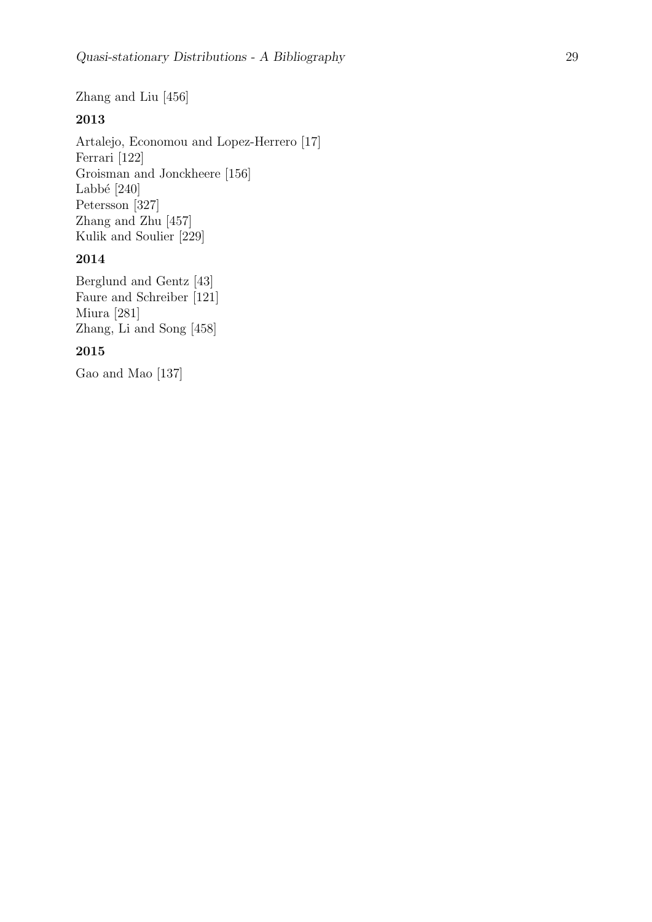Zhang and Liu [456]

### 2013

Artalejo, Economou and Lopez-Herrero [17] Ferrari [122] Groisman and Jonckheere [156] Labbé  $[240]$ Petersson [327] Zhang and Zhu [457] Kulik and Soulier [229]

### 2014

Berglund and Gentz [43] Faure and Schreiber [121] Miura [281] Zhang, Li and Song [458]

### 2015

Gao and Mao [137]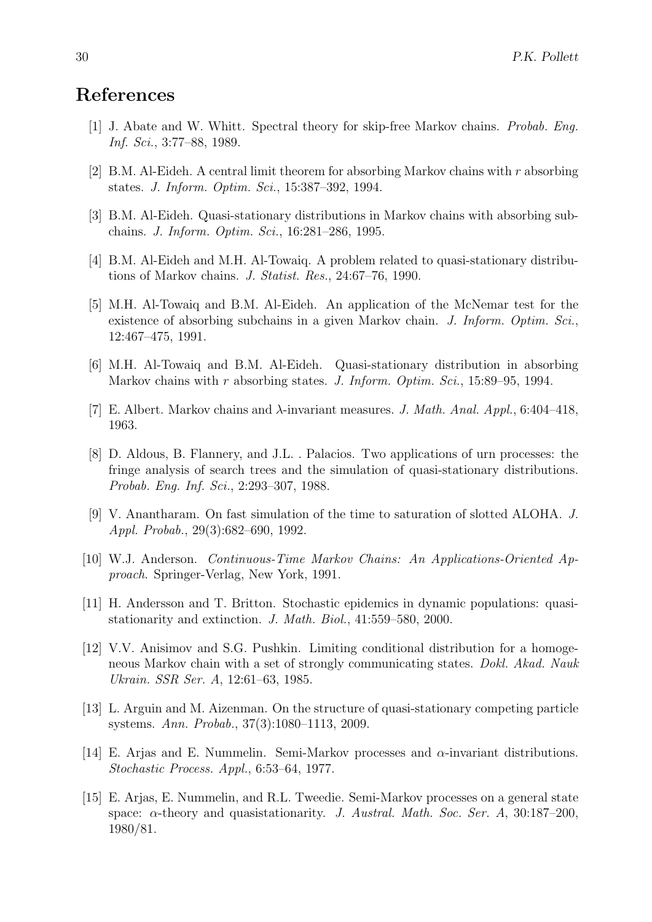# References

- [1] J. Abate and W. Whitt. Spectral theory for skip-free Markov chains. Probab. Eng. Inf. Sci., 3:77–88, 1989.
- [2] B.M. Al-Eideh. A central limit theorem for absorbing Markov chains with r absorbing states. J. Inform. Optim. Sci., 15:387–392, 1994.
- [3] B.M. Al-Eideh. Quasi-stationary distributions in Markov chains with absorbing subchains. J. Inform. Optim. Sci., 16:281–286, 1995.
- [4] B.M. Al-Eideh and M.H. Al-Towaiq. A problem related to quasi-stationary distributions of Markov chains. J. Statist. Res., 24:67–76, 1990.
- [5] M.H. Al-Towaiq and B.M. Al-Eideh. An application of the McNemar test for the existence of absorbing subchains in a given Markov chain. J. Inform. Optim. Sci., 12:467–475, 1991.
- [6] M.H. Al-Towaiq and B.M. Al-Eideh. Quasi-stationary distribution in absorbing Markov chains with  $r$  absorbing states. J. Inform. Optim. Sci., 15:89–95, 1994.
- [7] E. Albert. Markov chains and  $\lambda$ -invariant measures. J. Math. Anal. Appl., 6:404–418, 1963.
- [8] D. Aldous, B. Flannery, and J.L. . Palacios. Two applications of urn processes: the fringe analysis of search trees and the simulation of quasi-stationary distributions. Probab. Eng. Inf. Sci., 2:293–307, 1988.
- [9] V. Anantharam. On fast simulation of the time to saturation of slotted ALOHA. J. Appl. Probab., 29(3):682–690, 1992.
- [10] W.J. Anderson. Continuous-Time Markov Chains: An Applications-Oriented Approach. Springer-Verlag, New York, 1991.
- [11] H. Andersson and T. Britton. Stochastic epidemics in dynamic populations: quasistationarity and extinction. J. Math. Biol., 41:559–580, 2000.
- [12] V.V. Anisimov and S.G. Pushkin. Limiting conditional distribution for a homogeneous Markov chain with a set of strongly communicating states. Dokl. Akad. Nauk Ukrain. SSR Ser. A, 12:61–63, 1985.
- [13] L. Arguin and M. Aizenman. On the structure of quasi-stationary competing particle systems. Ann. Probab., 37(3):1080–1113, 2009.
- [14] E. Arjas and E. Nummelin. Semi-Markov processes and α-invariant distributions. Stochastic Process. Appl., 6:53–64, 1977.
- [15] E. Arjas, E. Nummelin, and R.L. Tweedie. Semi-Markov processes on a general state space:  $\alpha$ -theory and quasistationarity. J. Austral. Math. Soc. Ser. A, 30:187–200, 1980/81.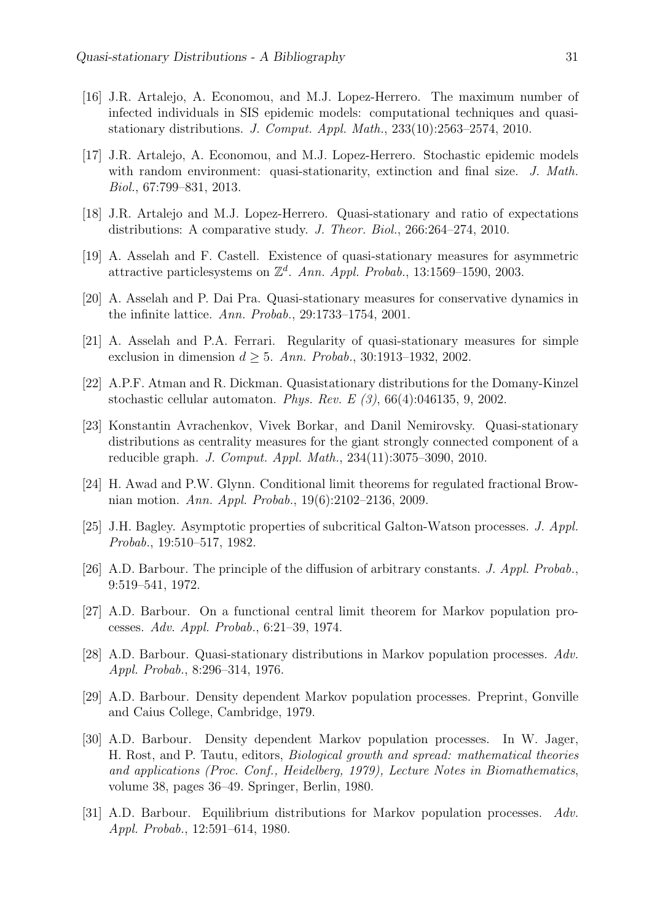- [16] J.R. Artalejo, A. Economou, and M.J. Lopez-Herrero. The maximum number of infected individuals in SIS epidemic models: computational techniques and quasistationary distributions. J. Comput. Appl. Math., 233(10):2563–2574, 2010.
- [17] J.R. Artalejo, A. Economou, and M.J. Lopez-Herrero. Stochastic epidemic models with random environment: quasi-stationarity, extinction and final size. J. Math. Biol., 67:799–831, 2013.
- [18] J.R. Artalejo and M.J. Lopez-Herrero. Quasi-stationary and ratio of expectations distributions: A comparative study. J. Theor. Biol., 266:264–274, 2010.
- [19] A. Asselah and F. Castell. Existence of quasi-stationary measures for asymmetric attractive particlesystems on  $\mathbb{Z}^d$ . Ann. Appl. Probab., 13:1569–1590, 2003.
- [20] A. Asselah and P. Dai Pra. Quasi-stationary measures for conservative dynamics in the infinite lattice. Ann. Probab., 29:1733–1754, 2001.
- [21] A. Asselah and P.A. Ferrari. Regularity of quasi-stationary measures for simple exclusion in dimension  $d \geq 5$ . Ann. Probab., 30:1913–1932, 2002.
- [22] A.P.F. Atman and R. Dickman. Quasistationary distributions for the Domany-Kinzel stochastic cellular automaton. Phys. Rev. E  $(3)$ , 66(4):046135, 9, 2002.
- [23] Konstantin Avrachenkov, Vivek Borkar, and Danil Nemirovsky. Quasi-stationary distributions as centrality measures for the giant strongly connected component of a reducible graph. J. Comput. Appl. Math., 234(11):3075–3090, 2010.
- [24] H. Awad and P.W. Glynn. Conditional limit theorems for regulated fractional Brownian motion. Ann. Appl. Probab., 19(6):2102–2136, 2009.
- [25] J.H. Bagley. Asymptotic properties of subcritical Galton-Watson processes. J. Appl. Probab., 19:510–517, 1982.
- [26] A.D. Barbour. The principle of the diffusion of arbitrary constants. J. Appl. Probab., 9:519–541, 1972.
- [27] A.D. Barbour. On a functional central limit theorem for Markov population processes. Adv. Appl. Probab., 6:21–39, 1974.
- [28] A.D. Barbour. Quasi-stationary distributions in Markov population processes. Adv. Appl. Probab., 8:296–314, 1976.
- [29] A.D. Barbour. Density dependent Markov population processes. Preprint, Gonville and Caius College, Cambridge, 1979.
- [30] A.D. Barbour. Density dependent Markov population processes. In W. Jager, H. Rost, and P. Tautu, editors, Biological growth and spread: mathematical theories and applications (Proc. Conf., Heidelberg, 1979), Lecture Notes in Biomathematics, volume 38, pages 36–49. Springer, Berlin, 1980.
- [31] A.D. Barbour. Equilibrium distributions for Markov population processes. Adv. Appl. Probab., 12:591–614, 1980.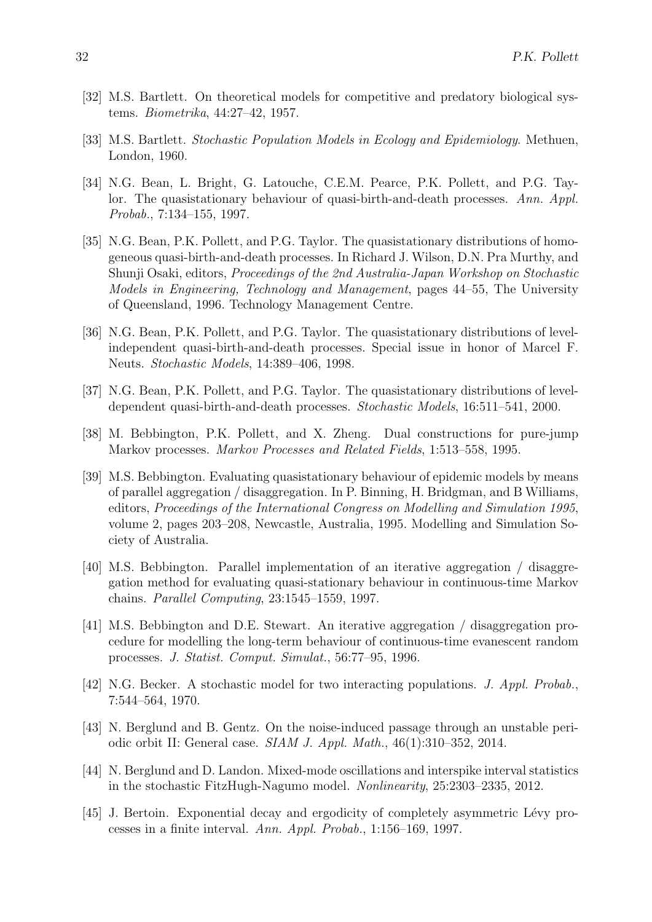- [32] M.S. Bartlett. On theoretical models for competitive and predatory biological systems. Biometrika, 44:27–42, 1957.
- [33] M.S. Bartlett. Stochastic Population Models in Ecology and Epidemiology. Methuen, London, 1960.
- [34] N.G. Bean, L. Bright, G. Latouche, C.E.M. Pearce, P.K. Pollett, and P.G. Taylor. The quasistationary behaviour of quasi-birth-and-death processes. Ann. Appl. Probab., 7:134–155, 1997.
- [35] N.G. Bean, P.K. Pollett, and P.G. Taylor. The quasistationary distributions of homogeneous quasi-birth-and-death processes. In Richard J. Wilson, D.N. Pra Murthy, and Shunji Osaki, editors, Proceedings of the 2nd Australia-Japan Workshop on Stochastic Models in Engineering, Technology and Management, pages 44–55, The University of Queensland, 1996. Technology Management Centre.
- [36] N.G. Bean, P.K. Pollett, and P.G. Taylor. The quasistationary distributions of levelindependent quasi-birth-and-death processes. Special issue in honor of Marcel F. Neuts. Stochastic Models, 14:389–406, 1998.
- [37] N.G. Bean, P.K. Pollett, and P.G. Taylor. The quasistationary distributions of leveldependent quasi-birth-and-death processes. Stochastic Models, 16:511–541, 2000.
- [38] M. Bebbington, P.K. Pollett, and X. Zheng. Dual constructions for pure-jump Markov processes. Markov Processes and Related Fields, 1:513–558, 1995.
- [39] M.S. Bebbington. Evaluating quasistationary behaviour of epidemic models by means of parallel aggregation / disaggregation. In P. Binning, H. Bridgman, and B Williams, editors, Proceedings of the International Congress on Modelling and Simulation 1995, volume 2, pages 203–208, Newcastle, Australia, 1995. Modelling and Simulation Society of Australia.
- [40] M.S. Bebbington. Parallel implementation of an iterative aggregation / disaggregation method for evaluating quasi-stationary behaviour in continuous-time Markov chains. Parallel Computing, 23:1545–1559, 1997.
- [41] M.S. Bebbington and D.E. Stewart. An iterative aggregation / disaggregation procedure for modelling the long-term behaviour of continuous-time evanescent random processes. J. Statist. Comput. Simulat., 56:77–95, 1996.
- [42] N.G. Becker. A stochastic model for two interacting populations. J. Appl. Probab., 7:544–564, 1970.
- [43] N. Berglund and B. Gentz. On the noise-induced passage through an unstable periodic orbit II: General case. SIAM J. Appl. Math., 46(1):310–352, 2014.
- [44] N. Berglund and D. Landon. Mixed-mode oscillations and interspike interval statistics in the stochastic FitzHugh-Nagumo model. Nonlinearity, 25:2303–2335, 2012.
- [45] J. Bertoin. Exponential decay and ergodicity of completely asymmetric Lévy processes in a finite interval. Ann. Appl. Probab., 1:156–169, 1997.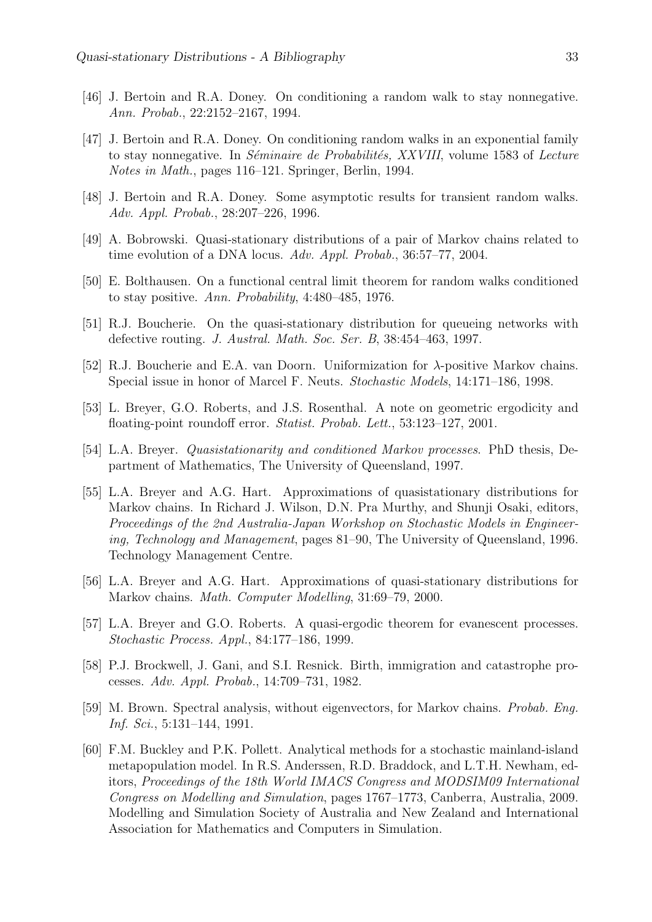- [46] J. Bertoin and R.A. Doney. On conditioning a random walk to stay nonnegative. Ann. Probab., 22:2152–2167, 1994.
- [47] J. Bertoin and R.A. Doney. On conditioning random walks in an exponential family to stay nonnegative. In *Séminaire de Probabilités, XXVIII*, volume 1583 of *Lecture* Notes in Math., pages 116–121. Springer, Berlin, 1994.
- [48] J. Bertoin and R.A. Doney. Some asymptotic results for transient random walks. Adv. Appl. Probab., 28:207–226, 1996.
- [49] A. Bobrowski. Quasi-stationary distributions of a pair of Markov chains related to time evolution of a DNA locus. Adv. Appl. Probab., 36:57–77, 2004.
- [50] E. Bolthausen. On a functional central limit theorem for random walks conditioned to stay positive. Ann. Probability, 4:480–485, 1976.
- [51] R.J. Boucherie. On the quasi-stationary distribution for queueing networks with defective routing. J. Austral. Math. Soc. Ser. B, 38:454–463, 1997.
- [52] R.J. Boucherie and E.A. van Doorn. Uniformization for  $\lambda$ -positive Markov chains. Special issue in honor of Marcel F. Neuts. Stochastic Models, 14:171–186, 1998.
- [53] L. Breyer, G.O. Roberts, and J.S. Rosenthal. A note on geometric ergodicity and floating-point roundoff error. Statist. Probab. Lett., 53:123–127, 2001.
- [54] L.A. Breyer. Quasistationarity and conditioned Markov processes. PhD thesis, Department of Mathematics, The University of Queensland, 1997.
- [55] L.A. Breyer and A.G. Hart. Approximations of quasistationary distributions for Markov chains. In Richard J. Wilson, D.N. Pra Murthy, and Shunji Osaki, editors, Proceedings of the 2nd Australia-Japan Workshop on Stochastic Models in Engineering, Technology and Management, pages 81–90, The University of Queensland, 1996. Technology Management Centre.
- [56] L.A. Breyer and A.G. Hart. Approximations of quasi-stationary distributions for Markov chains. Math. Computer Modelling, 31:69–79, 2000.
- [57] L.A. Breyer and G.O. Roberts. A quasi-ergodic theorem for evanescent processes. Stochastic Process. Appl., 84:177–186, 1999.
- [58] P.J. Brockwell, J. Gani, and S.I. Resnick. Birth, immigration and catastrophe processes. Adv. Appl. Probab., 14:709–731, 1982.
- [59] M. Brown. Spectral analysis, without eigenvectors, for Markov chains. Probab. Eng. Inf. Sci., 5:131–144, 1991.
- [60] F.M. Buckley and P.K. Pollett. Analytical methods for a stochastic mainland-island metapopulation model. In R.S. Anderssen, R.D. Braddock, and L.T.H. Newham, editors, Proceedings of the 18th World IMACS Congress and MODSIM09 International Congress on Modelling and Simulation, pages 1767–1773, Canberra, Australia, 2009. Modelling and Simulation Society of Australia and New Zealand and International Association for Mathematics and Computers in Simulation.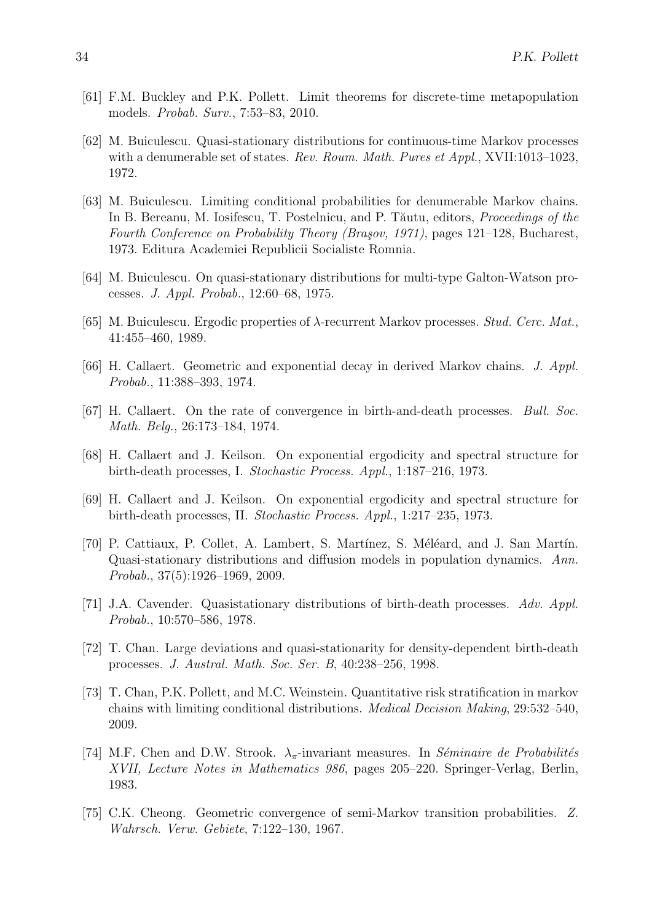- [61] F.M. Buckley and P.K. Pollett. Limit theorems for discrete-time metapopulation models. Probab. Surv., 7:53–83, 2010.
- [62] M. Buiculescu. Quasi-stationary distributions for continuous-time Markov processes with a denumerable set of states. Rev. Roum. Math. Pures et Appl., XVII:1013-1023, 1972.
- [63] M. Buiculescu. Limiting conditional probabilities for denumerable Markov chains. In B. Bereanu, M. Iosifescu, T. Postelnicu, and P. Tăutu, editors, *Proceedings of the* Fourth Conference on Probability Theory (Braşov, 1971), pages 121–128, Bucharest, 1973. Editura Academiei Republicii Socialiste Romnia.
- [64] M. Buiculescu. On quasi-stationary distributions for multi-type Galton-Watson processes. J. Appl. Probab., 12:60–68, 1975.
- [65] M. Buiculescu. Ergodic properties of λ-recurrent Markov processes. Stud. Cerc. Mat., 41:455–460, 1989.
- [66] H. Callaert. Geometric and exponential decay in derived Markov chains. J. Appl. Probab., 11:388–393, 1974.
- [67] H. Callaert. On the rate of convergence in birth-and-death processes. Bull. Soc. Math. Belg., 26:173–184, 1974.
- [68] H. Callaert and J. Keilson. On exponential ergodicity and spectral structure for birth-death processes, I. Stochastic Process. Appl., 1:187–216, 1973.
- [69] H. Callaert and J. Keilson. On exponential ergodicity and spectral structure for birth-death processes, II. Stochastic Process. Appl., 1:217–235, 1973.
- [70] P. Cattiaux, P. Collet, A. Lambert, S. Martínez, S. Méléard, and J. San Martín. Quasi-stationary distributions and diffusion models in population dynamics. Ann. Probab., 37(5):1926–1969, 2009.
- [71] J.A. Cavender. Quasistationary distributions of birth-death processes. Adv. Appl. Probab., 10:570–586, 1978.
- [72] T. Chan. Large deviations and quasi-stationarity for density-dependent birth-death processes. J. Austral. Math. Soc. Ser. B, 40:238–256, 1998.
- [73] T. Chan, P.K. Pollett, and M.C. Weinstein. Quantitative risk stratification in markov chains with limiting conditional distributions. Medical Decision Making, 29:532–540, 2009.
- [74] M.F. Chen and D.W. Strook.  $\lambda_{\pi}$ -invariant measures. In Séminaire de Probabilités XVII, Lecture Notes in Mathematics 986, pages 205–220. Springer-Verlag, Berlin, 1983.
- [75] C.K. Cheong. Geometric convergence of semi-Markov transition probabilities. Z. Wahrsch. Verw. Gebiete, 7:122–130, 1967.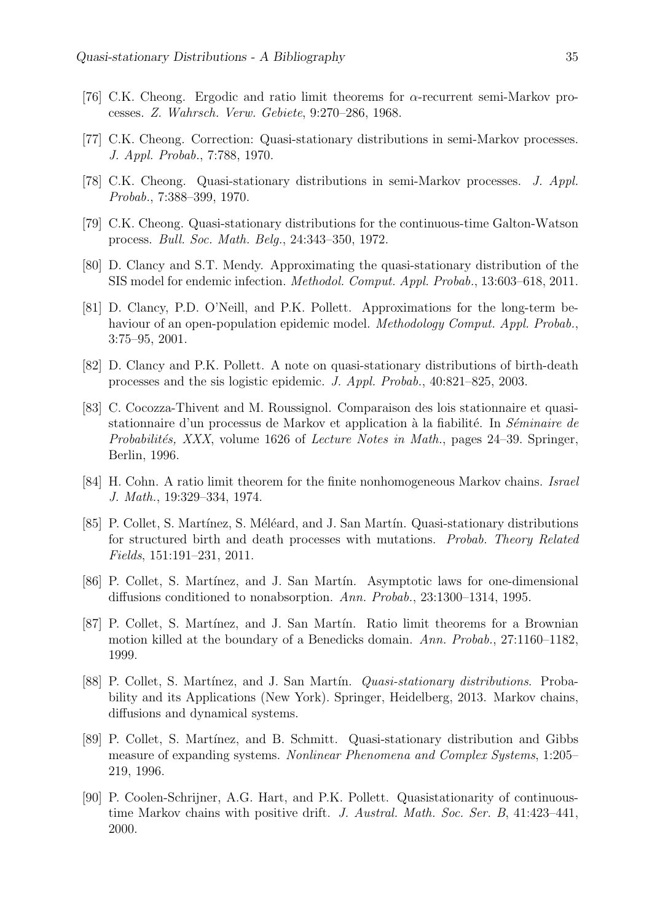- [76] C.K. Cheong. Ergodic and ratio limit theorems for  $\alpha$ -recurrent semi-Markov processes. Z. Wahrsch. Verw. Gebiete, 9:270–286, 1968.
- [77] C.K. Cheong. Correction: Quasi-stationary distributions in semi-Markov processes. J. Appl. Probab., 7:788, 1970.
- [78] C.K. Cheong. Quasi-stationary distributions in semi-Markov processes. J. Appl. Probab., 7:388–399, 1970.
- [79] C.K. Cheong. Quasi-stationary distributions for the continuous-time Galton-Watson process. Bull. Soc. Math. Belg., 24:343–350, 1972.
- [80] D. Clancy and S.T. Mendy. Approximating the quasi-stationary distribution of the SIS model for endemic infection. Methodol. Comput. Appl. Probab., 13:603–618, 2011.
- [81] D. Clancy, P.D. O'Neill, and P.K. Pollett. Approximations for the long-term behaviour of an open-population epidemic model. Methodology Comput. Appl. Probab., 3:75–95, 2001.
- [82] D. Clancy and P.K. Pollett. A note on quasi-stationary distributions of birth-death processes and the sis logistic epidemic. J. Appl. Probab., 40:821–825, 2003.
- [83] C. Cocozza-Thivent and M. Roussignol. Comparaison des lois stationnaire et quasistationnaire d'un processus de Markov et application à la fiabilité. In Séminaire de Probabilités, XXX, volume 1626 of Lecture Notes in Math., pages 24–39. Springer, Berlin, 1996.
- [84] H. Cohn. A ratio limit theorem for the finite nonhomogeneous Markov chains. Israel J. Math., 19:329–334, 1974.
- [85] P. Collet, S. Martínez, S. Méléard, and J. San Martín. Quasi-stationary distributions for structured birth and death processes with mutations. Probab. Theory Related Fields, 151:191–231, 2011.
- [86] P. Collet, S. Martínez, and J. San Martín. Asymptotic laws for one-dimensional diffusions conditioned to nonabsorption. Ann. Probab., 23:1300–1314, 1995.
- [87] P. Collet, S. Martínez, and J. San Martín. Ratio limit theorems for a Brownian motion killed at the boundary of a Benedicks domain. Ann. Probab., 27:1160–1182, 1999.
- [88] P. Collet, S. Martínez, and J. San Martín. *Quasi-stationary distributions*. Probability and its Applications (New York). Springer, Heidelberg, 2013. Markov chains, diffusions and dynamical systems.
- [89] P. Collet, S. Martínez, and B. Schmitt. Quasi-stationary distribution and Gibbs measure of expanding systems. Nonlinear Phenomena and Complex Systems, 1:205– 219, 1996.
- [90] P. Coolen-Schrijner, A.G. Hart, and P.K. Pollett. Quasistationarity of continuoustime Markov chains with positive drift. J. Austral. Math. Soc. Ser. B, 41:423–441, 2000.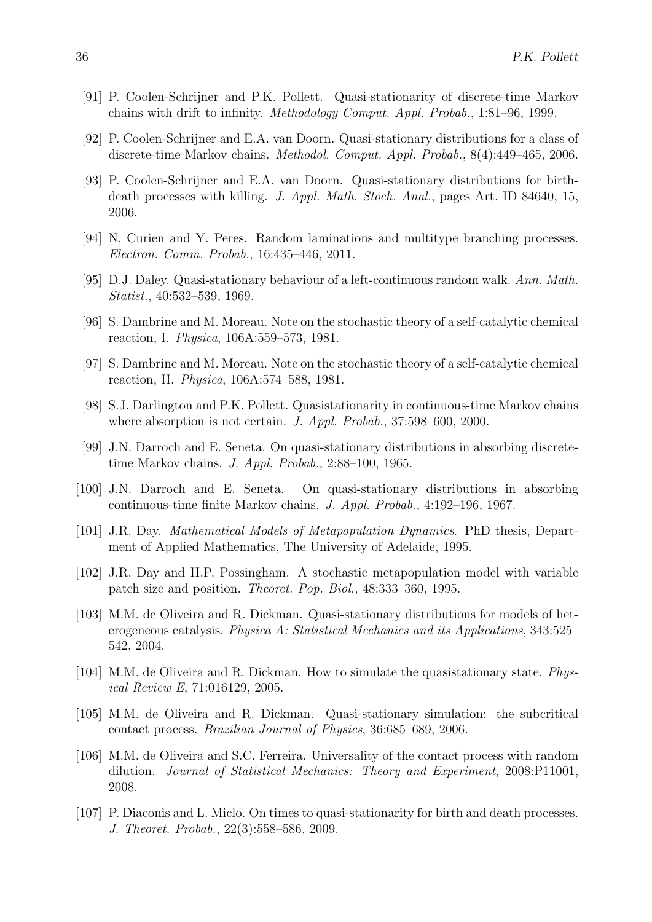- [91] P. Coolen-Schrijner and P.K. Pollett. Quasi-stationarity of discrete-time Markov chains with drift to infinity. Methodology Comput. Appl. Probab., 1:81–96, 1999.
- [92] P. Coolen-Schrijner and E.A. van Doorn. Quasi-stationary distributions for a class of discrete-time Markov chains. Methodol. Comput. Appl. Probab., 8(4):449–465, 2006.
- [93] P. Coolen-Schrijner and E.A. van Doorn. Quasi-stationary distributions for birthdeath processes with killing. J. Appl. Math. Stoch. Anal., pages Art. ID 84640, 15, 2006.
- [94] N. Curien and Y. Peres. Random laminations and multitype branching processes. Electron. Comm. Probab., 16:435–446, 2011.
- [95] D.J. Daley. Quasi-stationary behaviour of a left-continuous random walk. Ann. Math. Statist., 40:532–539, 1969.
- [96] S. Dambrine and M. Moreau. Note on the stochastic theory of a self-catalytic chemical reaction, I. Physica, 106A:559–573, 1981.
- [97] S. Dambrine and M. Moreau. Note on the stochastic theory of a self-catalytic chemical reaction, II. Physica, 106A:574–588, 1981.
- [98] S.J. Darlington and P.K. Pollett. Quasistationarity in continuous-time Markov chains where absorption is not certain. J. Appl. Probab., 37:598–600, 2000.
- [99] J.N. Darroch and E. Seneta. On quasi-stationary distributions in absorbing discretetime Markov chains. J. Appl. Probab., 2:88–100, 1965.
- [100] J.N. Darroch and E. Seneta. On quasi-stationary distributions in absorbing continuous-time finite Markov chains. J. Appl. Probab., 4:192–196, 1967.
- [101] J.R. Day. Mathematical Models of Metapopulation Dynamics. PhD thesis, Department of Applied Mathematics, The University of Adelaide, 1995.
- [102] J.R. Day and H.P. Possingham. A stochastic metapopulation model with variable patch size and position. Theoret. Pop. Biol., 48:333–360, 1995.
- [103] M.M. de Oliveira and R. Dickman. Quasi-stationary distributions for models of heterogeneous catalysis. Physica A: Statistical Mechanics and its Applications, 343:525– 542, 2004.
- [104] M.M. de Oliveira and R. Dickman. How to simulate the quasistationary state. *Phys*ical Review E, 71:016129, 2005.
- [105] M.M. de Oliveira and R. Dickman. Quasi-stationary simulation: the subcritical contact process. Brazilian Journal of Physics, 36:685–689, 2006.
- [106] M.M. de Oliveira and S.C. Ferreira. Universality of the contact process with random dilution. Journal of Statistical Mechanics: Theory and Experiment, 2008:P11001, 2008.
- [107] P. Diaconis and L. Miclo. On times to quasi-stationarity for birth and death processes. J. Theoret. Probab., 22(3):558–586, 2009.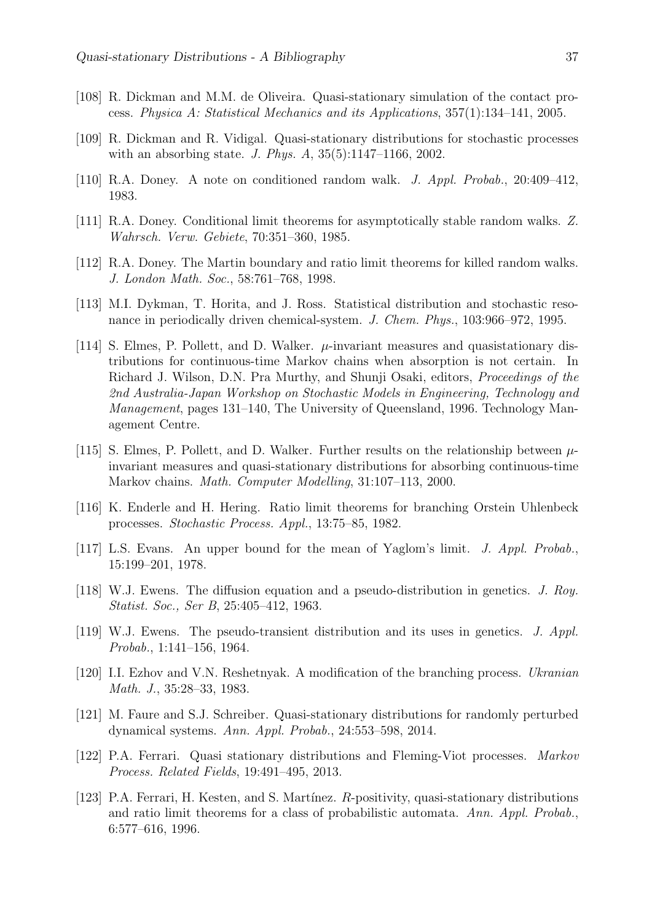- [108] R. Dickman and M.M. de Oliveira. Quasi-stationary simulation of the contact process. Physica A: Statistical Mechanics and its Applications, 357(1):134–141, 2005.
- [109] R. Dickman and R. Vidigal. Quasi-stationary distributions for stochastic processes with an absorbing state. J. Phys. A, 35(5):1147–1166, 2002.
- [110] R.A. Doney. A note on conditioned random walk. J. Appl. Probab., 20:409–412, 1983.
- [111] R.A. Doney. Conditional limit theorems for asymptotically stable random walks. Z. Wahrsch. Verw. Gebiete, 70:351–360, 1985.
- [112] R.A. Doney. The Martin boundary and ratio limit theorems for killed random walks. J. London Math. Soc., 58:761–768, 1998.
- [113] M.I. Dykman, T. Horita, and J. Ross. Statistical distribution and stochastic resonance in periodically driven chemical-system. J. Chem. Phys., 103:966–972, 1995.
- [114] S. Elmes, P. Pollett, and D. Walker.  $\mu$ -invariant measures and quasistationary distributions for continuous-time Markov chains when absorption is not certain. In Richard J. Wilson, D.N. Pra Murthy, and Shunji Osaki, editors, Proceedings of the 2nd Australia-Japan Workshop on Stochastic Models in Engineering, Technology and Management, pages 131–140, The University of Queensland, 1996. Technology Management Centre.
- [115] S. Elmes, P. Pollett, and D. Walker. Further results on the relationship between  $\mu$ invariant measures and quasi-stationary distributions for absorbing continuous-time Markov chains. Math. Computer Modelling, 31:107–113, 2000.
- [116] K. Enderle and H. Hering. Ratio limit theorems for branching Orstein Uhlenbeck processes. Stochastic Process. Appl., 13:75–85, 1982.
- [117] L.S. Evans. An upper bound for the mean of Yaglom's limit. J. Appl. Probab., 15:199–201, 1978.
- [118] W.J. Ewens. The diffusion equation and a pseudo-distribution in genetics. J. Roy. Statist. Soc., Ser B, 25:405–412, 1963.
- [119] W.J. Ewens. The pseudo-transient distribution and its uses in genetics. J. Appl. Probab., 1:141–156, 1964.
- [120] I.I. Ezhov and V.N. Reshetnyak. A modification of the branching process. Ukranian Math. J., 35:28–33, 1983.
- [121] M. Faure and S.J. Schreiber. Quasi-stationary distributions for randomly perturbed dynamical systems. Ann. Appl. Probab., 24:553–598, 2014.
- [122] P.A. Ferrari. Quasi stationary distributions and Fleming-Viot processes. Markov Process. Related Fields, 19:491–495, 2013.
- [123] P.A. Ferrari, H. Kesten, and S. Martínez. R-positivity, quasi-stationary distributions and ratio limit theorems for a class of probabilistic automata. Ann. Appl. Probab., 6:577–616, 1996.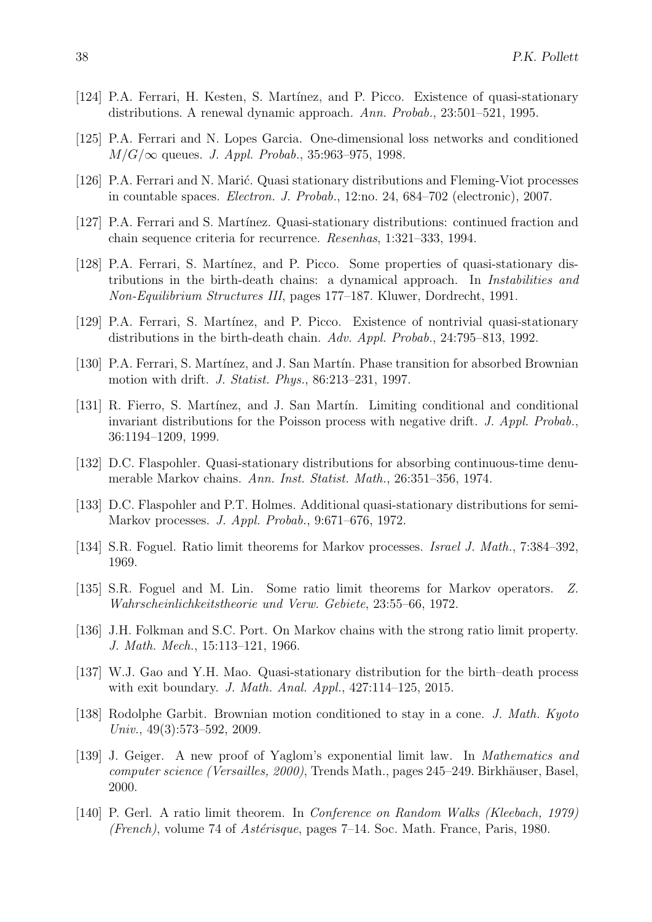- [124] P.A. Ferrari, H. Kesten, S. Martínez, and P. Picco. Existence of quasi-stationary distributions. A renewal dynamic approach. Ann. Probab., 23:501–521, 1995.
- [125] P.A. Ferrari and N. Lopes Garcia. One-dimensional loss networks and conditioned  $M/G/\infty$  queues. J. Appl. Probab., 35:963-975, 1998.
- [126] P.A. Ferrari and N. Marić. Quasi stationary distributions and Fleming-Viot processes in countable spaces. Electron. J. Probab., 12:no. 24, 684–702 (electronic), 2007.
- [127] P.A. Ferrari and S. Martínez. Quasi-stationary distributions: continued fraction and chain sequence criteria for recurrence. Resenhas, 1:321–333, 1994.
- [128] P.A. Ferrari, S. Martínez, and P. Picco. Some properties of quasi-stationary distributions in the birth-death chains: a dynamical approach. In Instabilities and Non-Equilibrium Structures III, pages 177–187. Kluwer, Dordrecht, 1991.
- [129] P.A. Ferrari, S. Martínez, and P. Picco. Existence of nontrivial quasi-stationary distributions in the birth-death chain. Adv. Appl. Probab., 24:795–813, 1992.
- [130] P.A. Ferrari, S. Martínez, and J. San Martín. Phase transition for absorbed Brownian motion with drift. J. Statist. Phys., 86:213–231, 1997.
- [131] R. Fierro, S. Martínez, and J. San Martín. Limiting conditional and conditional invariant distributions for the Poisson process with negative drift. J. Appl. Probab., 36:1194–1209, 1999.
- [132] D.C. Flaspohler. Quasi-stationary distributions for absorbing continuous-time denumerable Markov chains. Ann. Inst. Statist. Math., 26:351–356, 1974.
- [133] D.C. Flaspohler and P.T. Holmes. Additional quasi-stationary distributions for semi-Markov processes. J. Appl. Probab., 9:671–676, 1972.
- [134] S.R. Foguel. Ratio limit theorems for Markov processes. Israel J. Math., 7:384–392, 1969.
- [135] S.R. Foguel and M. Lin. Some ratio limit theorems for Markov operators. Z. Wahrscheinlichkeitstheorie und Verw. Gebiete, 23:55–66, 1972.
- [136] J.H. Folkman and S.C. Port. On Markov chains with the strong ratio limit property. J. Math. Mech., 15:113–121, 1966.
- [137] W.J. Gao and Y.H. Mao. Quasi-stationary distribution for the birth–death process with exit boundary. J. Math. Anal. Appl., 427:114–125, 2015.
- [138] Rodolphe Garbit. Brownian motion conditioned to stay in a cone. J. Math. Kyoto Univ., 49(3):573–592, 2009.
- [139] J. Geiger. A new proof of Yaglom's exponential limit law. In Mathematics and computer science (Versailles, 2000), Trends Math., pages 245–249. Birkhäuser, Basel, 2000.
- [140] P. Gerl. A ratio limit theorem. In Conference on Random Walks (Kleebach, 1979) (French), volume 74 of Astérisque, pages 7-14. Soc. Math. France, Paris, 1980.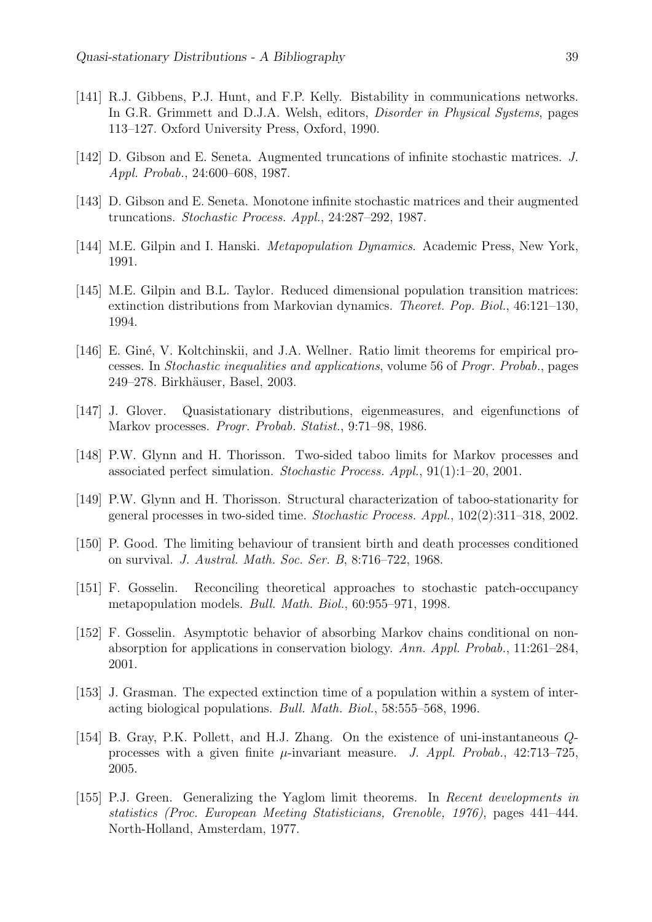- [141] R.J. Gibbens, P.J. Hunt, and F.P. Kelly. Bistability in communications networks. In G.R. Grimmett and D.J.A. Welsh, editors, *Disorder in Physical Systems*, pages 113–127. Oxford University Press, Oxford, 1990.
- [142] D. Gibson and E. Seneta. Augmented truncations of infinite stochastic matrices. J. Appl. Probab., 24:600–608, 1987.
- [143] D. Gibson and E. Seneta. Monotone infinite stochastic matrices and their augmented truncations. Stochastic Process. Appl., 24:287–292, 1987.
- [144] M.E. Gilpin and I. Hanski. *Metapopulation Dynamics*. Academic Press, New York, 1991.
- [145] M.E. Gilpin and B.L. Taylor. Reduced dimensional population transition matrices: extinction distributions from Markovian dynamics. Theoret. Pop. Biol., 46:121–130, 1994.
- [146] E. Giné, V. Koltchinskii, and J.A. Wellner. Ratio limit theorems for empirical processes. In Stochastic inequalities and applications, volume 56 of Progr. Probab., pages 249–278. Birkhäuser, Basel, 2003.
- [147] J. Glover. Quasistationary distributions, eigenmeasures, and eigenfunctions of Markov processes. Progr. Probab. Statist., 9:71–98, 1986.
- [148] P.W. Glynn and H. Thorisson. Two-sided taboo limits for Markov processes and associated perfect simulation. Stochastic Process. Appl., 91(1):1–20, 2001.
- [149] P.W. Glynn and H. Thorisson. Structural characterization of taboo-stationarity for general processes in two-sided time. Stochastic Process. Appl., 102(2):311–318, 2002.
- [150] P. Good. The limiting behaviour of transient birth and death processes conditioned on survival. J. Austral. Math. Soc. Ser. B, 8:716–722, 1968.
- [151] F. Gosselin. Reconciling theoretical approaches to stochastic patch-occupancy metapopulation models. Bull. Math. Biol., 60:955–971, 1998.
- [152] F. Gosselin. Asymptotic behavior of absorbing Markov chains conditional on nonabsorption for applications in conservation biology. Ann. Appl. Probab., 11:261–284, 2001.
- [153] J. Grasman. The expected extinction time of a population within a system of interacting biological populations. Bull. Math. Biol., 58:555–568, 1996.
- [154] B. Gray, P.K. Pollett, and H.J. Zhang. On the existence of uni-instantaneous Qprocesses with a given finite  $\mu$ -invariant measure. *J. Appl. Probab.*, 42:713–725, 2005.
- [155] P.J. Green. Generalizing the Yaglom limit theorems. In Recent developments in statistics (Proc. European Meeting Statisticians, Grenoble, 1976), pages 441–444. North-Holland, Amsterdam, 1977.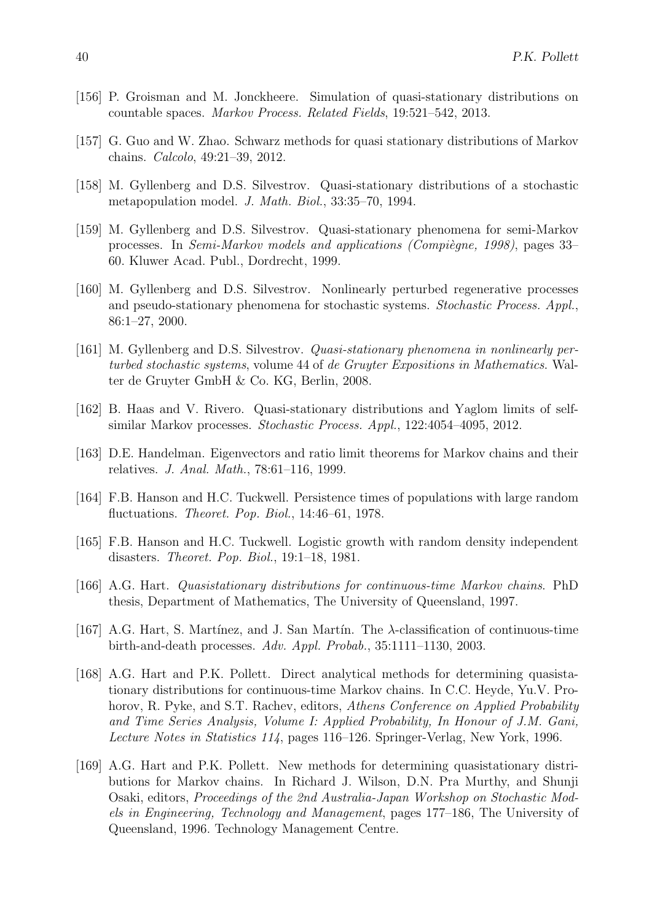- [156] P. Groisman and M. Jonckheere. Simulation of quasi-stationary distributions on countable spaces. Markov Process. Related Fields, 19:521–542, 2013.
- [157] G. Guo and W. Zhao. Schwarz methods for quasi stationary distributions of Markov chains. Calcolo, 49:21–39, 2012.
- [158] M. Gyllenberg and D.S. Silvestrov. Quasi-stationary distributions of a stochastic metapopulation model. J. Math. Biol., 33:35–70, 1994.
- [159] M. Gyllenberg and D.S. Silvestrov. Quasi-stationary phenomena for semi-Markov processes. In Semi-Markov models and applications (Compiègne, 1998), pages 33– 60. Kluwer Acad. Publ., Dordrecht, 1999.
- [160] M. Gyllenberg and D.S. Silvestrov. Nonlinearly perturbed regenerative processes and pseudo-stationary phenomena for stochastic systems. Stochastic Process. Appl., 86:1–27, 2000.
- [161] M. Gyllenberg and D.S. Silvestrov. Quasi-stationary phenomena in nonlinearly perturbed stochastic systems, volume 44 of de Gruyter Expositions in Mathematics. Walter de Gruyter GmbH & Co. KG, Berlin, 2008.
- [162] B. Haas and V. Rivero. Quasi-stationary distributions and Yaglom limits of selfsimilar Markov processes. Stochastic Process. Appl., 122:4054–4095, 2012.
- [163] D.E. Handelman. Eigenvectors and ratio limit theorems for Markov chains and their relatives. J. Anal. Math., 78:61–116, 1999.
- [164] F.B. Hanson and H.C. Tuckwell. Persistence times of populations with large random fluctuations. Theoret. Pop. Biol., 14:46–61, 1978.
- [165] F.B. Hanson and H.C. Tuckwell. Logistic growth with random density independent disasters. Theoret. Pop. Biol., 19:1–18, 1981.
- [166] A.G. Hart. Quasistationary distributions for continuous-time Markov chains. PhD thesis, Department of Mathematics, The University of Queensland, 1997.
- [167] A.G. Hart, S. Martínez, and J. San Martín. The  $\lambda$ -classification of continuous-time birth-and-death processes. Adv. Appl. Probab., 35:1111–1130, 2003.
- [168] A.G. Hart and P.K. Pollett. Direct analytical methods for determining quasistationary distributions for continuous-time Markov chains. In C.C. Heyde, Yu.V. Prohorov, R. Pyke, and S.T. Rachev, editors, Athens Conference on Applied Probability and Time Series Analysis, Volume I: Applied Probability, In Honour of J.M. Gani, Lecture Notes in Statistics 114, pages 116–126. Springer-Verlag, New York, 1996.
- [169] A.G. Hart and P.K. Pollett. New methods for determining quasistationary distributions for Markov chains. In Richard J. Wilson, D.N. Pra Murthy, and Shunji Osaki, editors, Proceedings of the 2nd Australia-Japan Workshop on Stochastic Models in Engineering, Technology and Management, pages 177–186, The University of Queensland, 1996. Technology Management Centre.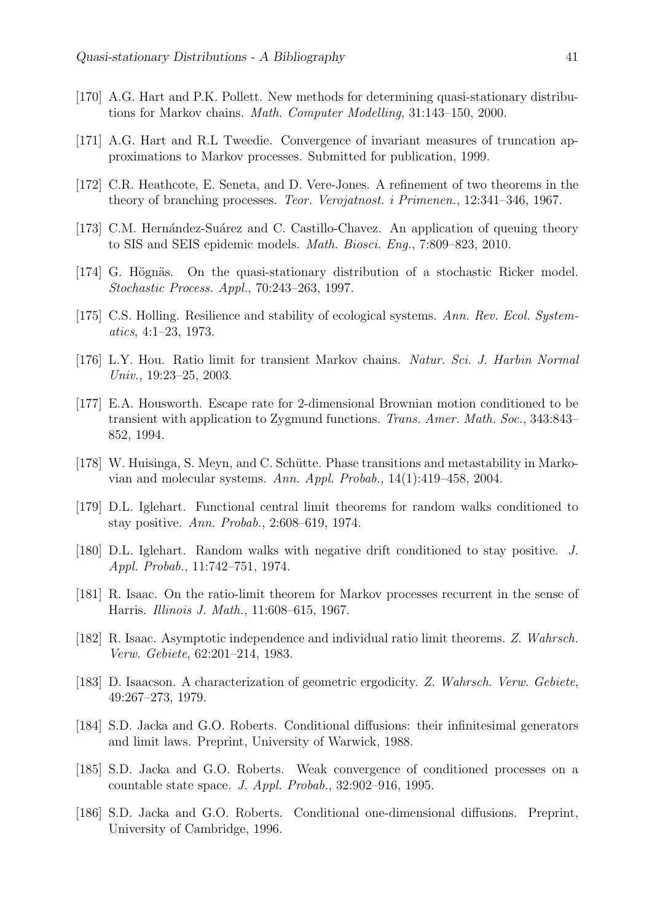- [170] A.G. Hart and P.K. Pollett. New methods for determining quasi-stationary distributions for Markov chains. Math. Computer Modelling, 31:143–150, 2000.
- [171] A.G. Hart and R.L Tweedie. Convergence of invariant measures of truncation approximations to Markov processes. Submitted for publication, 1999.
- [172] C.R. Heathcote, E. Seneta, and D. Vere-Jones. A refinement of two theorems in the theory of branching processes. Teor. Verojatnost. i Primenen., 12:341–346, 1967.
- [173] C.M. Hernández-Suárez and C. Castillo-Chavez. An application of queuing theory to SIS and SEIS epidemic models. Math. Biosci. Eng., 7:809–823, 2010.
- [174] G. Högnäs. On the quasi-stationary distribution of a stochastic Ricker model. Stochastic Process. Appl., 70:243–263, 1997.
- [175] C.S. Holling. Resilience and stability of ecological systems. Ann. Rev. Ecol. Systematics, 4:1–23, 1973.
- [176] L.Y. Hou. Ratio limit for transient Markov chains. Natur. Sci. J. Harbin Normal Univ., 19:23–25, 2003.
- [177] E.A. Housworth. Escape rate for 2-dimensional Brownian motion conditioned to be transient with application to Zygmund functions. Trans. Amer. Math. Soc., 343:843– 852, 1994.
- [178] W. Huisinga, S. Meyn, and C. Schütte. Phase transitions and metastability in Markovian and molecular systems. Ann. Appl. Probab., 14(1):419–458, 2004.
- [179] D.L. Iglehart. Functional central limit theorems for random walks conditioned to stay positive. Ann. Probab., 2:608–619, 1974.
- [180] D.L. Iglehart. Random walks with negative drift conditioned to stay positive. J. Appl. Probab., 11:742–751, 1974.
- [181] R. Isaac. On the ratio-limit theorem for Markov processes recurrent in the sense of Harris. Illinois J. Math., 11:608–615, 1967.
- [182] R. Isaac. Asymptotic independence and individual ratio limit theorems. Z. Wahrsch. Verw. Gebiete, 62:201–214, 1983.
- [183] D. Isaacson. A characterization of geometric ergodicity. Z. Wahrsch. Verw. Gebiete, 49:267–273, 1979.
- [184] S.D. Jacka and G.O. Roberts. Conditional diffusions: their infinitesimal generators and limit laws. Preprint, University of Warwick, 1988.
- [185] S.D. Jacka and G.O. Roberts. Weak convergence of conditioned processes on a countable state space. J. Appl. Probab., 32:902–916, 1995.
- [186] S.D. Jacka and G.O. Roberts. Conditional one-dimensional diffusions. Preprint, University of Cambridge, 1996.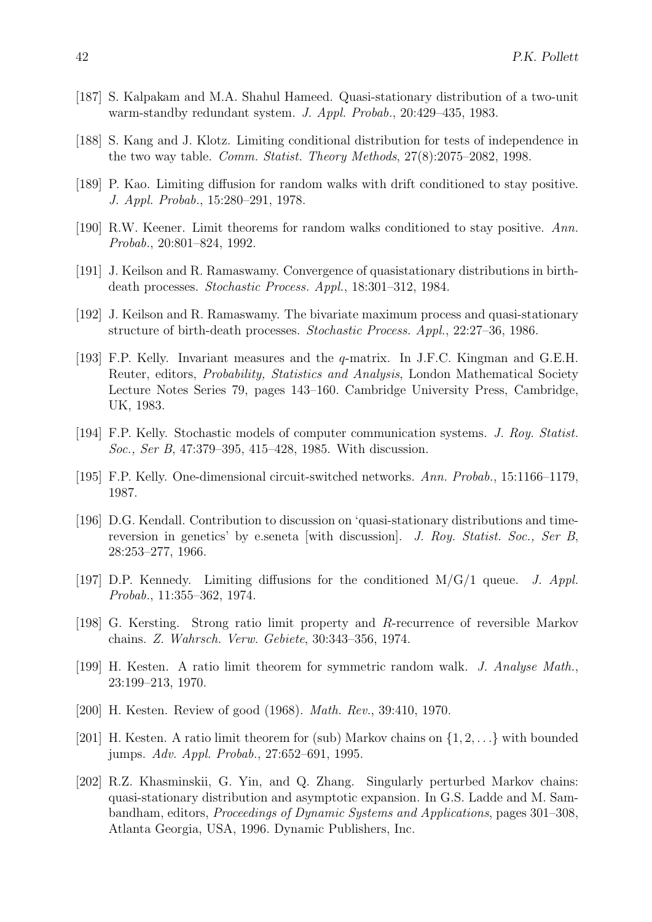- [187] S. Kalpakam and M.A. Shahul Hameed. Quasi-stationary distribution of a two-unit warm-standby redundant system. J. Appl. Probab., 20:429–435, 1983.
- [188] S. Kang and J. Klotz. Limiting conditional distribution for tests of independence in the two way table. Comm. Statist. Theory Methods, 27(8):2075–2082, 1998.
- [189] P. Kao. Limiting diffusion for random walks with drift conditioned to stay positive. J. Appl. Probab., 15:280–291, 1978.
- [190] R.W. Keener. Limit theorems for random walks conditioned to stay positive. Ann. Probab., 20:801–824, 1992.
- [191] J. Keilson and R. Ramaswamy. Convergence of quasistationary distributions in birthdeath processes. Stochastic Process. Appl., 18:301–312, 1984.
- [192] J. Keilson and R. Ramaswamy. The bivariate maximum process and quasi-stationary structure of birth-death processes. Stochastic Process. Appl., 22:27–36, 1986.
- [193] F.P. Kelly. Invariant measures and the q-matrix. In J.F.C. Kingman and G.E.H. Reuter, editors, Probability, Statistics and Analysis, London Mathematical Society Lecture Notes Series 79, pages 143–160. Cambridge University Press, Cambridge, UK, 1983.
- [194] F.P. Kelly. Stochastic models of computer communication systems. J. Roy. Statist. Soc., Ser B, 47:379–395, 415–428, 1985. With discussion.
- [195] F.P. Kelly. One-dimensional circuit-switched networks. Ann. Probab., 15:1166–1179, 1987.
- [196] D.G. Kendall. Contribution to discussion on 'quasi-stationary distributions and timereversion in genetics' by e.seneta [with discussion]. J. Roy. Statist. Soc., Ser B, 28:253–277, 1966.
- [197] D.P. Kennedy. Limiting diffusions for the conditioned  $M/G/1$  queue. J. Appl. Probab., 11:355–362, 1974.
- [198] G. Kersting. Strong ratio limit property and R-recurrence of reversible Markov chains. Z. Wahrsch. Verw. Gebiete, 30:343–356, 1974.
- [199] H. Kesten. A ratio limit theorem for symmetric random walk. J. Analyse Math., 23:199–213, 1970.
- [200] H. Kesten. Review of good (1968). Math. Rev., 39:410, 1970.
- [201] H. Kesten. A ratio limit theorem for (sub) Markov chains on  $\{1, 2, \ldots\}$  with bounded jumps. Adv. Appl. Probab., 27:652–691, 1995.
- [202] R.Z. Khasminskii, G. Yin, and Q. Zhang. Singularly perturbed Markov chains: quasi-stationary distribution and asymptotic expansion. In G.S. Ladde and M. Sambandham, editors, Proceedings of Dynamic Systems and Applications, pages 301–308, Atlanta Georgia, USA, 1996. Dynamic Publishers, Inc.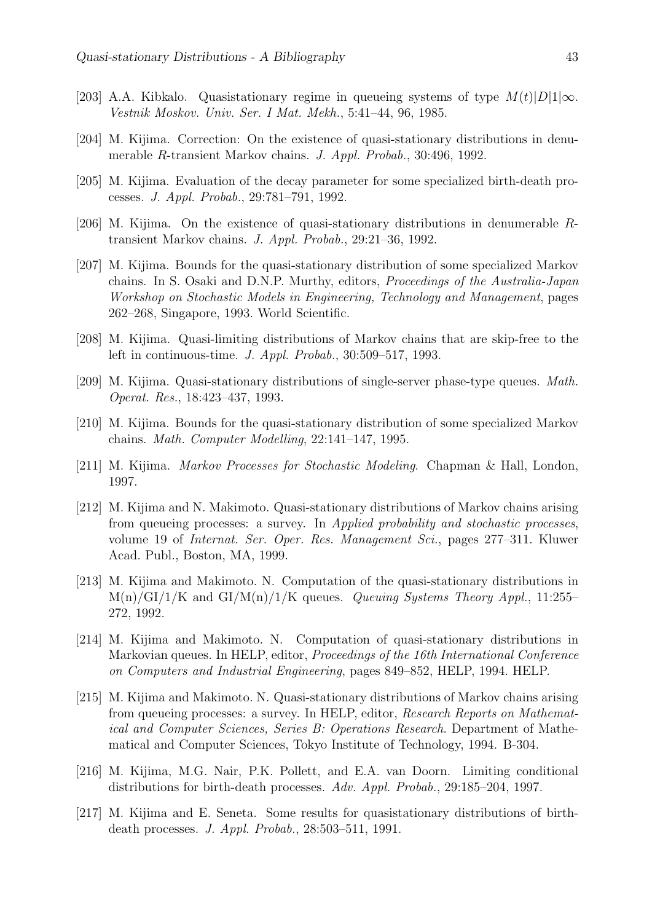- [203] A.A. Kibkalo. Quasistationary regime in queueing systems of type  $M(t)|D|1|\infty$ . Vestnik Moskov. Univ. Ser. I Mat. Mekh., 5:41–44, 96, 1985.
- [204] M. Kijima. Correction: On the existence of quasi-stationary distributions in denumerable R-transient Markov chains. J. Appl. Probab., 30:496, 1992.
- [205] M. Kijima. Evaluation of the decay parameter for some specialized birth-death processes. J. Appl. Probab., 29:781–791, 1992.
- [206] M. Kijima. On the existence of quasi-stationary distributions in denumerable Rtransient Markov chains. J. Appl. Probab., 29:21–36, 1992.
- [207] M. Kijima. Bounds for the quasi-stationary distribution of some specialized Markov chains. In S. Osaki and D.N.P. Murthy, editors, Proceedings of the Australia-Japan Workshop on Stochastic Models in Engineering, Technology and Management, pages 262–268, Singapore, 1993. World Scientific.
- [208] M. Kijima. Quasi-limiting distributions of Markov chains that are skip-free to the left in continuous-time. J. Appl. Probab., 30:509–517, 1993.
- [209] M. Kijima. Quasi-stationary distributions of single-server phase-type queues. Math. Operat. Res., 18:423–437, 1993.
- [210] M. Kijima. Bounds for the quasi-stationary distribution of some specialized Markov chains. Math. Computer Modelling, 22:141–147, 1995.
- [211] M. Kijima. Markov Processes for Stochastic Modeling. Chapman & Hall, London, 1997.
- [212] M. Kijima and N. Makimoto. Quasi-stationary distributions of Markov chains arising from queueing processes: a survey. In Applied probability and stochastic processes, volume 19 of Internat. Ser. Oper. Res. Management Sci., pages 277–311. Kluwer Acad. Publ., Boston, MA, 1999.
- [213] M. Kijima and Makimoto. N. Computation of the quasi-stationary distributions in  $M(n)/GI/1/K$  and  $GI/M(n)/1/K$  queues. Queuing Systems Theory Appl., 11:255– 272, 1992.
- [214] M. Kijima and Makimoto. N. Computation of quasi-stationary distributions in Markovian queues. In HELP, editor, Proceedings of the 16th International Conference on Computers and Industrial Engineering, pages 849–852, HELP, 1994. HELP.
- [215] M. Kijima and Makimoto. N. Quasi-stationary distributions of Markov chains arising from queueing processes: a survey. In HELP, editor, Research Reports on Mathematical and Computer Sciences, Series B: Operations Research. Department of Mathematical and Computer Sciences, Tokyo Institute of Technology, 1994. B-304.
- [216] M. Kijima, M.G. Nair, P.K. Pollett, and E.A. van Doorn. Limiting conditional distributions for birth-death processes. Adv. Appl. Probab., 29:185–204, 1997.
- [217] M. Kijima and E. Seneta. Some results for quasistationary distributions of birthdeath processes. J. Appl. Probab., 28:503–511, 1991.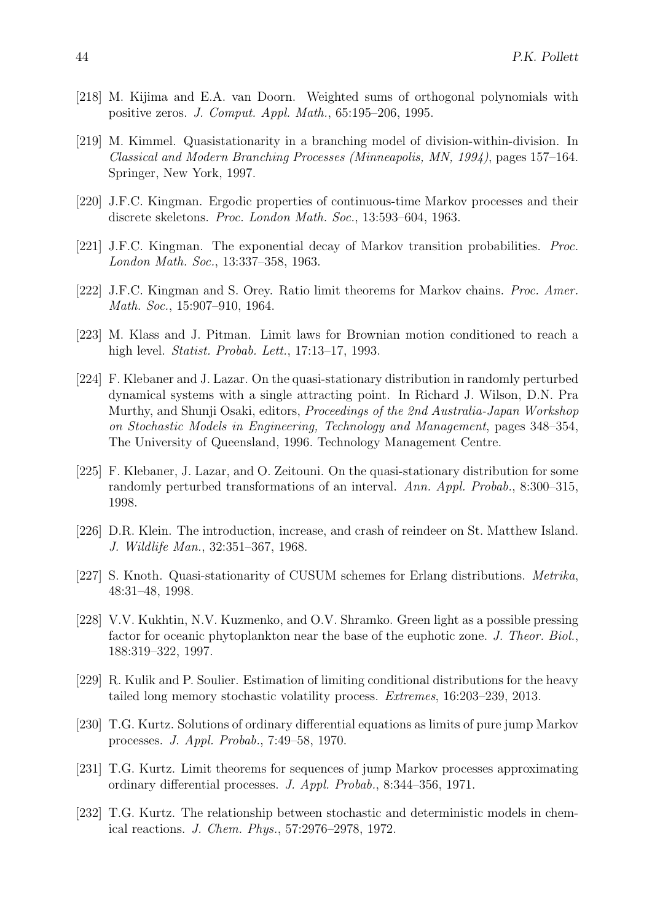- [218] M. Kijima and E.A. van Doorn. Weighted sums of orthogonal polynomials with positive zeros. J. Comput. Appl. Math., 65:195–206, 1995.
- [219] M. Kimmel. Quasistationarity in a branching model of division-within-division. In Classical and Modern Branching Processes (Minneapolis, MN, 1994), pages 157–164. Springer, New York, 1997.
- [220] J.F.C. Kingman. Ergodic properties of continuous-time Markov processes and their discrete skeletons. Proc. London Math. Soc., 13:593–604, 1963.
- [221] J.F.C. Kingman. The exponential decay of Markov transition probabilities. Proc. London Math. Soc., 13:337–358, 1963.
- [222] J.F.C. Kingman and S. Orey. Ratio limit theorems for Markov chains. Proc. Amer. Math. Soc., 15:907–910, 1964.
- [223] M. Klass and J. Pitman. Limit laws for Brownian motion conditioned to reach a high level. Statist. Probab. Lett., 17:13–17, 1993.
- [224] F. Klebaner and J. Lazar. On the quasi-stationary distribution in randomly perturbed dynamical systems with a single attracting point. In Richard J. Wilson, D.N. Pra Murthy, and Shunji Osaki, editors, Proceedings of the 2nd Australia-Japan Workshop on Stochastic Models in Engineering, Technology and Management, pages 348–354, The University of Queensland, 1996. Technology Management Centre.
- [225] F. Klebaner, J. Lazar, and O. Zeitouni. On the quasi-stationary distribution for some randomly perturbed transformations of an interval. Ann. Appl. Probab., 8:300–315, 1998.
- [226] D.R. Klein. The introduction, increase, and crash of reindeer on St. Matthew Island. J. Wildlife Man., 32:351–367, 1968.
- [227] S. Knoth. Quasi-stationarity of CUSUM schemes for Erlang distributions. Metrika, 48:31–48, 1998.
- [228] V.V. Kukhtin, N.V. Kuzmenko, and O.V. Shramko. Green light as a possible pressing factor for oceanic phytoplankton near the base of the euphotic zone. J. Theor. Biol., 188:319–322, 1997.
- [229] R. Kulik and P. Soulier. Estimation of limiting conditional distributions for the heavy tailed long memory stochastic volatility process. Extremes, 16:203–239, 2013.
- [230] T.G. Kurtz. Solutions of ordinary differential equations as limits of pure jump Markov processes. J. Appl. Probab., 7:49–58, 1970.
- [231] T.G. Kurtz. Limit theorems for sequences of jump Markov processes approximating ordinary differential processes. J. Appl. Probab., 8:344–356, 1971.
- [232] T.G. Kurtz. The relationship between stochastic and deterministic models in chemical reactions. J. Chem. Phys., 57:2976–2978, 1972.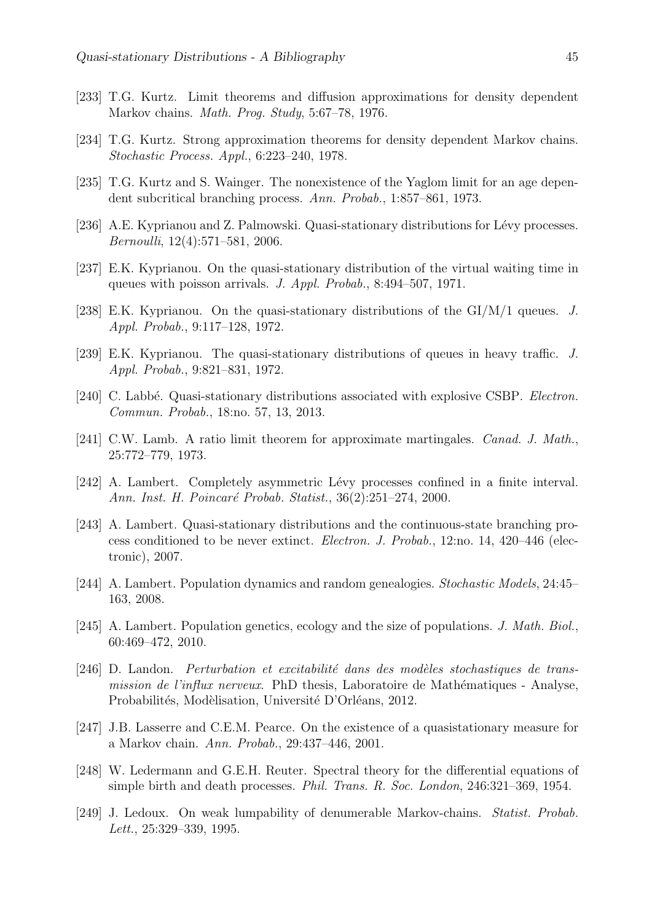- [233] T.G. Kurtz. Limit theorems and diffusion approximations for density dependent Markov chains. Math. Prog. Study, 5:67–78, 1976.
- [234] T.G. Kurtz. Strong approximation theorems for density dependent Markov chains. Stochastic Process. Appl., 6:223–240, 1978.
- [235] T.G. Kurtz and S. Wainger. The nonexistence of the Yaglom limit for an age dependent subcritical branching process. Ann. Probab., 1:857–861, 1973.
- [236] A.E. Kyprianou and Z. Palmowski. Quasi-stationary distributions for Lévy processes. Bernoulli, 12(4):571–581, 2006.
- [237] E.K. Kyprianou. On the quasi-stationary distribution of the virtual waiting time in queues with poisson arrivals. J. Appl. Probab., 8:494–507, 1971.
- [238] E.K. Kyprianou. On the quasi-stationary distributions of the GI/M/1 queues. J. Appl. Probab., 9:117–128, 1972.
- [239] E.K. Kyprianou. The quasi-stationary distributions of queues in heavy traffic. J. Appl. Probab., 9:821–831, 1972.
- [240] C. Labbé. Quasi-stationary distributions associated with explosive CSBP. Electron. Commun. Probab., 18:no. 57, 13, 2013.
- [241] C.W. Lamb. A ratio limit theorem for approximate martingales. Canad. J. Math., 25:772–779, 1973.
- [242] A. Lambert. Completely asymmetric Lévy processes confined in a finite interval. Ann. Inst. H. Poincaré Probab. Statist., 36(2):251-274, 2000.
- [243] A. Lambert. Quasi-stationary distributions and the continuous-state branching process conditioned to be never extinct. Electron. J. Probab., 12:no. 14, 420–446 (electronic), 2007.
- [244] A. Lambert. Population dynamics and random genealogies. Stochastic Models, 24:45– 163, 2008.
- [245] A. Lambert. Population genetics, ecology and the size of populations. J. Math. Biol., 60:469–472, 2010.
- $[246]$  D. Landon. *Perturbation et excitabilité dans des modèles stochastiques de trans*mission de l'influx nerveux. PhD thesis, Laboratoire de Mathématiques - Analyse, Probabilités, Modèlisation, Université D'Orléans, 2012.
- [247] J.B. Lasserre and C.E.M. Pearce. On the existence of a quasistationary measure for a Markov chain. Ann. Probab., 29:437–446, 2001.
- [248] W. Ledermann and G.E.H. Reuter. Spectral theory for the differential equations of simple birth and death processes. Phil. Trans. R. Soc. London, 246:321–369, 1954.
- [249] J. Ledoux. On weak lumpability of denumerable Markov-chains. Statist. Probab. Lett., 25:329–339, 1995.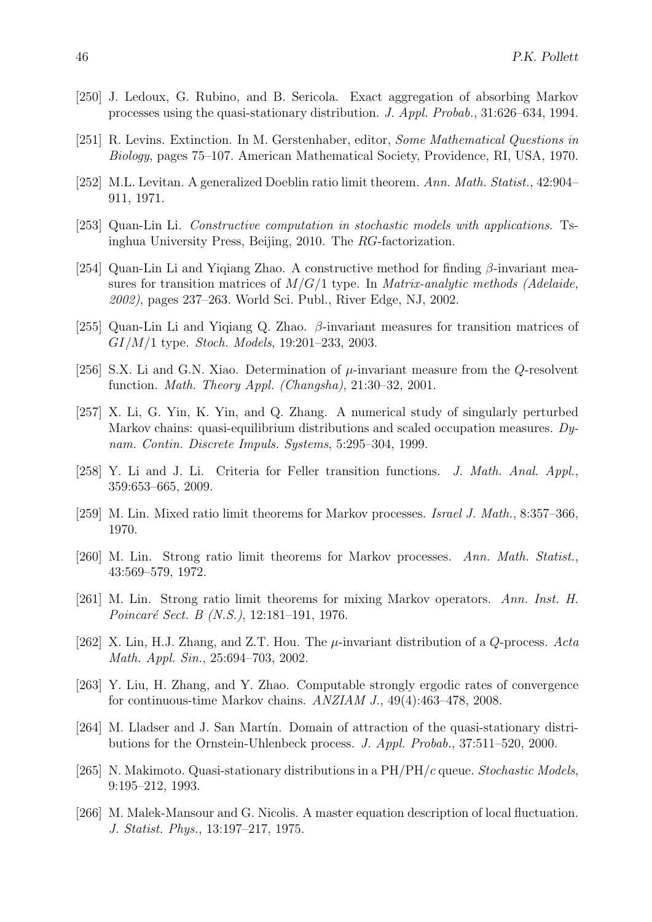- [250] J. Ledoux, G. Rubino, and B. Sericola. Exact aggregation of absorbing Markov processes using the quasi-stationary distribution. J. Appl. Probab., 31:626–634, 1994.
- [251] R. Levins. Extinction. In M. Gerstenhaber, editor, Some Mathematical Questions in Biology, pages 75–107. American Mathematical Society, Providence, RI, USA, 1970.
- [252] M.L. Levitan. A generalized Doeblin ratio limit theorem. Ann. Math. Statist., 42:904– 911, 1971.
- [253] Quan-Lin Li. Constructive computation in stochastic models with applications. Tsinghua University Press, Beijing, 2010. The RG-factorization.
- [254] Quan-Lin Li and Yiqiang Zhao. A constructive method for finding  $\beta$ -invariant measures for transition matrices of  $M/G/1$  type. In *Matrix-analytic methods (Adelaide,* 2002), pages 237–263. World Sci. Publ., River Edge, NJ, 2002.
- [255] Quan-Lin Li and Yiqiang Q. Zhao.  $\beta$ -invariant measures for transition matrices of GI/M/1 type. Stoch. Models, 19:201–233, 2003.
- [256] S.X. Li and G.N. Xiao. Determination of  $\mu$ -invariant measure from the Q-resolvent function. Math. Theory Appl. (Changsha), 21:30–32, 2001.
- [257] X. Li, G. Yin, K. Yin, and Q. Zhang. A numerical study of singularly perturbed Markov chains: quasi-equilibrium distributions and scaled occupation measures. Dynam. Contin. Discrete Impuls. Systems, 5:295–304, 1999.
- [258] Y. Li and J. Li. Criteria for Feller transition functions. J. Math. Anal. Appl., 359:653–665, 2009.
- [259] M. Lin. Mixed ratio limit theorems for Markov processes. Israel J. Math., 8:357–366, 1970.
- [260] M. Lin. Strong ratio limit theorems for Markov processes. Ann. Math. Statist., 43:569–579, 1972.
- [261] M. Lin. Strong ratio limit theorems for mixing Markov operators. Ann. Inst. H. Poincaré Sect. B (N.S.), 12:181-191, 1976.
- [262] X. Lin, H.J. Zhang, and Z.T. Hou. The  $\mu$ -invariant distribution of a Q-process. Acta Math. Appl. Sin., 25:694–703, 2002.
- [263] Y. Liu, H. Zhang, and Y. Zhao. Computable strongly ergodic rates of convergence for continuous-time Markov chains. ANZIAM J., 49(4):463–478, 2008.
- [264] M. Lladser and J. San Martín. Domain of attraction of the quasi-stationary distributions for the Ornstein-Uhlenbeck process. J. Appl. Probab., 37:511–520, 2000.
- [265] N. Makimoto. Quasi-stationary distributions in a  $PH/PH/c$  queue. Stochastic Models, 9:195–212, 1993.
- [266] M. Malek-Mansour and G. Nicolis. A master equation description of local fluctuation. J. Statist. Phys., 13:197–217, 1975.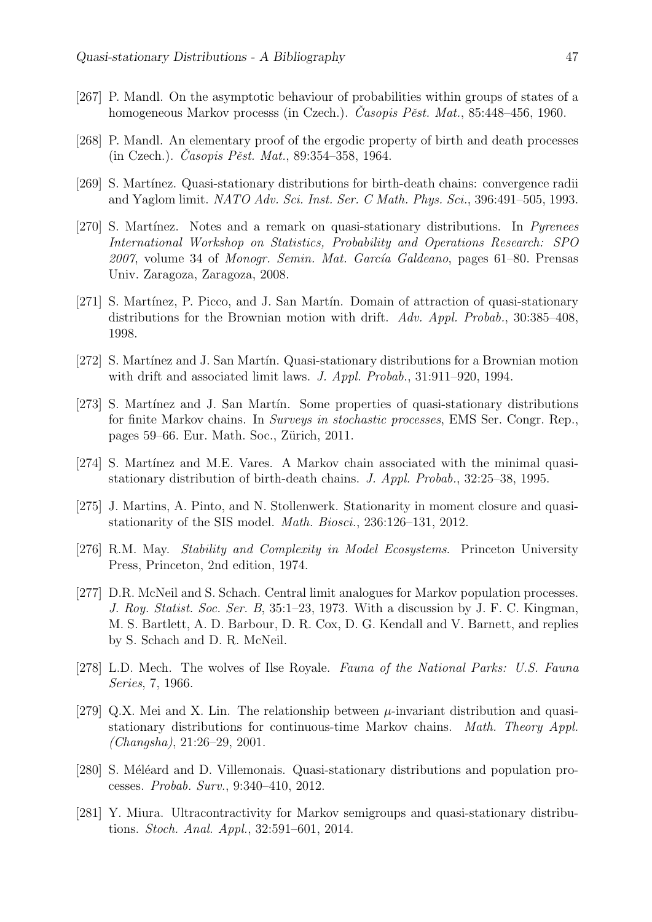- [267] P. Mandl. On the asymptotic behaviour of probabilities within groups of states of a homogeneous Markov processs (in Czech.). Casopis Pěst. Mat., 85:448–456, 1960.
- [268] P. Mandl. An elementary proof of the ergodic property of birth and death processes (in Czech.). Casopis Pěst. Mat., 89:354–358, 1964.
- [269] S. Martínez. Quasi-stationary distributions for birth-death chains: convergence radii and Yaglom limit. NATO Adv. Sci. Inst. Ser. C Math. Phys. Sci., 396:491–505, 1993.
- [270] S. Martínez. Notes and a remark on quasi-stationary distributions. In Pyrenees International Workshop on Statistics, Probability and Operations Research: SPO  $2007$ , volume 34 of *Monogr. Semin. Mat. García Galdeano*, pages 61–80. Prensas Univ. Zaragoza, Zaragoza, 2008.
- [271] S. Martínez, P. Picco, and J. San Martín. Domain of attraction of quasi-stationary distributions for the Brownian motion with drift. Adv. Appl. Probab., 30:385-408, 1998.
- [272] S. Mart´ınez and J. San Mart´ın. Quasi-stationary distributions for a Brownian motion with drift and associated limit laws. J. Appl. Probab., 31:911–920, 1994.
- [273] S. Martínez and J. San Martín. Some properties of quasi-stationary distributions for finite Markov chains. In Surveys in stochastic processes, EMS Ser. Congr. Rep., pages 59–66. Eur. Math. Soc., Zürich, 2011.
- [274] S. Martínez and M.E. Vares. A Markov chain associated with the minimal quasistationary distribution of birth-death chains. J. Appl. Probab., 32:25–38, 1995.
- [275] J. Martins, A. Pinto, and N. Stollenwerk. Stationarity in moment closure and quasistationarity of the SIS model. Math. Biosci., 236:126–131, 2012.
- [276] R.M. May. Stability and Complexity in Model Ecosystems. Princeton University Press, Princeton, 2nd edition, 1974.
- [277] D.R. McNeil and S. Schach. Central limit analogues for Markov population processes. J. Roy. Statist. Soc. Ser. B, 35:1–23, 1973. With a discussion by J. F. C. Kingman, M. S. Bartlett, A. D. Barbour, D. R. Cox, D. G. Kendall and V. Barnett, and replies by S. Schach and D. R. McNeil.
- [278] L.D. Mech. The wolves of Ilse Royale. Fauna of the National Parks: U.S. Fauna Series, 7, 1966.
- [279] Q.X. Mei and X. Lin. The relationship between  $\mu$ -invariant distribution and quasistationary distributions for continuous-time Markov chains. Math. Theory Appl. (Changsha), 21:26–29, 2001.
- [280] S. Méléard and D. Villemonais. Quasi-stationary distributions and population processes. Probab. Surv., 9:340–410, 2012.
- [281] Y. Miura. Ultracontractivity for Markov semigroups and quasi-stationary distributions. Stoch. Anal. Appl., 32:591–601, 2014.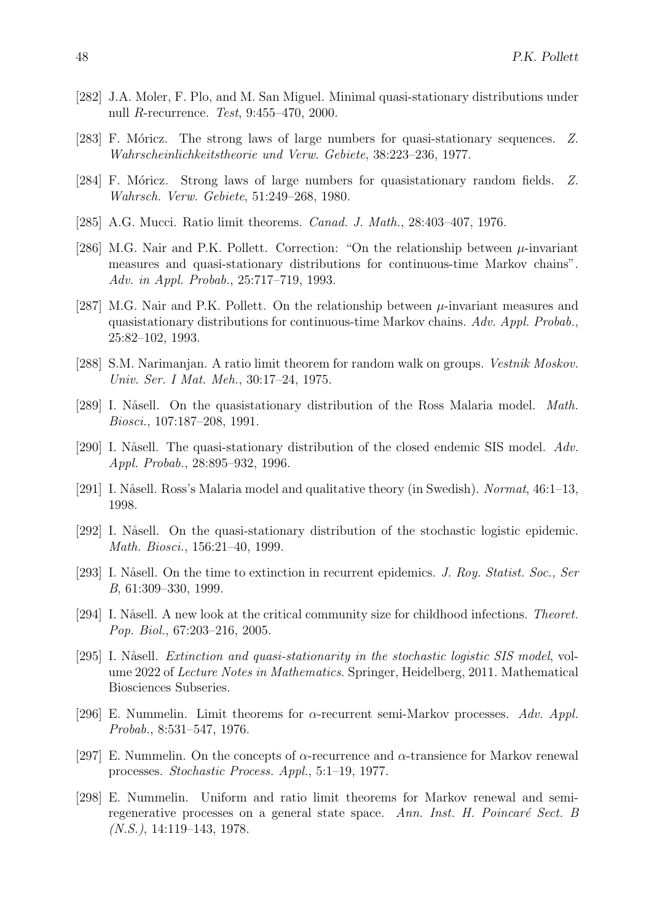- [282] J.A. Moler, F. Plo, and M. San Miguel. Minimal quasi-stationary distributions under null R-recurrence. Test, 9:455–470, 2000.
- [283] F. Móricz. The strong laws of large numbers for quasi-stationary sequences. Z. Wahrscheinlichkeitstheorie und Verw. Gebiete, 38:223–236, 1977.
- [284] F. Móricz. Strong laws of large numbers for quasistationary random fields. Z. Wahrsch. Verw. Gebiete, 51:249–268, 1980.
- [285] A.G. Mucci. Ratio limit theorems. *Canad. J. Math.*, 28:403-407, 1976.
- [286] M.G. Nair and P.K. Pollett. Correction: "On the relationship between  $\mu$ -invariant measures and quasi-stationary distributions for continuous-time Markov chains". Adv. in Appl. Probab., 25:717–719, 1993.
- [287] M.G. Nair and P.K. Pollett. On the relationship between  $\mu$ -invariant measures and quasistationary distributions for continuous-time Markov chains. Adv. Appl. Probab., 25:82–102, 1993.
- [288] S.M. Narimanjan. A ratio limit theorem for random walk on groups. Vestnik Moskov. Univ. Ser. I Mat. Meh., 30:17–24, 1975.
- [289] I. Nåsell. On the quasistationary distribution of the Ross Malaria model. *Math.* Biosci., 107:187–208, 1991.
- [290] I. Nåsell. The quasi-stationary distribution of the closed endemic SIS model. Adv. Appl. Probab., 28:895–932, 1996.
- [291] I. Nåsell. Ross's Malaria model and qualitative theory (in Swedish). Normat, 46:1–13, 1998.
- [292] I. Nåsell. On the quasi-stationary distribution of the stochastic logistic epidemic. Math. Biosci., 156:21–40, 1999.
- [293] I. Nåsell. On the time to extinction in recurrent epidemics. J. Roy. Statist. Soc., Ser B, 61:309–330, 1999.
- [294] I. Nåsell. A new look at the critical community size for childhood infections. Theoret. Pop. Biol., 67:203–216, 2005.
- [295] I. Nåsell. *Extinction and quasi-stationarity in the stochastic logistic SIS model*, volume 2022 of Lecture Notes in Mathematics. Springer, Heidelberg, 2011. Mathematical Biosciences Subseries.
- [296] E. Nummelin. Limit theorems for  $\alpha$ -recurrent semi-Markov processes. Adv. Appl. Probab., 8:531–547, 1976.
- [297] E. Nummelin. On the concepts of  $\alpha$ -recurrence and  $\alpha$ -transience for Markov renewal processes. Stochastic Process. Appl., 5:1–19, 1977.
- [298] E. Nummelin. Uniform and ratio limit theorems for Markov renewal and semiregenerative processes on a general state space. Ann. Inst.  $H.$  Poincaré Sect. B  $(N.S.), 14:119-143, 1978.$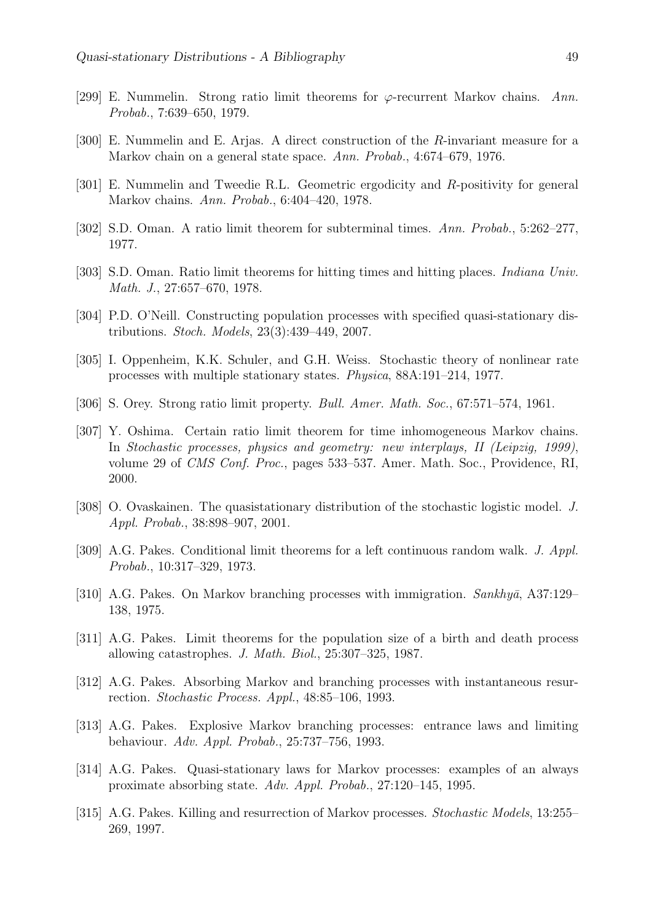- [299] E. Nummelin. Strong ratio limit theorems for  $\varphi$ -recurrent Markov chains. Ann. Probab., 7:639–650, 1979.
- [300] E. Nummelin and E. Arjas. A direct construction of the R-invariant measure for a Markov chain on a general state space. Ann. Probab., 4:674–679, 1976.
- [301] E. Nummelin and Tweedie R.L. Geometric ergodicity and R-positivity for general Markov chains. Ann. Probab., 6:404–420, 1978.
- [302] S.D. Oman. A ratio limit theorem for subterminal times. Ann. Probab., 5:262–277, 1977.
- [303] S.D. Oman. Ratio limit theorems for hitting times and hitting places. Indiana Univ. Math. J., 27:657–670, 1978.
- [304] P.D. O'Neill. Constructing population processes with specified quasi-stationary distributions. Stoch. Models, 23(3):439–449, 2007.
- [305] I. Oppenheim, K.K. Schuler, and G.H. Weiss. Stochastic theory of nonlinear rate processes with multiple stationary states. Physica, 88A:191–214, 1977.
- [306] S. Orey. Strong ratio limit property. *Bull. Amer. Math. Soc.*, 67:571–574, 1961.
- [307] Y. Oshima. Certain ratio limit theorem for time inhomogeneous Markov chains. In Stochastic processes, physics and geometry: new interplays, II (Leipzig, 1999), volume 29 of CMS Conf. Proc., pages 533–537. Amer. Math. Soc., Providence, RI, 2000.
- [308] O. Ovaskainen. The quasistationary distribution of the stochastic logistic model. J. Appl. Probab., 38:898–907, 2001.
- [309] A.G. Pakes. Conditional limit theorems for a left continuous random walk. J. Appl. Probab., 10:317–329, 1973.
- [310] A.G. Pakes. On Markov branching processes with immigration.  $Sankhy\bar{a}$ , A37:129– 138, 1975.
- [311] A.G. Pakes. Limit theorems for the population size of a birth and death process allowing catastrophes. J. Math. Biol., 25:307–325, 1987.
- [312] A.G. Pakes. Absorbing Markov and branching processes with instantaneous resurrection. Stochastic Process. Appl., 48:85–106, 1993.
- [313] A.G. Pakes. Explosive Markov branching processes: entrance laws and limiting behaviour. Adv. Appl. Probab., 25:737–756, 1993.
- [314] A.G. Pakes. Quasi-stationary laws for Markov processes: examples of an always proximate absorbing state. Adv. Appl. Probab., 27:120–145, 1995.
- [315] A.G. Pakes. Killing and resurrection of Markov processes. Stochastic Models, 13:255– 269, 1997.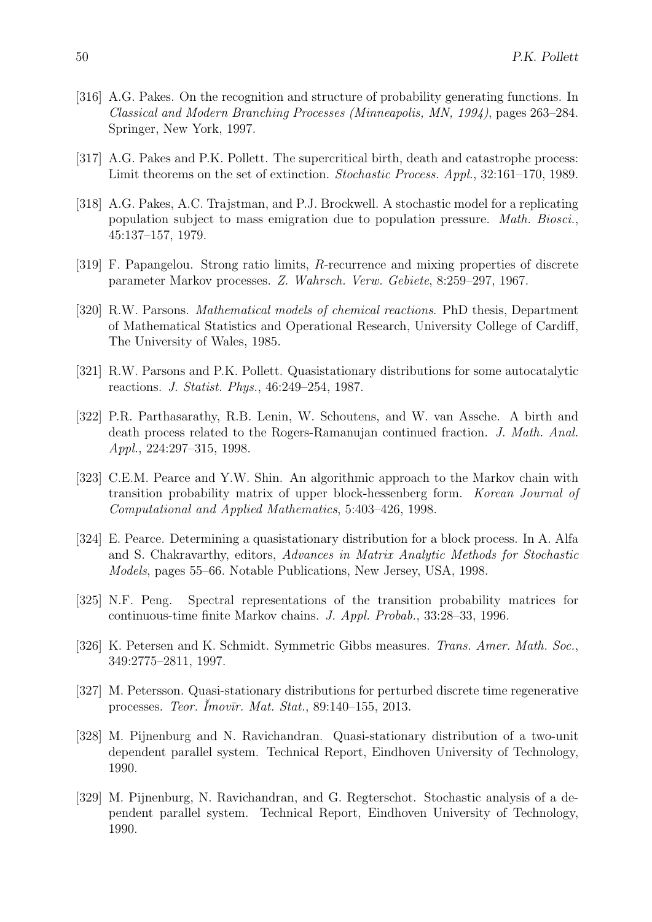- [316] A.G. Pakes. On the recognition and structure of probability generating functions. In Classical and Modern Branching Processes (Minneapolis, MN, 1994), pages 263–284. Springer, New York, 1997.
- [317] A.G. Pakes and P.K. Pollett. The supercritical birth, death and catastrophe process: Limit theorems on the set of extinction. Stochastic Process. Appl., 32:161–170, 1989.
- [318] A.G. Pakes, A.C. Trajstman, and P.J. Brockwell. A stochastic model for a replicating population subject to mass emigration due to population pressure. Math. Biosci., 45:137–157, 1979.
- [319] F. Papangelou. Strong ratio limits, R-recurrence and mixing properties of discrete parameter Markov processes. Z. Wahrsch. Verw. Gebiete, 8:259–297, 1967.
- [320] R.W. Parsons. Mathematical models of chemical reactions. PhD thesis, Department of Mathematical Statistics and Operational Research, University College of Cardiff, The University of Wales, 1985.
- [321] R.W. Parsons and P.K. Pollett. Quasistationary distributions for some autocatalytic reactions. J. Statist. Phys., 46:249–254, 1987.
- [322] P.R. Parthasarathy, R.B. Lenin, W. Schoutens, and W. van Assche. A birth and death process related to the Rogers-Ramanujan continued fraction. J. Math. Anal. Appl., 224:297–315, 1998.
- [323] C.E.M. Pearce and Y.W. Shin. An algorithmic approach to the Markov chain with transition probability matrix of upper block-hessenberg form. Korean Journal of Computational and Applied Mathematics, 5:403–426, 1998.
- [324] E. Pearce. Determining a quasistationary distribution for a block process. In A. Alfa and S. Chakravarthy, editors, Advances in Matrix Analytic Methods for Stochastic Models, pages 55–66. Notable Publications, New Jersey, USA, 1998.
- [325] N.F. Peng. Spectral representations of the transition probability matrices for continuous-time finite Markov chains. J. Appl. Probab., 33:28–33, 1996.
- [326] K. Petersen and K. Schmidt. Symmetric Gibbs measures. Trans. Amer. Math. Soc., 349:2775–2811, 1997.
- [327] M. Petersson. Quasi-stationary distributions for perturbed discrete time regenerative processes. Teor. Imov $\bar{u}$ r. Mat. Stat., 89:140–155, 2013.
- [328] M. Pijnenburg and N. Ravichandran. Quasi-stationary distribution of a two-unit dependent parallel system. Technical Report, Eindhoven University of Technology, 1990.
- [329] M. Pijnenburg, N. Ravichandran, and G. Regterschot. Stochastic analysis of a dependent parallel system. Technical Report, Eindhoven University of Technology, 1990.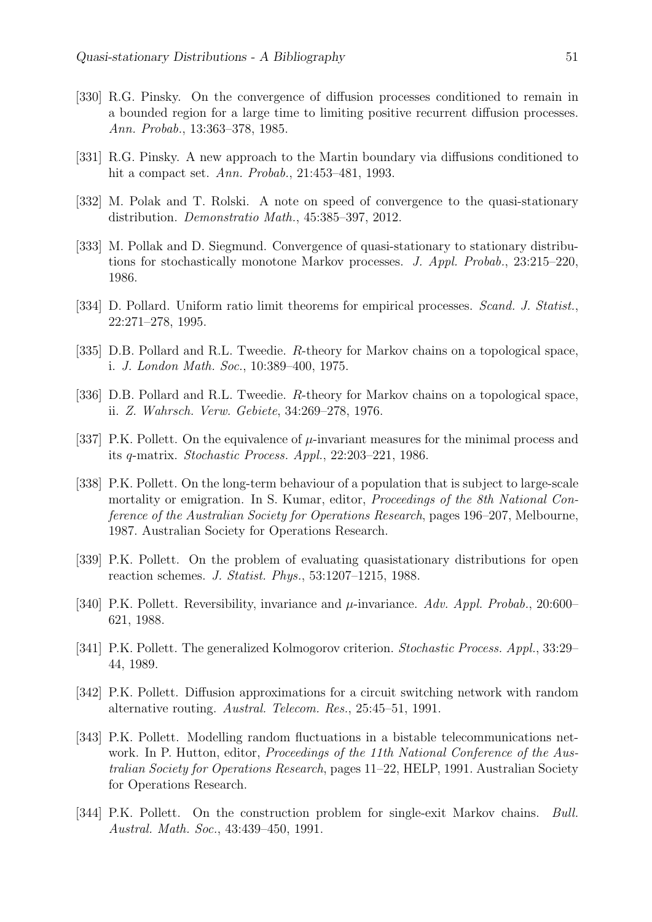- [330] R.G. Pinsky. On the convergence of diffusion processes conditioned to remain in a bounded region for a large time to limiting positive recurrent diffusion processes. Ann. Probab., 13:363–378, 1985.
- [331] R.G. Pinsky. A new approach to the Martin boundary via diffusions conditioned to hit a compact set. Ann. Probab., 21:453–481, 1993.
- [332] M. Polak and T. Rolski. A note on speed of convergence to the quasi-stationary distribution. Demonstratio Math., 45:385–397, 2012.
- [333] M. Pollak and D. Siegmund. Convergence of quasi-stationary to stationary distributions for stochastically monotone Markov processes. J. Appl. Probab., 23:215–220, 1986.
- [334] D. Pollard. Uniform ratio limit theorems for empirical processes. *Scand. J. Statist.*, 22:271–278, 1995.
- [335] D.B. Pollard and R.L. Tweedie. R-theory for Markov chains on a topological space, i. J. London Math. Soc., 10:389–400, 1975.
- [336] D.B. Pollard and R.L. Tweedie. R-theory for Markov chains on a topological space, ii. Z. Wahrsch. Verw. Gebiete, 34:269–278, 1976.
- [337] P.K. Pollett. On the equivalence of  $\mu$ -invariant measures for the minimal process and its q-matrix. Stochastic Process. Appl., 22:203–221, 1986.
- [338] P.K. Pollett. On the long-term behaviour of a population that is subject to large-scale mortality or emigration. In S. Kumar, editor, Proceedings of the 8th National Conference of the Australian Society for Operations Research, pages 196–207, Melbourne, 1987. Australian Society for Operations Research.
- [339] P.K. Pollett. On the problem of evaluating quasistationary distributions for open reaction schemes. J. Statist. Phys., 53:1207–1215, 1988.
- [340] P.K. Pollett. Reversibility, invariance and  $\mu$ -invariance. Adv. Appl. Probab., 20:600– 621, 1988.
- [341] P.K. Pollett. The generalized Kolmogorov criterion. Stochastic Process. Appl., 33:29– 44, 1989.
- [342] P.K. Pollett. Diffusion approximations for a circuit switching network with random alternative routing. Austral. Telecom. Res., 25:45–51, 1991.
- [343] P.K. Pollett. Modelling random fluctuations in a bistable telecommunications network. In P. Hutton, editor, *Proceedings of the 11th National Conference of the Aus*tralian Society for Operations Research, pages 11–22, HELP, 1991. Australian Society for Operations Research.
- [344] P.K. Pollett. On the construction problem for single-exit Markov chains. Bull. Austral. Math. Soc., 43:439–450, 1991.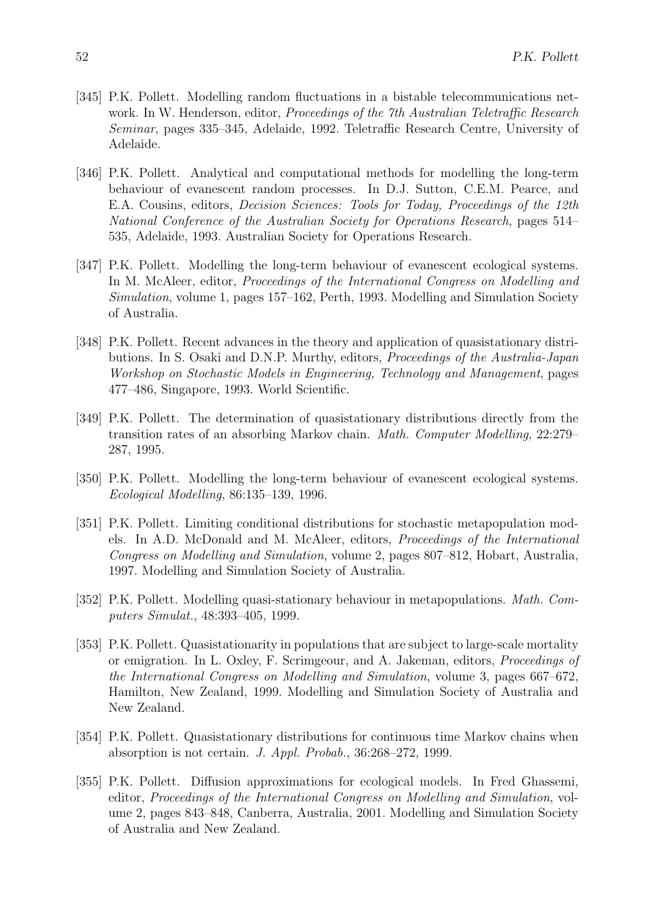- [345] P.K. Pollett. Modelling random fluctuations in a bistable telecommunications network. In W. Henderson, editor, *Proceedings of the 7th Australian Teletraffic Research* Seminar, pages 335–345, Adelaide, 1992. Teletraffic Research Centre, University of Adelaide.
- [346] P.K. Pollett. Analytical and computational methods for modelling the long-term behaviour of evanescent random processes. In D.J. Sutton, C.E.M. Pearce, and E.A. Cousins, editors, Decision Sciences: Tools for Today, Proceedings of the 12th National Conference of the Australian Society for Operations Research, pages 514– 535, Adelaide, 1993. Australian Society for Operations Research.
- [347] P.K. Pollett. Modelling the long-term behaviour of evanescent ecological systems. In M. McAleer, editor, Proceedings of the International Congress on Modelling and Simulation, volume 1, pages 157–162, Perth, 1993. Modelling and Simulation Society of Australia.
- [348] P.K. Pollett. Recent advances in the theory and application of quasistationary distributions. In S. Osaki and D.N.P. Murthy, editors, Proceedings of the Australia-Japan Workshop on Stochastic Models in Engineering, Technology and Management, pages 477–486, Singapore, 1993. World Scientific.
- [349] P.K. Pollett. The determination of quasistationary distributions directly from the transition rates of an absorbing Markov chain. Math. Computer Modelling, 22:279– 287, 1995.
- [350] P.K. Pollett. Modelling the long-term behaviour of evanescent ecological systems. Ecological Modelling, 86:135–139, 1996.
- [351] P.K. Pollett. Limiting conditional distributions for stochastic metapopulation models. In A.D. McDonald and M. McAleer, editors, Proceedings of the International Congress on Modelling and Simulation, volume 2, pages 807–812, Hobart, Australia, 1997. Modelling and Simulation Society of Australia.
- [352] P.K. Pollett. Modelling quasi-stationary behaviour in metapopulations. Math. Computers Simulat., 48:393–405, 1999.
- [353] P.K. Pollett. Quasistationarity in populations that are subject to large-scale mortality or emigration. In L. Oxley, F. Scrimgeour, and A. Jakeman, editors, Proceedings of the International Congress on Modelling and Simulation, volume 3, pages 667–672, Hamilton, New Zealand, 1999. Modelling and Simulation Society of Australia and New Zealand.
- [354] P.K. Pollett. Quasistationary distributions for continuous time Markov chains when absorption is not certain. J. Appl. Probab., 36:268–272, 1999.
- [355] P.K. Pollett. Diffusion approximations for ecological models. In Fred Ghassemi, editor, Proceedings of the International Congress on Modelling and Simulation, volume 2, pages 843–848, Canberra, Australia, 2001. Modelling and Simulation Society of Australia and New Zealand.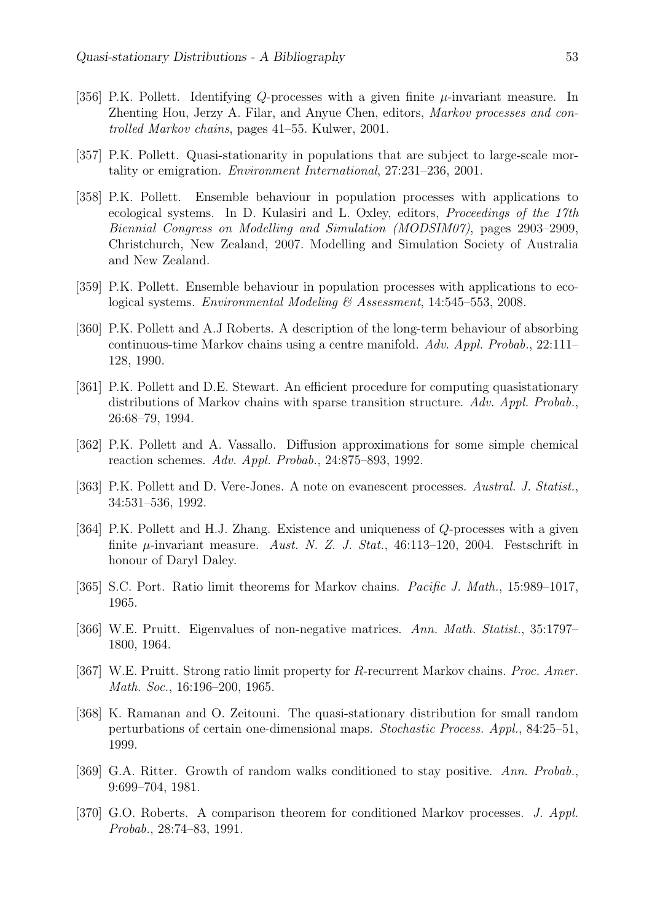- [356] P.K. Pollett. Identifying Q-processes with a given finite  $\mu$ -invariant measure. In Zhenting Hou, Jerzy A. Filar, and Anyue Chen, editors, Markov processes and controlled Markov chains, pages 41–55. Kulwer, 2001.
- [357] P.K. Pollett. Quasi-stationarity in populations that are subject to large-scale mortality or emigration. Environment International, 27:231–236, 2001.
- [358] P.K. Pollett. Ensemble behaviour in population processes with applications to ecological systems. In D. Kulasiri and L. Oxley, editors, Proceedings of the 17th Biennial Congress on Modelling and Simulation (MODSIM07), pages 2903–2909, Christchurch, New Zealand, 2007. Modelling and Simulation Society of Australia and New Zealand.
- [359] P.K. Pollett. Ensemble behaviour in population processes with applications to ecological systems. Environmental Modeling & Assessment, 14:545–553, 2008.
- [360] P.K. Pollett and A.J Roberts. A description of the long-term behaviour of absorbing continuous-time Markov chains using a centre manifold. Adv. Appl. Probab., 22:111– 128, 1990.
- [361] P.K. Pollett and D.E. Stewart. An efficient procedure for computing quasistationary distributions of Markov chains with sparse transition structure. Adv. Appl. Probab., 26:68–79, 1994.
- [362] P.K. Pollett and A. Vassallo. Diffusion approximations for some simple chemical reaction schemes. Adv. Appl. Probab., 24:875–893, 1992.
- [363] P.K. Pollett and D. Vere-Jones. A note on evanescent processes. Austral. J. Statist., 34:531–536, 1992.
- [364] P.K. Pollett and H.J. Zhang. Existence and uniqueness of Q-processes with a given finite  $\mu$ -invariant measure. Aust. N. Z. J. Stat., 46:113-120, 2004. Festschrift in honour of Daryl Daley.
- [365] S.C. Port. Ratio limit theorems for Markov chains. *Pacific J. Math.*, 15:989–1017, 1965.
- [366] W.E. Pruitt. Eigenvalues of non-negative matrices. Ann. Math. Statist., 35:1797– 1800, 1964.
- [367] W.E. Pruitt. Strong ratio limit property for R-recurrent Markov chains. *Proc. Amer.* Math. Soc., 16:196–200, 1965.
- [368] K. Ramanan and O. Zeitouni. The quasi-stationary distribution for small random perturbations of certain one-dimensional maps. Stochastic Process. Appl., 84:25–51, 1999.
- [369] G.A. Ritter. Growth of random walks conditioned to stay positive. Ann. Probab., 9:699–704, 1981.
- [370] G.O. Roberts. A comparison theorem for conditioned Markov processes. J. Appl. Probab., 28:74–83, 1991.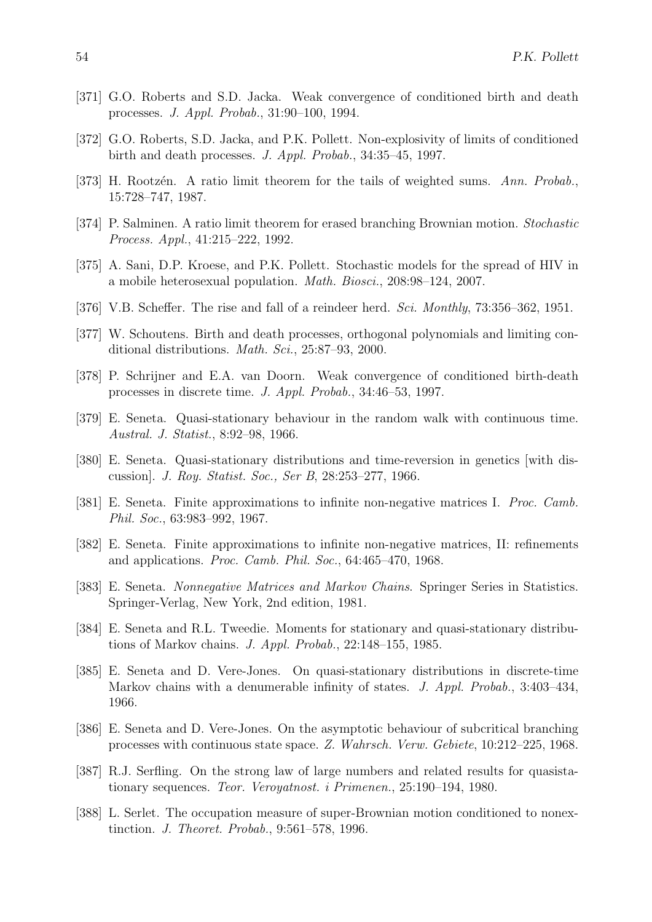- [371] G.O. Roberts and S.D. Jacka. Weak convergence of conditioned birth and death processes. J. Appl. Probab., 31:90–100, 1994.
- [372] G.O. Roberts, S.D. Jacka, and P.K. Pollett. Non-explosivity of limits of conditioned birth and death processes. J. Appl. Probab., 34:35–45, 1997.
- [373] H. Rootzén. A ratio limit theorem for the tails of weighted sums. Ann. Probab., 15:728–747, 1987.
- [374] P. Salminen. A ratio limit theorem for erased branching Brownian motion. Stochastic Process. Appl., 41:215–222, 1992.
- [375] A. Sani, D.P. Kroese, and P.K. Pollett. Stochastic models for the spread of HIV in a mobile heterosexual population. Math. Biosci., 208:98–124, 2007.
- [376] V.B. Scheffer. The rise and fall of a reindeer herd. Sci. Monthly, 73:356–362, 1951.
- [377] W. Schoutens. Birth and death processes, orthogonal polynomials and limiting conditional distributions. Math. Sci., 25:87–93, 2000.
- [378] P. Schrijner and E.A. van Doorn. Weak convergence of conditioned birth-death processes in discrete time. J. Appl. Probab., 34:46–53, 1997.
- [379] E. Seneta. Quasi-stationary behaviour in the random walk with continuous time. Austral. J. Statist., 8:92–98, 1966.
- [380] E. Seneta. Quasi-stationary distributions and time-reversion in genetics [with discussion]. J. Roy. Statist. Soc., Ser B, 28:253–277, 1966.
- [381] E. Seneta. Finite approximations to infinite non-negative matrices I. Proc. Camb. Phil. Soc., 63:983–992, 1967.
- [382] E. Seneta. Finite approximations to infinite non-negative matrices, II: refinements and applications. Proc. Camb. Phil. Soc., 64:465–470, 1968.
- [383] E. Seneta. Nonnegative Matrices and Markov Chains. Springer Series in Statistics. Springer-Verlag, New York, 2nd edition, 1981.
- [384] E. Seneta and R.L. Tweedie. Moments for stationary and quasi-stationary distributions of Markov chains. J. Appl. Probab., 22:148–155, 1985.
- [385] E. Seneta and D. Vere-Jones. On quasi-stationary distributions in discrete-time Markov chains with a denumerable infinity of states. J. Appl. Probab., 3:403-434, 1966.
- [386] E. Seneta and D. Vere-Jones. On the asymptotic behaviour of subcritical branching processes with continuous state space. Z. Wahrsch. Verw. Gebiete, 10:212–225, 1968.
- [387] R.J. Serfling. On the strong law of large numbers and related results for quasistationary sequences. Teor. Veroyatnost. i Primenen., 25:190–194, 1980.
- [388] L. Serlet. The occupation measure of super-Brownian motion conditioned to nonextinction. J. Theoret. Probab., 9:561–578, 1996.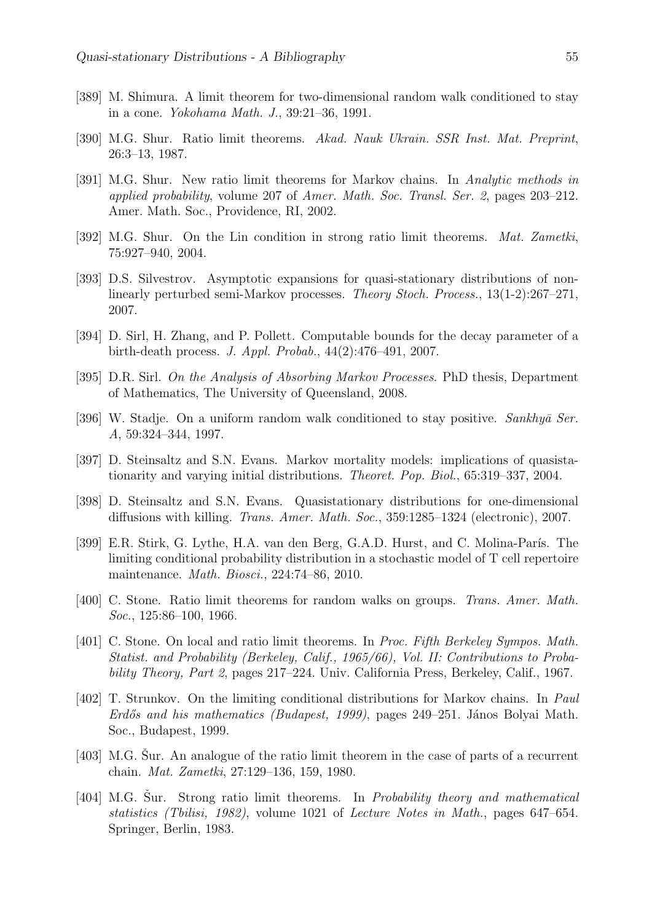- [389] M. Shimura. A limit theorem for two-dimensional random walk conditioned to stay in a cone. Yokohama Math. J., 39:21–36, 1991.
- [390] M.G. Shur. Ratio limit theorems. Akad. Nauk Ukrain. SSR Inst. Mat. Preprint, 26:3–13, 1987.
- [391] M.G. Shur. New ratio limit theorems for Markov chains. In Analytic methods in applied probability, volume 207 of Amer. Math. Soc. Transl. Ser. 2, pages 203–212. Amer. Math. Soc., Providence, RI, 2002.
- [392] M.G. Shur. On the Lin condition in strong ratio limit theorems. *Mat. Zametki*, 75:927–940, 2004.
- [393] D.S. Silvestrov. Asymptotic expansions for quasi-stationary distributions of nonlinearly perturbed semi-Markov processes. Theory Stoch. Process., 13(1-2):267–271, 2007.
- [394] D. Sirl, H. Zhang, and P. Pollett. Computable bounds for the decay parameter of a birth-death process. J. Appl. Probab., 44(2):476–491, 2007.
- [395] D.R. Sirl. On the Analysis of Absorbing Markov Processes. PhD thesis, Department of Mathematics, The University of Queensland, 2008.
- [396] W. Stadje. On a uniform random walk conditioned to stay positive. Sankhy $\bar{a}$  Ser. A, 59:324–344, 1997.
- [397] D. Steinsaltz and S.N. Evans. Markov mortality models: implications of quasistationarity and varying initial distributions. Theoret. Pop. Biol., 65:319–337, 2004.
- [398] D. Steinsaltz and S.N. Evans. Quasistationary distributions for one-dimensional diffusions with killing. Trans. Amer. Math. Soc., 359:1285–1324 (electronic), 2007.
- [399] E.R. Stirk, G. Lythe, H.A. van den Berg, G.A.D. Hurst, and C. Molina-París. The limiting conditional probability distribution in a stochastic model of T cell repertoire maintenance. Math. Biosci., 224:74–86, 2010.
- [400] C. Stone. Ratio limit theorems for random walks on groups. Trans. Amer. Math. Soc., 125:86–100, 1966.
- [401] C. Stone. On local and ratio limit theorems. In Proc. Fifth Berkeley Sympos. Math. Statist. and Probability (Berkeley, Calif., 1965/66), Vol. II: Contributions to Probability Theory, Part 2, pages 217–224. Univ. California Press, Berkeley, Calif., 1967.
- [402] T. Strunkov. On the limiting conditional distributions for Markov chains. In Paul Erdős and his mathematics (Budapest, 1999), pages  $249-251$ . János Bolyai Math. Soc., Budapest, 1999.
- $[403]$  M.G. Sur. An analogue of the ratio limit theorem in the case of parts of a recurrent chain. Mat. Zametki, 27:129–136, 159, 1980.
- [404] M.G. Sur. Strong ratio limit theorems. In *Probability theory and mathematical* statistics (Tbilisi, 1982), volume 1021 of Lecture Notes in Math., pages 647–654. Springer, Berlin, 1983.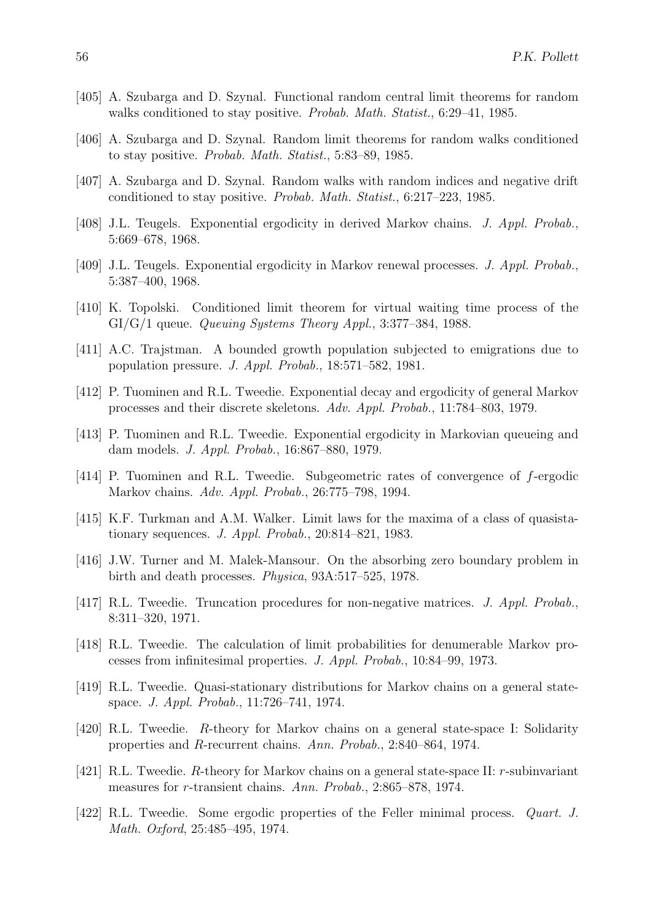- [405] A. Szubarga and D. Szynal. Functional random central limit theorems for random walks conditioned to stay positive. Probab. Math. Statist., 6:29–41, 1985.
- [406] A. Szubarga and D. Szynal. Random limit theorems for random walks conditioned to stay positive. Probab. Math. Statist., 5:83–89, 1985.
- [407] A. Szubarga and D. Szynal. Random walks with random indices and negative drift conditioned to stay positive. Probab. Math. Statist., 6:217–223, 1985.
- [408] J.L. Teugels. Exponential ergodicity in derived Markov chains. J. Appl. Probab., 5:669–678, 1968.
- [409] J.L. Teugels. Exponential ergodicity in Markov renewal processes. J. Appl. Probab., 5:387–400, 1968.
- [410] K. Topolski. Conditioned limit theorem for virtual waiting time process of the  $GI/G/1$  queue. *Queuing Systems Theory Appl.*, 3:377–384, 1988.
- [411] A.C. Trajstman. A bounded growth population subjected to emigrations due to population pressure. J. Appl. Probab., 18:571–582, 1981.
- [412] P. Tuominen and R.L. Tweedie. Exponential decay and ergodicity of general Markov processes and their discrete skeletons. Adv. Appl. Probab., 11:784–803, 1979.
- [413] P. Tuominen and R.L. Tweedie. Exponential ergodicity in Markovian queueing and dam models. J. Appl. Probab., 16:867–880, 1979.
- [414] P. Tuominen and R.L. Tweedie. Subgeometric rates of convergence of f-ergodic Markov chains. Adv. Appl. Probab., 26:775–798, 1994.
- [415] K.F. Turkman and A.M. Walker. Limit laws for the maxima of a class of quasistationary sequences. J. Appl. Probab., 20:814–821, 1983.
- [416] J.W. Turner and M. Malek-Mansour. On the absorbing zero boundary problem in birth and death processes. Physica, 93A:517–525, 1978.
- [417] R.L. Tweedie. Truncation procedures for non-negative matrices. J. Appl. Probab., 8:311–320, 1971.
- [418] R.L. Tweedie. The calculation of limit probabilities for denumerable Markov processes from infinitesimal properties. J. Appl. Probab., 10:84–99, 1973.
- [419] R.L. Tweedie. Quasi-stationary distributions for Markov chains on a general statespace. J. Appl. Probab., 11:726–741, 1974.
- [420] R.L. Tweedie. R-theory for Markov chains on a general state-space I: Solidarity properties and R-recurrent chains. Ann. Probab., 2:840–864, 1974.
- [421] R.L. Tweedie. R-theory for Markov chains on a general state-space II: r-subinvariant measures for r-transient chains. Ann. Probab., 2:865–878, 1974.
- [422] R.L. Tweedie. Some ergodic properties of the Feller minimal process. Quart. J. Math. Oxford, 25:485–495, 1974.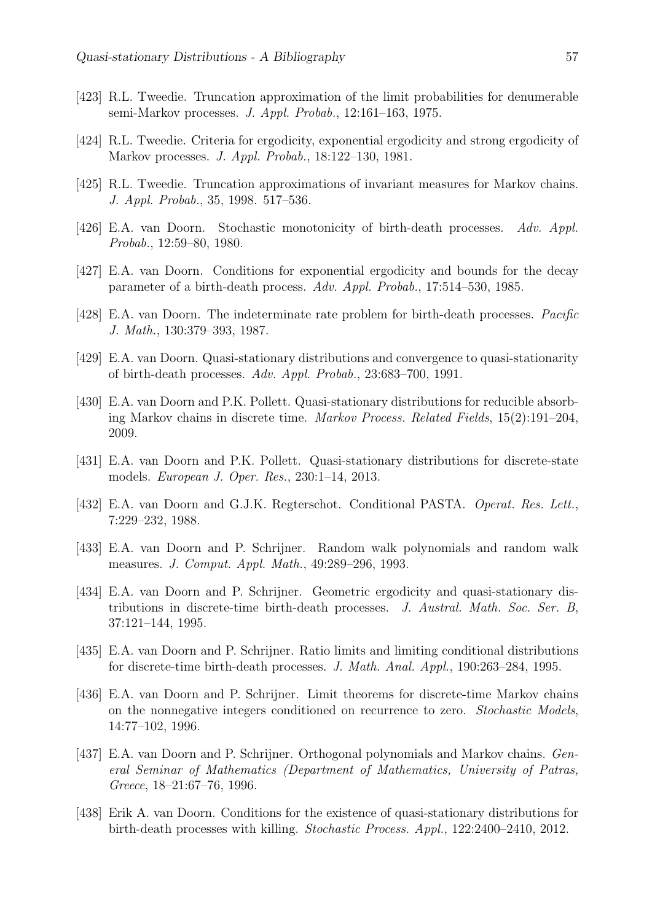- [423] R.L. Tweedie. Truncation approximation of the limit probabilities for denumerable semi-Markov processes. J. Appl. Probab., 12:161–163, 1975.
- [424] R.L. Tweedie. Criteria for ergodicity, exponential ergodicity and strong ergodicity of Markov processes. J. Appl. Probab., 18:122–130, 1981.
- [425] R.L. Tweedie. Truncation approximations of invariant measures for Markov chains. J. Appl. Probab., 35, 1998. 517–536.
- [426] E.A. van Doorn. Stochastic monotonicity of birth-death processes. Adv. Appl. Probab., 12:59–80, 1980.
- [427] E.A. van Doorn. Conditions for exponential ergodicity and bounds for the decay parameter of a birth-death process. Adv. Appl. Probab., 17:514–530, 1985.
- [428] E.A. van Doorn. The indeterminate rate problem for birth-death processes. Pacific J. Math., 130:379–393, 1987.
- [429] E.A. van Doorn. Quasi-stationary distributions and convergence to quasi-stationarity of birth-death processes. Adv. Appl. Probab., 23:683–700, 1991.
- [430] E.A. van Doorn and P.K. Pollett. Quasi-stationary distributions for reducible absorbing Markov chains in discrete time. Markov Process. Related Fields, 15(2):191–204, 2009.
- [431] E.A. van Doorn and P.K. Pollett. Quasi-stationary distributions for discrete-state models. European J. Oper. Res., 230:1–14, 2013.
- [432] E.A. van Doorn and G.J.K. Regterschot. Conditional PASTA. Operat. Res. Lett., 7:229–232, 1988.
- [433] E.A. van Doorn and P. Schrijner. Random walk polynomials and random walk measures. J. Comput. Appl. Math., 49:289–296, 1993.
- [434] E.A. van Doorn and P. Schrijner. Geometric ergodicity and quasi-stationary distributions in discrete-time birth-death processes. J. Austral. Math. Soc. Ser. B, 37:121–144, 1995.
- [435] E.A. van Doorn and P. Schrijner. Ratio limits and limiting conditional distributions for discrete-time birth-death processes. J. Math. Anal. Appl., 190:263–284, 1995.
- [436] E.A. van Doorn and P. Schrijner. Limit theorems for discrete-time Markov chains on the nonnegative integers conditioned on recurrence to zero. Stochastic Models, 14:77–102, 1996.
- [437] E.A. van Doorn and P. Schrijner. Orthogonal polynomials and Markov chains. General Seminar of Mathematics (Department of Mathematics, University of Patras, Greece, 18–21:67–76, 1996.
- [438] Erik A. van Doorn. Conditions for the existence of quasi-stationary distributions for birth-death processes with killing. Stochastic Process. Appl., 122:2400–2410, 2012.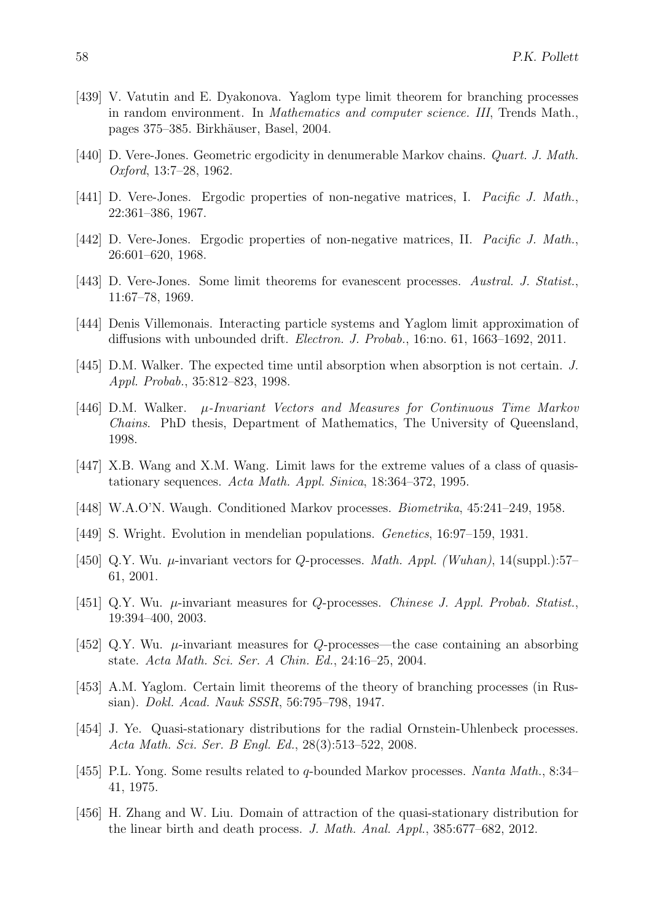- [439] V. Vatutin and E. Dyakonova. Yaglom type limit theorem for branching processes in random environment. In Mathematics and computer science. III, Trends Math., pages 375–385. Birkh¨auser, Basel, 2004.
- [440] D. Vere-Jones. Geometric ergodicity in denumerable Markov chains. *Quart. J. Math.* Oxford, 13:7–28, 1962.
- [441] D. Vere-Jones. Ergodic properties of non-negative matrices, I. *Pacific J. Math.*, 22:361–386, 1967.
- [442] D. Vere-Jones. Ergodic properties of non-negative matrices, II. *Pacific J. Math.*, 26:601–620, 1968.
- [443] D. Vere-Jones. Some limit theorems for evanescent processes. Austral. J. Statist., 11:67–78, 1969.
- [444] Denis Villemonais. Interacting particle systems and Yaglom limit approximation of diffusions with unbounded drift. Electron. J. Probab., 16:no. 61, 1663–1692, 2011.
- [445] D.M. Walker. The expected time until absorption when absorption is not certain. J. Appl. Probab., 35:812–823, 1998.
- [446] D.M. Walker.  $\mu$ -Invariant Vectors and Measures for Continuous Time Markov Chains. PhD thesis, Department of Mathematics, The University of Queensland, 1998.
- [447] X.B. Wang and X.M. Wang. Limit laws for the extreme values of a class of quasistationary sequences. Acta Math. Appl. Sinica, 18:364–372, 1995.
- [448] W.A.O'N. Waugh. Conditioned Markov processes. Biometrika, 45:241–249, 1958.
- [449] S. Wright. Evolution in mendelian populations. Genetics, 16:97–159, 1931.
- [450] Q.Y. Wu.  $\mu$ -invariant vectors for Q-processes. *Math. Appl. (Wuhan)*, 14(suppl.):57– 61, 2001.
- [451] Q.Y. Wu.  $\mu$ -invariant measures for Q-processes. Chinese J. Appl. Probab. Statist., 19:394–400, 2003.
- [452] Q.Y. Wu.  $\mu$ -invariant measures for Q-processes—the case containing an absorbing state. Acta Math. Sci. Ser. A Chin. Ed., 24:16–25, 2004.
- [453] A.M. Yaglom. Certain limit theorems of the theory of branching processes (in Russian). Dokl. Acad. Nauk SSSR, 56:795–798, 1947.
- [454] J. Ye. Quasi-stationary distributions for the radial Ornstein-Uhlenbeck processes. Acta Math. Sci. Ser. B Engl. Ed., 28(3):513–522, 2008.
- [455] P.L. Yong. Some results related to q-bounded Markov processes. Nanta Math., 8:34– 41, 1975.
- [456] H. Zhang and W. Liu. Domain of attraction of the quasi-stationary distribution for the linear birth and death process. J. Math. Anal. Appl., 385:677–682, 2012.